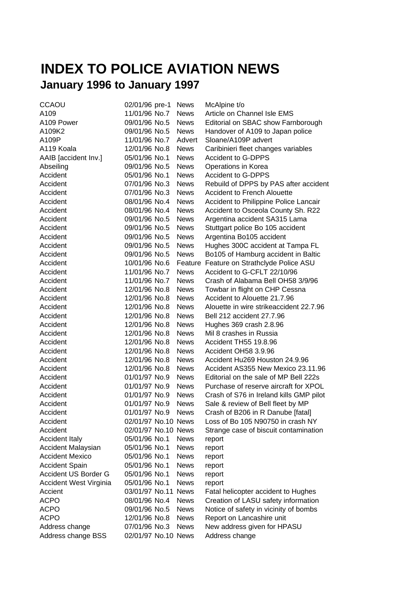## **INDEX TO POLICE AVIATION NEWS January 1996 to January 1997**

| <b>CCAOU</b>              | 02/01/96 pre-1      | <b>News</b> | McAlpine t/o                            |
|---------------------------|---------------------|-------------|-----------------------------------------|
| A109                      | 11/01/96 No.7       | <b>News</b> | Article on Channel Isle EMS             |
| A109 Power                | 09/01/96 No.5       | <b>News</b> | Editorial on SBAC show Farnborough      |
| A109K2                    | 09/01/96 No.5       | <b>News</b> | Handover of A109 to Japan police        |
| A109P                     | 11/01/96 No.7       | Advert      | Sloane/A109P advert                     |
| A119 Koala                | 12/01/96 No.8       | <b>News</b> | Caribinieri fleet changes variables     |
| AAIB [accident lnv.]      | 05/01/96 No.1       | <b>News</b> | <b>Accident to G-DPPS</b>               |
| Abseiling                 | 09/01/96 No.5       | <b>News</b> | Operations in Korea                     |
| Accident                  | 05/01/96 No.1       | <b>News</b> | <b>Accident to G-DPPS</b>               |
| Accident                  | 07/01/96 No.3       | <b>News</b> | Rebuild of DPPS by PAS after accident   |
| Accident                  | 07/01/96 No.3       | <b>News</b> | <b>Accident to French Alouette</b>      |
| Accident                  | 08/01/96 No.4       | <b>News</b> | Accident to Philippine Police Lancair   |
| Accident                  | 08/01/96 No.4       | <b>News</b> | Accident to Osceola County Sh. R22      |
| Accident                  | 09/01/96 No.5       | <b>News</b> | Argentina accident SA315 Lama           |
| Accident                  | 09/01/96 No.5       | <b>News</b> | Stuttgart police Bo 105 accident        |
| Accident                  | 09/01/96 No.5       | <b>News</b> | Argentina Bo105 accident                |
| Accident                  | 09/01/96 No.5       | <b>News</b> | Hughes 300C accident at Tampa FL        |
| Accident                  | 09/01/96 No.5       | <b>News</b> | Bo105 of Hamburg accident in Baltic     |
| Accident                  | 10/01/96 No.6       | Feature     | Feature on Strathclyde Police ASU       |
| Accident                  | 11/01/96 No.7       | <b>News</b> | Accident to G-CFLT 22/10/96             |
| Accident                  | 11/01/96 No.7       | <b>News</b> | Crash of Alabama Bell OH58 3/9/96       |
| Accident                  | 12/01/96 No.8       | <b>News</b> | Towbar in flight on CHP Cessna          |
| Accident                  | 12/01/96 No.8       | <b>News</b> | Accident to Alouette 21.7.96            |
| Accident                  | 12/01/96 No.8       | <b>News</b> | Alouette in wire strikeaccident 22.7.96 |
| Accident                  | 12/01/96 No.8       | <b>News</b> | Bell 212 accident 27.7.96               |
| Accident                  | 12/01/96 No.8       | <b>News</b> | Hughes 369 crash 2.8.96                 |
| Accident                  | 12/01/96 No.8       | <b>News</b> | Mil 8 crashes in Russia                 |
| Accident                  | 12/01/96 No.8       | <b>News</b> | Accident TH55 19.8.96                   |
| Accident                  | 12/01/96 No.8       | <b>News</b> | Accident OH58 3.9.96                    |
| Accident                  | 12/01/96 No.8       | <b>News</b> | Accident Hu269 Houston 24.9.96          |
| Accident                  | 12/01/96 No.8       | <b>News</b> | Accident AS355 New Mexico 23.11.96      |
| Accident                  | 01/01/97 No.9       | <b>News</b> | Editorial on the sale of MP Bell 222s   |
| Accident                  | 01/01/97 No.9       | <b>News</b> | Purchase of reserve aircraft for XPOL   |
| Accident                  | 01/01/97 No.9       | <b>News</b> | Crash of S76 in Ireland kills GMP pilot |
| Accident                  | 01/01/97 No.9       | <b>News</b> | Sale & review of Bell fleet by MP       |
| Accident                  | 01/01/97 No.9       | <b>News</b> | Crash of B206 in R Danube [fatal]       |
| Accident                  | 02/01/97 No.10 News |             | Loss of Bo 105 N90750 in crash NY       |
| Accident                  | 02/01/97 No.10 News |             | Strange case of biscuit contamination   |
| <b>Accident Italy</b>     | 05/01/96 No.1       | <b>News</b> | report                                  |
| <b>Accident Malaysian</b> | 05/01/96 No.1       | <b>News</b> | report                                  |
| <b>Accident Mexico</b>    | 05/01/96 No.1       | <b>News</b> | report                                  |
| <b>Accident Spain</b>     | 05/01/96 No.1       | <b>News</b> | report                                  |
| Accident US Border G      | 05/01/96 No.1       | <b>News</b> | report                                  |
| Accident West Virginia    | 05/01/96 No.1       | <b>News</b> | report                                  |
| Accient                   | 03/01/97 No.11      | <b>News</b> | Fatal helicopter accident to Hughes     |
| <b>ACPO</b>               | 08/01/96 No.4       | <b>News</b> | Creation of LASU safety information     |
| ACPO                      | 09/01/96 No.5       | <b>News</b> | Notice of safety in vicinity of bombs   |
| <b>ACPO</b>               | 12/01/96 No.8       | <b>News</b> | Report on Lancashire unit               |
| Address change            | 07/01/96 No.3       | <b>News</b> | New address given for HPASU             |
| Address change BSS        | 02/01/97 No.10 News |             | Address change                          |
|                           |                     |             |                                         |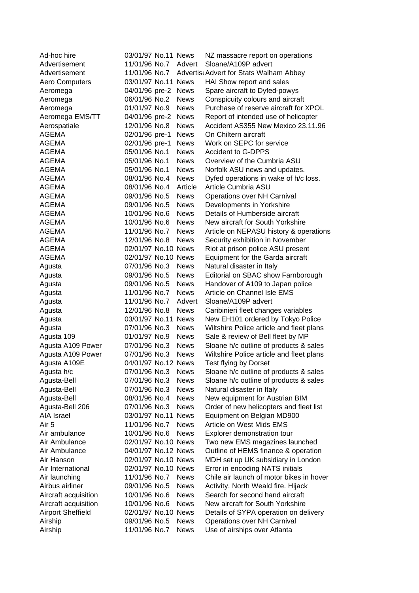| Ad-hoc hire              | 03/01/97 No.11 News |             | NZ massacre report on operations         |
|--------------------------|---------------------|-------------|------------------------------------------|
| Advertisement            | 11/01/96 No.7       | Advert      | Sloane/A109P advert                      |
| Advertisement            | 11/01/96 No.7       |             | Advertis Advert for Stats Walham Abbey   |
| Aero Computers           | 03/01/97 No.11 News |             | HAI Show report and sales                |
| Aeromega                 | 04/01/96 pre-2      | <b>News</b> | Spare aircraft to Dyfed-powys            |
| Aeromega                 | 06/01/96 No.2       | <b>News</b> | Conspicuity colours and aircraft         |
| Aeromega                 | 01/01/97 No.9       | <b>News</b> | Purchase of reserve aircraft for XPOL    |
| Aeromega EMS/TT          | 04/01/96 pre-2      | <b>News</b> | Report of intended use of helicopter     |
| Aerospatiale             | 12/01/96 No.8       | <b>News</b> | Accident AS355 New Mexico 23.11.96       |
| <b>AGEMA</b>             | 02/01/96 pre-1      | <b>News</b> | On Chiltern aircraft                     |
| AGEMA                    | 02/01/96 pre-1      | <b>News</b> | Work on SEPC for service                 |
| <b>AGEMA</b>             | 05/01/96 No.1       | <b>News</b> | <b>Accident to G-DPPS</b>                |
| AGEMA                    | 05/01/96 No.1       | <b>News</b> | Overview of the Cumbria ASU              |
| AGEMA                    | 05/01/96 No.1       | <b>News</b> | Norfolk ASU news and updates.            |
| <b>AGEMA</b>             | 08/01/96 No.4       | <b>News</b> | Dyfed operations in wake of h/c loss.    |
| <b>AGEMA</b>             | 08/01/96 No.4       | Article     | Article Cumbria ASU                      |
| <b>AGEMA</b>             | 09/01/96 No.5       | <b>News</b> | Operations over NH Carnival              |
| <b>AGEMA</b>             | 09/01/96 No.5       | <b>News</b> | Developments in Yorkshire                |
| <b>AGEMA</b>             | 10/01/96 No.6       | <b>News</b> | Details of Humberside aircraft           |
| <b>AGEMA</b>             | 10/01/96 No.6       | <b>News</b> | New aircraft for South Yorkshire         |
| <b>AGEMA</b>             | 11/01/96 No.7       | <b>News</b> | Article on NEPASU history & operations   |
| <b>AGEMA</b>             | 12/01/96 No.8       | <b>News</b> | Security exhibition in November          |
| <b>AGEMA</b>             | 02/01/97 No.10 News |             | Riot at prison police ASU present        |
| <b>AGEMA</b>             | 02/01/97 No.10 News |             | Equipment for the Garda aircraft         |
| Agusta                   | 07/01/96 No.3       | <b>News</b> | Natural disaster in Italy                |
| Agusta                   | 09/01/96 No.5       | <b>News</b> | Editorial on SBAC show Farnborough       |
| Agusta                   | 09/01/96 No.5       | <b>News</b> | Handover of A109 to Japan police         |
| Agusta                   | 11/01/96 No.7       | <b>News</b> | Article on Channel Isle EMS              |
| Agusta                   | 11/01/96 No.7       | Advert      | Sloane/A109P advert                      |
| Agusta                   | 12/01/96 No.8       | <b>News</b> | Caribinieri fleet changes variables      |
| Agusta                   | 03/01/97 No.11 News |             | New EH101 ordered by Tokyo Police        |
| Agusta                   | 07/01/96 No.3       | <b>News</b> | Wiltshire Police article and fleet plans |
| Agusta 109               | 01/01/97 No.9       | <b>News</b> | Sale & review of Bell fleet by MP        |
| Agusta A109 Power        | 07/01/96 No.3       | <b>News</b> | Sloane h/c outline of products & sales   |
| Agusta A109 Power        | 07/01/96 No.3       | <b>News</b> | Wiltshire Police article and fleet plans |
| Agusta A109E             | 04/01/97 No.12 News |             | Test flying by Dorset                    |
| Agusta h/c               | 07/01/96 No.3       | <b>News</b> | Sloane h/c outline of products & sales   |
| Agusta-Bell              | 07/01/96 No.3       | <b>News</b> | Sloane h/c outline of products & sales   |
| Agusta-Bell              | 07/01/96 No.3       | <b>News</b> | Natural disaster in Italy                |
| Agusta-Bell              | 08/01/96 No.4       | <b>News</b> | New equipment for Austrian BIM           |
| Agusta-Bell 206          | 07/01/96 No.3       | <b>News</b> | Order of new helicopters and fleet list  |
| AIA Israel               | 03/01/97 No.11 News |             | Equipment on Belgian MD900               |
| Air 5                    | 11/01/96 No.7       | <b>News</b> | Article on West Mids EMS                 |
| Air ambulance            | 10/01/96 No.6       | <b>News</b> | Explorer demonstration tour              |
| Air Ambulance            | 02/01/97 No.10 News |             | Two new EMS magazines launched           |
| Air Ambulance            | 04/01/97 No.12 News |             | Outline of HEMS finance & operation      |
| Air Hanson               | 02/01/97 No.10 News |             | MDH set up UK subsidiary in London       |
| Air International        | 02/01/97 No.10 News |             | Error in encoding NATS initials          |
| Air launching            | 11/01/96 No.7       | <b>News</b> | Chile air launch of motor bikes in hover |
| Airbus airliner          | 09/01/96 No.5       | <b>News</b> | Activity. North Weald fire. Hijack       |
| Aircraft acquisition     | 10/01/96 No.6       | <b>News</b> | Search for second hand aircraft          |
| Aircraft acquisition     | 10/01/96 No.6       | <b>News</b> | New aircraft for South Yorkshire         |
| <b>Airport Sheffield</b> | 02/01/97 No.10 News |             | Details of SYPA operation on delivery    |
| Airship                  | 09/01/96 No.5       | <b>News</b> | Operations over NH Carnival              |
| Airship                  | 11/01/96 No.7       | <b>News</b> | Use of airships over Atlanta             |
|                          |                     |             |                                          |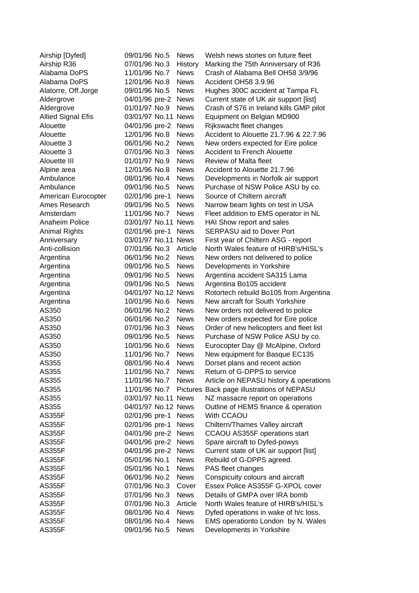| Airship [Dyfed]           | 09/01/96 No.5       | <b>News</b>     | Welsh news stories on future fleet      |
|---------------------------|---------------------|-----------------|-----------------------------------------|
| Airship R36               | 07/01/96 No.3       | History         | Marking the 75th Anniversary of R36     |
| Alabama DoPS              | 11/01/96 No.7       | <b>News</b>     | Crash of Alabama Bell OH58 3/9/96       |
| Alabama DoPS              | 12/01/96 No.8       | <b>News</b>     | Accident OH58 3.9.96                    |
| Alatorre, Off.Jorge       | 09/01/96 No.5       | <b>News</b>     | Hughes 300C accident at Tampa FL        |
| Aldergrove                | 04/01/96 pre-2      | <b>News</b>     | Current state of UK air support [list]  |
| Aldergrove                | 01/01/97 No.9       | <b>News</b>     | Crash of S76 in Ireland kills GMP pilot |
| <b>Allied Signal Efis</b> | 03/01/97 No.11 News |                 | Equipment on Belgian MD900              |
| Alouette                  | 04/01/96 pre-2      | <b>News</b>     | Rijkswacht fleet changes                |
| Alouette                  | 12/01/96 No.8       | <b>News</b>     | Accident to Alouette 21.7.96 & 22.7.96  |
| Alouette 3                | 06/01/96 No.2       | <b>News</b>     | New orders expected for Eire police     |
| Alouette 3                | 07/01/96 No.3       | <b>News</b>     | <b>Accident to French Alouette</b>      |
| Alouette III              | 01/01/97 No.9       | <b>News</b>     | <b>Review of Malta fleet</b>            |
| Alpine area               | 12/01/96 No.8       | <b>News</b>     | Accident to Alouette 21.7.96            |
| Ambulance                 | 08/01/96 No.4       | <b>News</b>     | Developments in Norfolk air support     |
| Ambulance                 | 09/01/96 No.5       | <b>News</b>     | Purchase of NSW Police ASU by co.       |
| American Eurocopter       | 02/01/96 pre-1      | <b>News</b>     | Source of Chiltern aircraft             |
| Ames Research             | 09/01/96 No.5       | <b>News</b>     | Narrow beam lights on test in USA       |
| Amsterdam                 | 11/01/96 No.7       | <b>News</b>     | Fleet addition to EMS operator in NL    |
| Anaheim Police            | 03/01/97 No.11 News |                 | HAI Show report and sales               |
| <b>Animal Rights</b>      | 02/01/96 pre-1      | <b>News</b>     | SERPASU aid to Dover Port               |
| Anniversary               | 03/01/97 No.11 News |                 | First year of Chiltern ASG - report     |
| Anti-collision            | 07/01/96 No.3       | Article         | North Wales feature of HIRB's/HISL's    |
| Argentina                 | 06/01/96 No.2       | <b>News</b>     | New orders not delivered to police      |
| Argentina                 | 09/01/96 No.5       | <b>News</b>     | Developments in Yorkshire               |
| Argentina                 | 09/01/96 No.5       | <b>News</b>     | Argentina accident SA315 Lama           |
| Argentina                 | 09/01/96 No.5       | <b>News</b>     | Argentina Bo105 accident                |
| Argentina                 | 04/01/97 No.12 News |                 | Rotortech rebuild Bo105 from Argentina  |
| Argentina                 | 10/01/96 No.6       | <b>News</b>     | New aircraft for South Yorkshire        |
| AS350                     | 06/01/96 No.2       | <b>News</b>     | New orders not delivered to police      |
| AS350                     | 06/01/96 No.2       | <b>News</b>     | New orders expected for Eire police     |
| AS350                     | 07/01/96 No.3       | <b>News</b>     | Order of new helicopters and fleet list |
| AS350                     | 09/01/96 No.5       | <b>News</b>     | Purchase of NSW Police ASU by co.       |
| AS350                     | 10/01/96 No.6       | <b>News</b>     | Eurocopter Day @ McAlpine, Oxford       |
| AS350                     | 11/01/96 No.7       | <b>News</b>     | New equipment for Basque EC135          |
| AS355                     | 08/01/96 No.4       | <b>News</b>     | Dorset plans and recent action          |
| AS355                     | 11/01/96 No.7       | <b>News</b>     | Return of G-DPPS to service             |
| AS355                     | 11/01/96 No.7       | <b>News</b>     | Article on NEPASU history & operations  |
| AS355                     | 11/01/96 No.7       | <b>Pictures</b> | Back page illustrations of NEPASU       |
| AS355                     | 03/01/97 No.11 News |                 | NZ massacre report on operations        |
| AS355                     | 04/01/97 No.12 News |                 | Outline of HEMS finance & operation     |
| <b>AS355F</b>             | 02/01/96 pre-1      | <b>News</b>     | With CCAOU                              |
| <b>AS355F</b>             | 02/01/96 pre-1      | <b>News</b>     | Chiltern/Thames Valley aircraft         |
| <b>AS355F</b>             | 04/01/96 pre-2      | <b>News</b>     | CCAOU AS355F operations start           |
| <b>AS355F</b>             | 04/01/96 pre-2      | <b>News</b>     | Spare aircraft to Dyfed-powys           |
| <b>AS355F</b>             | 04/01/96 pre-2      | <b>News</b>     | Current state of UK air support [list]  |
| <b>AS355F</b>             | 05/01/96 No.1       | <b>News</b>     | Rebuild of G-DPPS agreed.               |
| <b>AS355F</b>             | 05/01/96 No.1       | <b>News</b>     | PAS fleet changes                       |
| <b>AS355F</b>             | 06/01/96 No.2       | <b>News</b>     | Conspicuity colours and aircraft        |
| <b>AS355F</b>             | 07/01/96 No.3       | Cover           | Essex Police AS355F G-XPOL cover        |
| <b>AS355F</b>             | 07/01/96 No.3       | <b>News</b>     | Details of GMPA over IRA bomb           |
| <b>AS355F</b>             | 07/01/96 No.3       | Article         | North Wales feature of HIRB's/HISL's    |
| <b>AS355F</b>             | 08/01/96 No.4       | <b>News</b>     | Dyfed operations in wake of h/c loss.   |
| <b>AS355F</b>             | 08/01/96 No.4       | <b>News</b>     | EMS operationto London by N. Wales      |
| <b>AS355F</b>             | 09/01/96 No.5       | <b>News</b>     | Developments in Yorkshire               |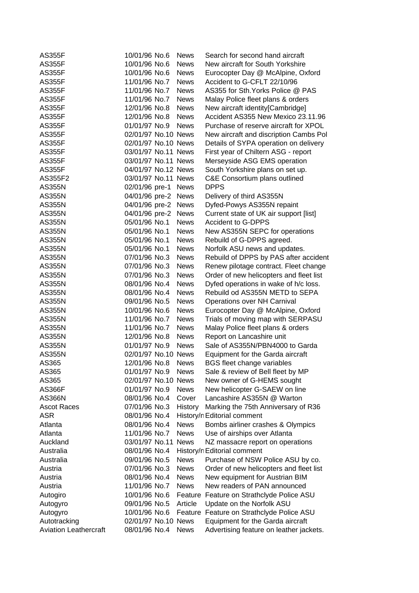| <b>AS355F</b>                | 10/01/96 No.6       | <b>News</b> | Search for second hand aircraft         |
|------------------------------|---------------------|-------------|-----------------------------------------|
| <b>AS355F</b>                | 10/01/96 No.6       | <b>News</b> | New aircraft for South Yorkshire        |
| <b>AS355F</b>                | 10/01/96 No.6       | <b>News</b> | Eurocopter Day @ McAlpine, Oxford       |
| <b>AS355F</b>                | 11/01/96 No.7       | <b>News</b> | Accident to G-CFLT 22/10/96             |
| <b>AS355F</b>                | 11/01/96 No.7       | <b>News</b> | AS355 for Sth. Yorks Police @ PAS       |
| <b>AS355F</b>                | 11/01/96 No.7       | <b>News</b> | Malay Police fleet plans & orders       |
| <b>AS355F</b>                | 12/01/96 No.8       | <b>News</b> | New aircraft identity[Cambridge]        |
| <b>AS355F</b>                | 12/01/96 No.8       | <b>News</b> | Accident AS355 New Mexico 23.11.96      |
| <b>AS355F</b>                | 01/01/97 No.9       | <b>News</b> | Purchase of reserve aircraft for XPOL   |
| <b>AS355F</b>                | 02/01/97 No.10 News |             | New aircraft and discription Cambs Pol  |
| <b>AS355F</b>                | 02/01/97 No.10 News |             | Details of SYPA operation on delivery   |
| <b>AS355F</b>                | 03/01/97 No.11 News |             | First year of Chiltern ASG - report     |
| <b>AS355F</b>                | 03/01/97 No.11 News |             | Merseyside ASG EMS operation            |
| <b>AS355F</b>                | 04/01/97 No.12 News |             | South Yorkshire plans on set up.        |
| AS355F2                      | 03/01/97 No.11 News |             | C&E Consortium plans outlined           |
| <b>AS355N</b>                | 02/01/96 pre-1      | <b>News</b> | <b>DPPS</b>                             |
| <b>AS355N</b>                | 04/01/96 pre-2      | <b>News</b> | Delivery of third AS355N                |
| <b>AS355N</b>                | 04/01/96 pre-2      | <b>News</b> | Dyfed-Powys AS355N repaint              |
| <b>AS355N</b>                | 04/01/96 pre-2      | <b>News</b> | Current state of UK air support [list]  |
| <b>AS355N</b>                | 05/01/96 No.1       | <b>News</b> | <b>Accident to G-DPPS</b>               |
| <b>AS355N</b>                | 05/01/96 No.1       | <b>News</b> | New AS355N SEPC for operations          |
| <b>AS355N</b>                | 05/01/96 No.1       | <b>News</b> | Rebuild of G-DPPS agreed.               |
| <b>AS355N</b>                | 05/01/96 No.1       | <b>News</b> | Norfolk ASU news and updates.           |
| <b>AS355N</b>                | 07/01/96 No.3       | <b>News</b> | Rebuild of DPPS by PAS after accident   |
| AS355N                       | 07/01/96 No.3       | <b>News</b> | Renew pilotage contract. Fleet change   |
| AS355N                       | 07/01/96 No.3       | <b>News</b> | Order of new helicopters and fleet list |
| <b>AS355N</b>                | 08/01/96 No.4       | <b>News</b> | Dyfed operations in wake of h/c loss.   |
| AS355N                       | 08/01/96 No.4       | <b>News</b> | Rebuild od AS355N METD to SEPA          |
| AS355N                       | 09/01/96 No.5       | <b>News</b> | <b>Operations over NH Carnival</b>      |
| <b>AS355N</b>                | 10/01/96 No.6       | <b>News</b> | Eurocopter Day @ McAlpine, Oxford       |
| <b>AS355N</b>                | 11/01/96 No.7       | <b>News</b> | Trials of moving map with SERPASU       |
| <b>AS355N</b>                | 11/01/96 No.7       | <b>News</b> | Malay Police fleet plans & orders       |
| <b>AS355N</b>                | 12/01/96 No.8       | <b>News</b> | Report on Lancashire unit               |
| <b>AS355N</b>                | 01/01/97 No.9       | <b>News</b> | Sale of AS355N/PBN4000 to Garda         |
| <b>AS355N</b>                | 02/01/97 No.10 News |             | Equipment for the Garda aircraft        |
| AS365                        | 12/01/96 No.8       | <b>News</b> | <b>BGS fleet change variables</b>       |
| AS365                        | 01/01/97 No.9       | <b>News</b> | Sale & review of Bell fleet by MP       |
| AS365                        | 02/01/97 No.10 News |             | New owner of G-HEMS sought              |
| <b>AS366F</b>                | 01/01/97 No.9       | <b>News</b> | New helicopter G-SAEW on line           |
| AS366N                       | 08/01/96 No.4       | Cover       | Lancashire AS355N @ Warton              |
| <b>Ascot Races</b>           | 07/01/96 No.3       | History     | Marking the 75th Anniversary of R36     |
| ASR                          | 08/01/96 No.4       |             | History/n Editorial comment             |
| Atlanta                      | 08/01/96 No.4       | <b>News</b> | Bombs airliner crashes & Olympics       |
| Atlanta                      | 11/01/96 No.7       | <b>News</b> | Use of airships over Atlanta            |
| Auckland                     | 03/01/97 No.11      | <b>News</b> | NZ massacre report on operations        |
| Australia                    | 08/01/96 No.4       |             | History/n Editorial comment             |
| Australia                    | 09/01/96 No.5       | <b>News</b> | Purchase of NSW Police ASU by co.       |
| Austria                      | 07/01/96 No.3       | <b>News</b> | Order of new helicopters and fleet list |
| Austria                      | 08/01/96 No.4       | <b>News</b> | New equipment for Austrian BIM          |
| Austria                      | 11/01/96 No.7       | <b>News</b> | New readers of PAN announced            |
| Autogiro                     | 10/01/96 No.6       | Feature     | Feature on Strathclyde Police ASU       |
| Autogyro                     | 09/01/96 No.5       | Article     | Update on the Norfolk ASU               |
| Autogyro                     | 10/01/96 No.6       | Feature     | Feature on Strathclyde Police ASU       |
| Autotracking                 | 02/01/97 No.10 News |             | Equipment for the Garda aircraft        |
| <b>Aviation Leathercraft</b> | 08/01/96 No.4       | <b>News</b> | Advertising feature on leather jackets. |
|                              |                     |             |                                         |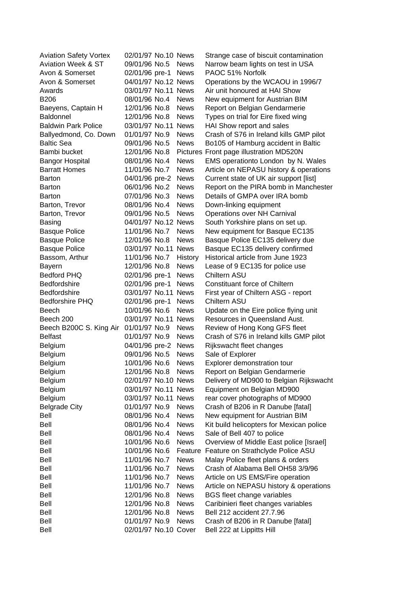| <b>Aviation Safety Vortex</b> | 02/01/97 No.10 News  |             | Strange case of biscuit contamination     |
|-------------------------------|----------------------|-------------|-------------------------------------------|
| <b>Aviation Week &amp; ST</b> | 09/01/96 No.5        | <b>News</b> | Narrow beam lights on test in USA         |
| Avon & Somerset               | 02/01/96 pre-1       | <b>News</b> | PAOC 51% Norfolk                          |
| Avon & Somerset               | 04/01/97 No.12 News  |             | Operations by the WCAOU in 1996/7         |
| Awards                        | 03/01/97 No.11 News  |             | Air unit honoured at HAI Show             |
| <b>B206</b>                   | 08/01/96 No.4        | <b>News</b> | New equipment for Austrian BIM            |
| Baeyens, Captain H            | 12/01/96 No.8        | <b>News</b> | Report on Belgian Gendarmerie             |
| <b>Baldonnel</b>              | 12/01/96 No.8        | <b>News</b> | Types on trial for Eire fixed wing        |
| <b>Baldwin Park Police</b>    | 03/01/97 No.11 News  |             | HAI Show report and sales                 |
| Ballyedmond, Co. Down         | 01/01/97 No.9        | <b>News</b> | Crash of S76 in Ireland kills GMP pilot   |
| <b>Baltic Sea</b>             | 09/01/96 No.5        | <b>News</b> | Bo105 of Hamburg accident in Baltic       |
| Bambi bucket                  | 12/01/96 No.8        |             | Pictures Front page illustration MD520N   |
| <b>Bangor Hospital</b>        | 08/01/96 No.4        | <b>News</b> | EMS operationto London by N. Wales        |
| <b>Barratt Homes</b>          | 11/01/96 No.7        | <b>News</b> | Article on NEPASU history & operations    |
| <b>Barton</b>                 | 04/01/96 pre-2       | <b>News</b> | Current state of UK air support [list]    |
| <b>Barton</b>                 | 06/01/96 No.2        | <b>News</b> | Report on the PIRA bomb in Manchester     |
| Barton                        | 07/01/96 No.3        | <b>News</b> | Details of GMPA over IRA bomb             |
| Barton, Trevor                | 08/01/96 No.4        | <b>News</b> | Down-linking equipment                    |
| Barton, Trevor                | 09/01/96 No.5        | <b>News</b> | Operations over NH Carnival               |
| <b>Basing</b>                 | 04/01/97 No.12 News  |             | South Yorkshire plans on set up.          |
| <b>Basque Police</b>          | 11/01/96 No.7        | <b>News</b> | New equipment for Basque EC135            |
| <b>Basque Police</b>          | 12/01/96 No.8        | <b>News</b> | Basque Police EC135 delivery due          |
| <b>Basque Police</b>          | 03/01/97 No.11 News  |             | Basque EC135 delivery confirmed           |
| Bassom, Arthur                | 11/01/96 No.7        | History     | Historical article from June 1923         |
| <b>Bayern</b>                 | 12/01/96 No.8        | <b>News</b> | Lease of 9 EC135 for police use           |
| <b>Bedford PHQ</b>            | 02/01/96 pre-1       | <b>News</b> | <b>Chiltern ASU</b>                       |
| <b>Bedfordshire</b>           | 02/01/96 pre-1       | <b>News</b> | Constituant force of Chiltern             |
| Bedfordshire                  | 03/01/97 No.11       | <b>News</b> | First year of Chiltern ASG - report       |
| <b>Bedforshire PHQ</b>        | 02/01/96 pre-1       | <b>News</b> | <b>Chiltern ASU</b>                       |
| Beech                         | 10/01/96 No.6        | <b>News</b> | Update on the Eire police flying unit     |
| Beech 200                     | 03/01/97 No.11       | <b>News</b> | Resources in Queensland Aust.             |
| Beech B200C S. King Air       | 01/01/97 No.9        | <b>News</b> | Review of Hong Kong GFS fleet             |
| <b>Belfast</b>                | 01/01/97 No.9        | <b>News</b> | Crash of S76 in Ireland kills GMP pilot   |
| Belgium                       | 04/01/96 pre-2       | <b>News</b> | Rijkswacht fleet changes                  |
| Belgium                       | 09/01/96 No.5        | <b>News</b> | Sale of Explorer                          |
| Belgium                       | 10/01/96 No.6        | <b>News</b> | Explorer demonstration tour               |
| <b>Belgium</b>                | 12/01/96 No.8        | <b>News</b> | Report on Belgian Gendarmerie             |
| Belgium                       | 02/01/97 No.10 News  |             | Delivery of MD900 to Belgian Rijkswacht   |
| Belgium                       | 03/01/97 No.11 News  |             | Equipment on Belgian MD900                |
| Belgium                       | 03/01/97 No.11 News  |             | rear cover photographs of MD900           |
| <b>Belgrade City</b>          | 01/01/97 No.9        | <b>News</b> | Crash of B206 in R Danube [fatal]         |
| Bell                          | 08/01/96 No.4        | <b>News</b> | New equipment for Austrian BIM            |
| Bell                          | 08/01/96 No.4        | <b>News</b> | Kit build helicopters for Mexican police  |
| Bell                          | 08/01/96 No.4        | <b>News</b> | Sale of Bell 407 to police                |
| Bell                          | 10/01/96 No.6        | <b>News</b> | Overview of Middle East police [Israel]   |
| Bell                          | 10/01/96 No.6        |             | Feature Feature on Strathclyde Police ASU |
| Bell                          | 11/01/96 No.7        | <b>News</b> | Malay Police fleet plans & orders         |
| Bell                          | 11/01/96 No.7        | <b>News</b> | Crash of Alabama Bell OH58 3/9/96         |
| Bell                          | 11/01/96 No.7        | <b>News</b> | Article on US EMS/Fire operation          |
| Bell                          | 11/01/96 No.7        | <b>News</b> | Article on NEPASU history & operations    |
| Bell                          | 12/01/96 No.8        | <b>News</b> | <b>BGS fleet change variables</b>         |
| Bell                          | 12/01/96 No.8        | <b>News</b> | Caribinieri fleet changes variables       |
| Bell                          | 12/01/96 No.8        | <b>News</b> | Bell 212 accident 27.7.96                 |
| Bell                          | 01/01/97 No.9        | <b>News</b> | Crash of B206 in R Danube [fatal]         |
| Bell                          | 02/01/97 No.10 Cover |             | Bell 222 at Lippitts Hill                 |
|                               |                      |             |                                           |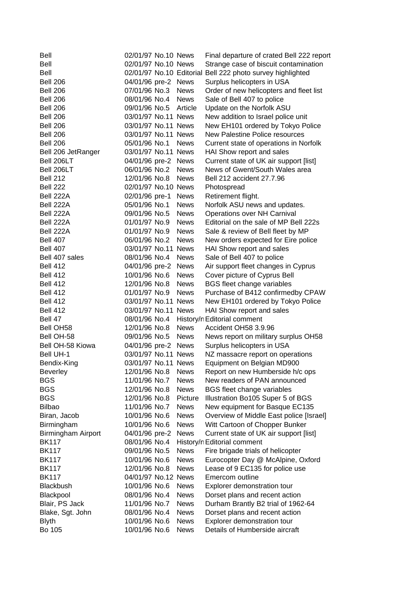| Bell                      | 02/01/97 No.10 News                  |             | Final departure of crated Bell 222 report |
|---------------------------|--------------------------------------|-------------|-------------------------------------------|
| <b>Bell</b>               | 02/01/97 No.10 News                  |             | Strange case of biscuit contamination     |
| Bell                      | 02/01/97 No.10 Editorial             |             | Bell 222 photo survey highlighted         |
| <b>Bell 206</b>           | 04/01/96 pre-2 News                  |             | Surplus helicopters in USA                |
| <b>Bell 206</b>           | 07/01/96 No.3                        | <b>News</b> | Order of new helicopters and fleet list   |
| <b>Bell 206</b>           | 08/01/96 No.4                        | <b>News</b> | Sale of Bell 407 to police                |
| <b>Bell 206</b>           | 09/01/96 No.5                        | Article     | Update on the Norfolk ASU                 |
| <b>Bell 206</b>           | 03/01/97 No.11 News                  |             | New addition to Israel police unit        |
| <b>Bell 206</b>           | 03/01/97 No.11 News                  |             | New EH101 ordered by Tokyo Police         |
| <b>Bell 206</b>           | 03/01/97 No.11 News                  |             | <b>New Palestine Police resources</b>     |
| <b>Bell 206</b>           | 05/01/96 No.1                        | <b>News</b> | Current state of operations in Norfolk    |
| Bell 206 JetRanger        | 03/01/97 No.11 News                  |             | HAI Show report and sales                 |
| Bell 206LT                | 04/01/96 pre-2 News                  |             | Current state of UK air support [list]    |
| Bell 206LT                | 06/01/96 No.2                        | <b>News</b> | News of Gwent/South Wales area            |
| <b>Bell 212</b>           | 12/01/96 No.8                        | <b>News</b> | Bell 212 accident 27.7.96                 |
| <b>Bell 222</b>           | 02/01/97 No.10 News                  |             | Photospread                               |
| Bell 222A                 | 02/01/96 pre-1                       | <b>News</b> | Retirement flight.                        |
| Bell 222A                 | 05/01/96 No.1                        | <b>News</b> | Norfolk ASU news and updates.             |
| Bell 222A                 | 09/01/96 No.5                        | <b>News</b> | Operations over NH Carnival               |
| Bell 222A                 | 01/01/97 No.9                        | <b>News</b> | Editorial on the sale of MP Bell 222s     |
| Bell 222A                 | 01/01/97 No.9                        | <b>News</b> | Sale & review of Bell fleet by MP         |
| <b>Bell 407</b>           | 06/01/96 No.2                        | <b>News</b> | New orders expected for Eire police       |
| <b>Bell 407</b>           | 03/01/97 No.11 News                  |             | HAI Show report and sales                 |
| Bell 407 sales            | 08/01/96 No.4                        | <b>News</b> | Sale of Bell 407 to police                |
|                           |                                      |             |                                           |
| <b>Bell 412</b>           | 04/01/96 pre-2 News<br>10/01/96 No.6 |             | Air support fleet changes in Cyprus       |
| <b>Bell 412</b>           |                                      | <b>News</b> | Cover picture of Cyprus Bell              |
| <b>Bell 412</b>           | 12/01/96 No.8                        | <b>News</b> | <b>BGS fleet change variables</b>         |
| <b>Bell 412</b>           | 01/01/97 No.9                        | <b>News</b> | Purchase of B412 confirmedby CPAW         |
| <b>Bell 412</b>           | 03/01/97 No.11 News                  |             | New EH101 ordered by Tokyo Police         |
| <b>Bell 412</b>           | 03/01/97 No.11 News                  |             | HAI Show report and sales                 |
| Bell 47                   | 08/01/96 No.4                        |             | History/n Editorial comment               |
| Bell OH <sub>58</sub>     | 12/01/96 No.8                        | <b>News</b> | Accident OH58 3.9.96                      |
| Bell OH-58                | 09/01/96 No.5                        | <b>News</b> | News report on military surplus OH58      |
| Bell OH-58 Kiowa          | 04/01/96 pre-2 News                  |             | Surplus helicopters in USA                |
| Bell UH-1                 | 03/01/97 No.11 News                  |             | NZ massacre report on operations          |
| Bendix-King               | 03/01/97 No.11 News                  |             | Equipment on Belgian MD900                |
| <b>Beverley</b>           | 12/01/96 No.8                        | <b>News</b> | Report on new Humberside h/c ops          |
| <b>BGS</b>                | 11/01/96 No.7                        | <b>News</b> | New readers of PAN announced              |
| <b>BGS</b>                | 12/01/96 No.8                        | <b>News</b> | <b>BGS</b> fleet change variables         |
| <b>BGS</b>                | 12/01/96 No.8                        | Picture     | Illustration Bo105 Super 5 of BGS         |
| <b>Bilbao</b>             | 11/01/96 No.7                        | <b>News</b> | New equipment for Basque EC135            |
| Biran, Jacob              | 10/01/96 No.6                        | <b>News</b> | Overview of Middle East police [Israel]   |
| Birmingham                | 10/01/96 No.6                        | <b>News</b> | Witt Cartoon of Chopper Bunker            |
| <b>Birmingham Airport</b> | 04/01/96 pre-2                       | <b>News</b> | Current state of UK air support [list]    |
| <b>BK117</b>              | 08/01/96 No.4                        |             | History/n Editorial comment               |
| <b>BK117</b>              | 09/01/96 No.5                        | <b>News</b> | Fire brigade trials of helicopter         |
| <b>BK117</b>              | 10/01/96 No.6                        | <b>News</b> | Eurocopter Day @ McAlpine, Oxford         |
| <b>BK117</b>              | 12/01/96 No.8                        | <b>News</b> | Lease of 9 EC135 for police use           |
| <b>BK117</b>              | 04/01/97 No.12 News                  |             | Emercom outline                           |
| Blackbush                 | 10/01/96 No.6                        | <b>News</b> | Explorer demonstration tour               |
| Blackpool                 | 08/01/96 No.4                        | <b>News</b> | Dorset plans and recent action            |
| Blair, PS Jack            | 11/01/96 No.7                        | <b>News</b> | Durham Brantly B2 trial of 1962-64        |
| Blake, Sgt. John          | 08/01/96 No.4                        | <b>News</b> | Dorset plans and recent action            |
| <b>Blyth</b>              | 10/01/96 No.6                        | <b>News</b> | Explorer demonstration tour               |
| Bo 105                    | 10/01/96 No.6                        | <b>News</b> | Details of Humberside aircraft            |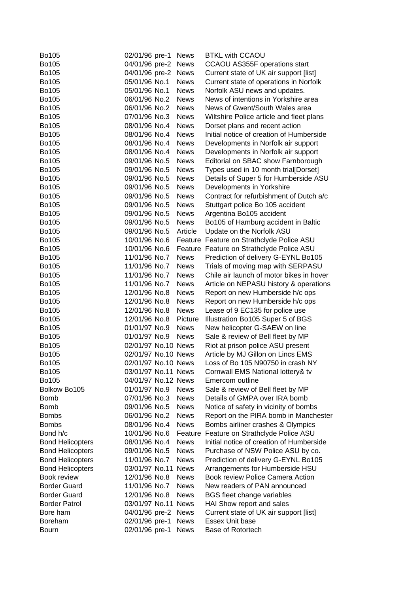| Bo105                   | 02/01/96 pre-1      | News        | <b>BTKL with CCAOU</b>                    |
|-------------------------|---------------------|-------------|-------------------------------------------|
| Bo105                   | 04/01/96 pre-2      | <b>News</b> | CCAOU AS355F operations start             |
| Bo105                   | 04/01/96 pre-2      | <b>News</b> | Current state of UK air support [list]    |
| Bo105                   | 05/01/96 No.1       | <b>News</b> | Current state of operations in Norfolk    |
| Bo105                   | 05/01/96 No.1       | <b>News</b> | Norfolk ASU news and updates.             |
| Bo105                   | 06/01/96 No.2       | <b>News</b> | News of intentions in Yorkshire area      |
| Bo105                   | 06/01/96 No.2       | <b>News</b> | News of Gwent/South Wales area            |
| Bo105                   | 07/01/96 No.3       | <b>News</b> | Wiltshire Police article and fleet plans  |
| Bo105                   | 08/01/96 No.4       | <b>News</b> | Dorset plans and recent action            |
| Bo105                   | 08/01/96 No.4       | <b>News</b> | Initial notice of creation of Humberside  |
| Bo105                   | 08/01/96 No.4       | <b>News</b> | Developments in Norfolk air support       |
| Bo105                   | 08/01/96 No.4       | <b>News</b> | Developments in Norfolk air support       |
| Bo105                   | 09/01/96 No.5       | <b>News</b> | Editorial on SBAC show Farnborough        |
| Bo105                   | 09/01/96 No.5       | <b>News</b> | Types used in 10 month trial[Dorset]      |
| Bo105                   | 09/01/96 No.5       | <b>News</b> | Details of Super 5 for Humberside ASU     |
| Bo105                   | 09/01/96 No.5       | <b>News</b> | Developments in Yorkshire                 |
| Bo105                   | 09/01/96 No.5       | <b>News</b> | Contract for refurbishment of Dutch a/c   |
| Bo105                   | 09/01/96 No.5       | <b>News</b> | Stuttgart police Bo 105 accident          |
| Bo105                   | 09/01/96 No.5       | <b>News</b> | Argentina Bo105 accident                  |
| Bo105                   | 09/01/96 No.5       | <b>News</b> | Bo105 of Hamburg accident in Baltic       |
| Bo105                   | 09/01/96 No.5       | Article     | Update on the Norfolk ASU                 |
| Bo105                   | 10/01/96 No.6       |             | Feature Feature on Strathclyde Police ASU |
| Bo105                   | 10/01/96 No.6       |             | Feature Feature on Strathclyde Police ASU |
| Bo105                   | 11/01/96 No.7       | <b>News</b> | Prediction of delivery G-EYNL Bo105       |
| Bo105                   | 11/01/96 No.7       | <b>News</b> | Trials of moving map with SERPASU         |
| Bo105                   | 11/01/96 No.7       | <b>News</b> | Chile air launch of motor bikes in hover  |
| Bo105                   | 11/01/96 No.7       | <b>News</b> | Article on NEPASU history & operations    |
| Bo105                   | 12/01/96 No.8       | <b>News</b> | Report on new Humberside h/c ops          |
| Bo105                   | 12/01/96 No.8       | <b>News</b> | Report on new Humberside h/c ops          |
| Bo105                   | 12/01/96 No.8       | <b>News</b> | Lease of 9 EC135 for police use           |
| Bo105                   | 12/01/96 No.8       | Picture     | Illustration Bo105 Super 5 of BGS         |
| Bo105                   | 01/01/97 No.9       | <b>News</b> | New helicopter G-SAEW on line             |
| Bo105                   | 01/01/97 No.9       | <b>News</b> | Sale & review of Bell fleet by MP         |
| Bo105                   | 02/01/97 No.10 News |             | Riot at prison police ASU present         |
| Bo105                   | 02/01/97 No.10 News |             | Article by MJ Gillon on Lincs EMS         |
| Bo105                   | 02/01/97 No.10 News |             | Loss of Bo 105 N90750 in crash NY         |
| Bo105                   | 03/01/97 No.11 News |             | Cornwall EMS National lottery& tv         |
| Bo105                   | 04/01/97 No.12 News |             | Emercom outline                           |
| Bolkow Bo105            | 01/01/97 No.9       | <b>News</b> | Sale & review of Bell fleet by MP         |
| <b>Bomb</b>             | 07/01/96 No.3       | <b>News</b> | Details of GMPA over IRA bomb             |
| <b>Bomb</b>             | 09/01/96 No.5       | <b>News</b> | Notice of safety in vicinity of bombs     |
| <b>Bombs</b>            | 06/01/96 No.2       | <b>News</b> | Report on the PIRA bomb in Manchester     |
| <b>Bombs</b>            | 08/01/96 No.4       | <b>News</b> | Bombs airliner crashes & Olympics         |
| Bond h/c                | 10/01/96 No.6       | Feature     | Feature on Strathclyde Police ASU         |
| <b>Bond Helicopters</b> | 08/01/96 No.4       | <b>News</b> | Initial notice of creation of Humberside  |
| <b>Bond Helicopters</b> | 09/01/96 No.5       | <b>News</b> | Purchase of NSW Police ASU by co.         |
| <b>Bond Helicopters</b> | 11/01/96 No.7       | <b>News</b> | Prediction of delivery G-EYNL Bo105       |
| <b>Bond Helicopters</b> | 03/01/97 No.11 News |             | Arrangements for Humberside HSU           |
| Book review             | 12/01/96 No.8       | <b>News</b> | Book review Police Camera Action          |
| <b>Border Guard</b>     | 11/01/96 No.7       | <b>News</b> | New readers of PAN announced              |
| <b>Border Guard</b>     | 12/01/96 No.8       | <b>News</b> | BGS fleet change variables                |
| <b>Border Patrol</b>    | 03/01/97 No.11 News |             | HAI Show report and sales                 |
| Bore ham                | 04/01/96 pre-2      | <b>News</b> | Current state of UK air support [list]    |
| Boreham                 | 02/01/96 pre-1      | <b>News</b> | <b>Essex Unit base</b>                    |
| Bourn                   | 02/01/96 pre-1      | <b>News</b> | Base of Rotortech                         |
|                         |                     |             |                                           |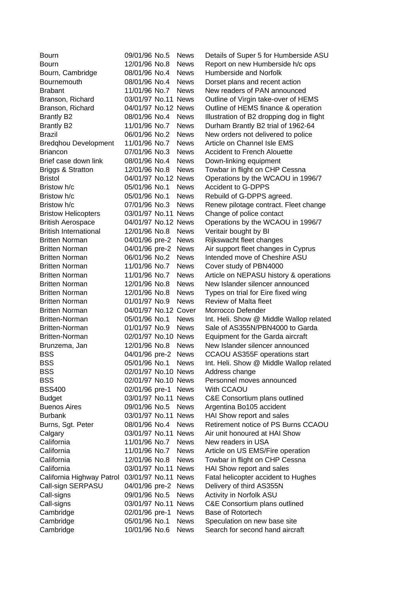| Bourn                        | 09/01/96 No.5        | <b>News</b> | Details of Super 5 for Humberside ASU     |
|------------------------------|----------------------|-------------|-------------------------------------------|
| <b>Bourn</b>                 | 12/01/96 No.8        | <b>News</b> | Report on new Humberside h/c ops          |
| Bourn, Cambridge             | 08/01/96 No.4        | <b>News</b> | Humberside and Norfolk                    |
| Bournemouth                  | 08/01/96 No.4        | <b>News</b> | Dorset plans and recent action            |
| <b>Brabant</b>               | 11/01/96 No.7        | <b>News</b> | New readers of PAN announced              |
| Branson, Richard             | 03/01/97 No.11 News  |             | Outline of Virgin take-over of HEMS       |
| Branson, Richard             | 04/01/97 No.12 News  |             | Outline of HEMS finance & operation       |
| <b>Brantly B2</b>            | 08/01/96 No.4        | <b>News</b> | Illustration of B2 dropping dog in flight |
| <b>Brantly B2</b>            | 11/01/96 No.7        | <b>News</b> | Durham Brantly B2 trial of 1962-64        |
| <b>Brazil</b>                | 06/01/96 No.2        | <b>News</b> | New orders not delivered to police        |
| <b>Bredghou Development</b>  | 11/01/96 No.7        | <b>News</b> | Article on Channel Isle EMS               |
| <b>Briancon</b>              | 07/01/96 No.3        | <b>News</b> | <b>Accident to French Alouette</b>        |
| Brief case down link         | 08/01/96 No.4        | <b>News</b> | Down-linking equipment                    |
| <b>Briggs &amp; Stratton</b> | 12/01/96 No.8        | <b>News</b> | Towbar in flight on CHP Cessna            |
| <b>Bristol</b>               | 04/01/97 No.12 News  |             | Operations by the WCAOU in 1996/7         |
| Bristow h/c                  | 05/01/96 No.1        | <b>News</b> | <b>Accident to G-DPPS</b>                 |
| Bristow h/c                  | 05/01/96 No.1        | <b>News</b> | Rebuild of G-DPPS agreed.                 |
| Bristow h/c                  | 07/01/96 No.3        | <b>News</b> | Renew pilotage contract. Fleet change     |
| <b>Bristow Helicopters</b>   | 03/01/97 No.11 News  |             | Change of police contact                  |
| <b>British Aerospace</b>     | 04/01/97 No.12 News  |             | Operations by the WCAOU in 1996/7         |
| <b>British International</b> | 12/01/96 No.8        | <b>News</b> | Veritair bought by BI                     |
| <b>Britten Norman</b>        | 04/01/96 pre-2       | <b>News</b> | Rijkswacht fleet changes                  |
| <b>Britten Norman</b>        | 04/01/96 pre-2       | <b>News</b> | Air support fleet changes in Cyprus       |
| <b>Britten Norman</b>        | 06/01/96 No.2        | <b>News</b> | Intended move of Cheshire ASU             |
| <b>Britten Norman</b>        | 11/01/96 No.7        | <b>News</b> | Cover study of PBN4000                    |
| <b>Britten Norman</b>        | 11/01/96 No.7        | <b>News</b> | Article on NEPASU history & operations    |
| <b>Britten Norman</b>        | 12/01/96 No.8        | <b>News</b> | New Islander silencer announced           |
| <b>Britten Norman</b>        | 12/01/96 No.8        | <b>News</b> | Types on trial for Eire fixed wing        |
| <b>Britten Norman</b>        | 01/01/97 No.9        | <b>News</b> | Review of Malta fleet                     |
| <b>Britten Norman</b>        | 04/01/97 No.12 Cover |             | Morrocco Defender                         |
| <b>Britten-Norman</b>        | 05/01/96 No.1        | <b>News</b> | Int. Heli. Show @ Middle Wallop related   |
| <b>Britten-Norman</b>        | 01/01/97 No.9        | <b>News</b> | Sale of AS355N/PBN4000 to Garda           |
| <b>Britten-Norman</b>        | 02/01/97 No.10 News  |             | Equipment for the Garda aircraft          |
| Brunzema, Jan                | 12/01/96 No.8        | <b>News</b> | New Islander silencer announced           |
| <b>BSS</b>                   | 04/01/96 pre-2       | <b>News</b> | CCAOU AS355F operations start             |
| <b>BSS</b>                   | 05/01/96 No.1        | <b>News</b> | Int. Heli. Show @ Middle Wallop related   |
| <b>BSS</b>                   | 02/01/97 No.10 News  |             | Address change                            |
| <b>BSS</b>                   | 02/01/97 No.10 News  |             | Personnel moves announced                 |
| <b>BSS400</b>                | 02/01/96 pre-1 News  |             | With CCAOU                                |
| <b>Budget</b>                | 03/01/97 No.11 News  |             | C&E Consortium plans outlined             |
| <b>Buenos Aires</b>          | 09/01/96 No.5        | <b>News</b> | Argentina Bo105 accident                  |
| <b>Burbank</b>               | 03/01/97 No.11 News  |             | HAI Show report and sales                 |
| Burns, Sgt. Peter            | 08/01/96 No.4        | <b>News</b> | Retirement notice of PS Burns CCAOU       |
| Calgary                      | 03/01/97 No.11 News  |             | Air unit honoured at HAI Show             |
| California                   | 11/01/96 No.7        | <b>News</b> | New readers in USA                        |
| California                   | 11/01/96 No.7        | <b>News</b> | Article on US EMS/Fire operation          |
| California                   | 12/01/96 No.8        | <b>News</b> | Towbar in flight on CHP Cessna            |
| California                   | 03/01/97 No.11 News  |             | HAI Show report and sales                 |
| California Highway Patrol    | 03/01/97 No.11 News  |             | Fatal helicopter accident to Hughes       |
| Call-sign SERPASU            | 04/01/96 pre-2       | <b>News</b> | Delivery of third AS355N                  |
| Call-signs                   | 09/01/96 No.5        | <b>News</b> | Activity in Norfolk ASU                   |
| Call-signs                   | 03/01/97 No.11 News  |             | C&E Consortium plans outlined             |
| Cambridge                    | 02/01/96 pre-1       | <b>News</b> | Base of Rotortech                         |
| Cambridge                    | 05/01/96 No.1        | <b>News</b> | Speculation on new base site              |
| Cambridge                    | 10/01/96 No.6        | <b>News</b> | Search for second hand aircraft           |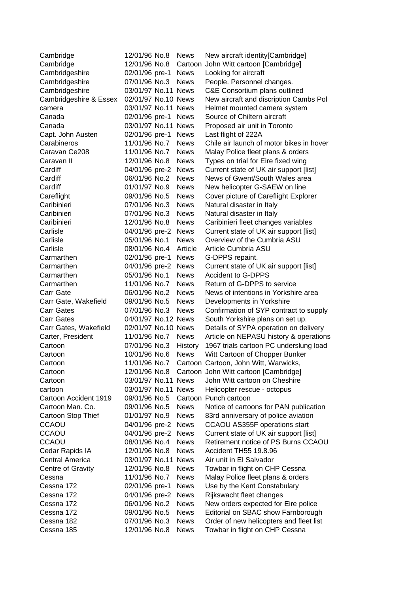| Cambridge              | 12/01/96 No.8       | <b>News</b> | New aircraft identity[Cambridge]         |
|------------------------|---------------------|-------------|------------------------------------------|
| Cambridge              | 12/01/96 No.8       | Cartoon     | John Witt cartoon [Cambridge]            |
| Cambridgeshire         | 02/01/96 pre-1      | <b>News</b> | Looking for aircraft                     |
| Cambridgeshire         | 07/01/96 No.3       | <b>News</b> | People. Personnel changes.               |
| Cambridgeshire         | 03/01/97 No.11 News |             | C&E Consortium plans outlined            |
| Cambridgeshire & Essex | 02/01/97 No.10 News |             | New aircraft and discription Cambs Pol   |
| camera                 | 03/01/97 No.11 News |             | Helmet mounted camera system             |
| Canada                 | 02/01/96 pre-1      | <b>News</b> | Source of Chiltern aircraft              |
| Canada                 | 03/01/97 No.11 News |             | Proposed air unit in Toronto             |
| Capt. John Austen      | 02/01/96 pre-1      | <b>News</b> | Last flight of 222A                      |
| Carabineros            | 11/01/96 No.7       | <b>News</b> | Chile air launch of motor bikes in hover |
| Caravan Ce208          | 11/01/96 No.7       | <b>News</b> | Malay Police fleet plans & orders        |
| Caravan II             | 12/01/96 No.8       | <b>News</b> | Types on trial for Eire fixed wing       |
| Cardiff                | 04/01/96 pre-2      | <b>News</b> | Current state of UK air support [list]   |
| Cardiff                | 06/01/96 No.2       | <b>News</b> | News of Gwent/South Wales area           |
| Cardiff                | 01/01/97 No.9       | <b>News</b> | New helicopter G-SAEW on line            |
| Careflight             | 09/01/96 No.5       | <b>News</b> | Cover picture of Careflight Explorer     |
| Caribinieri            | 07/01/96 No.3       | <b>News</b> | Natural disaster in Italy                |
| Caribinieri            | 07/01/96 No.3       | <b>News</b> | Natural disaster in Italy                |
| Caribinieri            | 12/01/96 No.8       | <b>News</b> | Caribinieri fleet changes variables      |
| Carlisle               | 04/01/96 pre-2      | <b>News</b> | Current state of UK air support [list]   |
| Carlisle               | 05/01/96 No.1       | <b>News</b> | Overview of the Cumbria ASU              |
| Carlisle               | 08/01/96 No.4       | Article     | Article Cumbria ASU                      |
| Carmarthen             | 02/01/96 pre-1      | <b>News</b> | G-DPPS repaint.                          |
| Carmarthen             | 04/01/96 pre-2      | <b>News</b> | Current state of UK air support [list]   |
| Carmarthen             | 05/01/96 No.1       | <b>News</b> | <b>Accident to G-DPPS</b>                |
| Carmarthen             | 11/01/96 No.7       | <b>News</b> | Return of G-DPPS to service              |
| <b>Carr Gate</b>       | 06/01/96 No.2       | <b>News</b> | News of intentions in Yorkshire area     |
| Carr Gate, Wakefield   | 09/01/96 No.5       | <b>News</b> | Developments in Yorkshire                |
| <b>Carr Gates</b>      | 07/01/96 No.3       | <b>News</b> | Confirmation of SYP contract to supply   |
| <b>Carr Gates</b>      | 04/01/97 No.12 News |             | South Yorkshire plans on set up.         |
| Carr Gates, Wakefield  | 02/01/97 No.10 News |             | Details of SYPA operation on delivery    |
| Carter, President      | 11/01/96 No.7       | <b>News</b> | Article on NEPASU history & operations   |
| Cartoon                | 07/01/96 No.3       | History     | 1967 trials cartoon PC underslung load   |
| Cartoon                | 10/01/96 No.6       | <b>News</b> | Witt Cartoon of Chopper Bunker           |
| Cartoon                | 11/01/96 No.7       |             | Cartoon Cartoon, John Witt, Warwicks,    |
| Cartoon                | 12/01/96 No.8       |             | Cartoon John Witt cartoon [Cambridge]    |
| Cartoon                | 03/01/97 No.11 News |             | John Witt cartoon on Cheshire            |
| cartoon                | 03/01/97 No.11 News |             | Helicopter rescue - octopus              |
| Cartoon Accident 1919  | 09/01/96 No.5       |             | Cartoon Punch cartoon                    |
| Cartoon Man. Co.       | 09/01/96 No.5       | <b>News</b> | Notice of cartoons for PAN publication   |
| Cartoon Stop Thief     | 01/01/97 No.9       | <b>News</b> | 83rd anniversary of police aviation      |
| <b>CCAOU</b>           | 04/01/96 pre-2      | <b>News</b> | CCAOU AS355F operations start            |
| <b>CCAOU</b>           | 04/01/96 pre-2      | <b>News</b> | Current state of UK air support [list]   |
| <b>CCAOU</b>           | 08/01/96 No.4       | <b>News</b> | Retirement notice of PS Burns CCAOU      |
| Cedar Rapids IA        | 12/01/96 No.8       | <b>News</b> | Accident TH55 19.8.96                    |
| <b>Central America</b> | 03/01/97 No.11 News |             | Air unit in El Salvador                  |
| Centre of Gravity      | 12/01/96 No.8       | <b>News</b> | Towbar in flight on CHP Cessna           |
| Cessna                 | 11/01/96 No.7       | <b>News</b> | Malay Police fleet plans & orders        |
| Cessna 172             | 02/01/96 pre-1      | <b>News</b> | Use by the Kent Constabulary             |
| Cessna 172             | 04/01/96 pre-2      | <b>News</b> | Rijkswacht fleet changes                 |
| Cessna 172             | 06/01/96 No.2       | <b>News</b> | New orders expected for Eire police      |
| Cessna 172             | 09/01/96 No.5       | <b>News</b> | Editorial on SBAC show Farnborough       |
| Cessna 182             | 07/01/96 No.3       | <b>News</b> | Order of new helicopters and fleet list  |
| Cessna 185             | 12/01/96 No.8       | <b>News</b> | Towbar in flight on CHP Cessna           |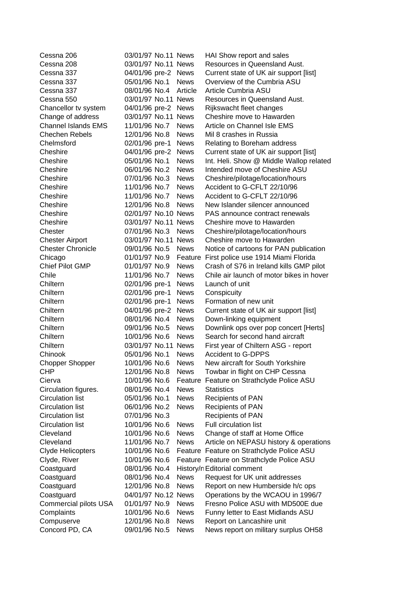| Cessna 206                 | 03/01/97 No.11 News |             | HAI Show report and sales                 |
|----------------------------|---------------------|-------------|-------------------------------------------|
| Cessna 208                 | 03/01/97 No.11 News |             | Resources in Queensland Aust.             |
| Cessna 337                 | 04/01/96 pre-2 News |             | Current state of UK air support [list]    |
| Cessna 337                 | 05/01/96 No.1       | <b>News</b> | Overview of the Cumbria ASU               |
| Cessna 337                 | 08/01/96 No.4       | Article     | Article Cumbria ASU                       |
| Cessna 550                 | 03/01/97 No.11 News |             | Resources in Queensland Aust.             |
| Chancellor tv system       | 04/01/96 pre-2 News |             | Rijkswacht fleet changes                  |
| Change of address          | 03/01/97 No.11 News |             | Cheshire move to Hawarden                 |
| <b>Channel Islands EMS</b> | 11/01/96 No.7       | <b>News</b> | Article on Channel Isle EMS               |
| <b>Chechen Rebels</b>      | 12/01/96 No.8       | <b>News</b> | Mil 8 crashes in Russia                   |
| Chelmsford                 | 02/01/96 pre-1      | <b>News</b> | Relating to Boreham address               |
| Cheshire                   | 04/01/96 pre-2      | <b>News</b> | Current state of UK air support [list]    |
| Cheshire                   | 05/01/96 No.1       | <b>News</b> | Int. Heli. Show @ Middle Wallop related   |
| Cheshire                   | 06/01/96 No.2       | <b>News</b> | Intended move of Cheshire ASU             |
| Cheshire                   | 07/01/96 No.3       | <b>News</b> | Cheshire/pilotage/location/hours          |
| Cheshire                   | 11/01/96 No.7       | <b>News</b> | Accident to G-CFLT 22/10/96               |
| Cheshire                   | 11/01/96 No.7       | <b>News</b> | Accident to G-CFLT 22/10/96               |
| Cheshire                   | 12/01/96 No.8       | <b>News</b> | New Islander silencer announced           |
| Cheshire                   | 02/01/97 No.10 News |             | PAS announce contract renewals            |
| Cheshire                   | 03/01/97 No.11 News |             | Cheshire move to Hawarden                 |
| Chester                    | 07/01/96 No.3       | <b>News</b> | Cheshire/pilotage/location/hours          |
| <b>Chester Airport</b>     | 03/01/97 No.11 News |             | Cheshire move to Hawarden                 |
| <b>Chester Chronicle</b>   | 09/01/96 No.5       | <b>News</b> | Notice of cartoons for PAN publication    |
| Chicago                    | 01/01/97 No.9       | Feature     | First police use 1914 Miami Florida       |
| <b>Chief Pilot GMP</b>     | 01/01/97 No.9       | <b>News</b> | Crash of S76 in Ireland kills GMP pilot   |
| Chile                      | 11/01/96 No.7       | <b>News</b> | Chile air launch of motor bikes in hover  |
| Chiltern                   | 02/01/96 pre-1      | <b>News</b> | Launch of unit                            |
| Chiltern                   | 02/01/96 pre-1      | <b>News</b> | Conspicuity                               |
| Chiltern                   | 02/01/96 pre-1      | <b>News</b> | Formation of new unit                     |
| Chiltern                   | 04/01/96 pre-2      | <b>News</b> | Current state of UK air support [list]    |
| Chiltern                   | 08/01/96 No.4       | <b>News</b> | Down-linking equipment                    |
| Chiltern                   | 09/01/96 No.5       | <b>News</b> | Downlink ops over pop concert [Herts]     |
| Chiltern                   | 10/01/96 No.6       | <b>News</b> | Search for second hand aircraft           |
| Chiltern                   | 03/01/97 No.11 News |             | First year of Chiltern ASG - report       |
| Chinook                    | 05/01/96 No.1       | <b>News</b> | <b>Accident to G-DPPS</b>                 |
| <b>Chopper Shopper</b>     | 10/01/96 No.6       | <b>News</b> | New aircraft for South Yorkshire          |
| <b>CHP</b>                 | 12/01/96 No.8       | <b>News</b> | Towbar in flight on CHP Cessna            |
| Cierva                     | 10/01/96 No.6       | Feature     | Feature on Strathclyde Police ASU         |
| Circulation figures.       | 08/01/96 No.4       | <b>News</b> | <b>Statistics</b>                         |
| <b>Circulation list</b>    | 05/01/96 No.1       | <b>News</b> | <b>Recipients of PAN</b>                  |
| <b>Circulation list</b>    | 06/01/96 No.2       | <b>News</b> | <b>Recipients of PAN</b>                  |
| <b>Circulation list</b>    | 07/01/96 No.3       |             | <b>Recipients of PAN</b>                  |
| <b>Circulation list</b>    | 10/01/96 No.6       | <b>News</b> | <b>Full circulation list</b>              |
| Cleveland                  | 10/01/96 No.6       | <b>News</b> | Change of staff at Home Office            |
| Cleveland                  | 11/01/96 No.7       | <b>News</b> | Article on NEPASU history & operations    |
| <b>Clyde Helicopters</b>   | 10/01/96 No.6       |             | Feature Feature on Strathclyde Police ASU |
| Clyde, River               | 10/01/96 No.6       |             | Feature Feature on Strathclyde Police ASU |
| Coastguard                 | 08/01/96 No.4       |             | History/n Editorial comment               |
| Coastguard                 | 08/01/96 No.4       | <b>News</b> | Request for UK unit addresses             |
| Coastguard                 | 12/01/96 No.8       | <b>News</b> | Report on new Humberside h/c ops          |
| Coastguard                 | 04/01/97 No.12 News |             | Operations by the WCAOU in 1996/7         |
| Commercial pilots USA      | 01/01/97 No.9       | <b>News</b> | Fresno Police ASU with MD500E due         |
| Complaints                 | 10/01/96 No.6       | <b>News</b> | Funny letter to East Midlands ASU         |
| Compuserve                 | 12/01/96 No.8       | <b>News</b> | Report on Lancashire unit                 |
| Concord PD, CA             | 09/01/96 No.5       | <b>News</b> | News report on military surplus OH58      |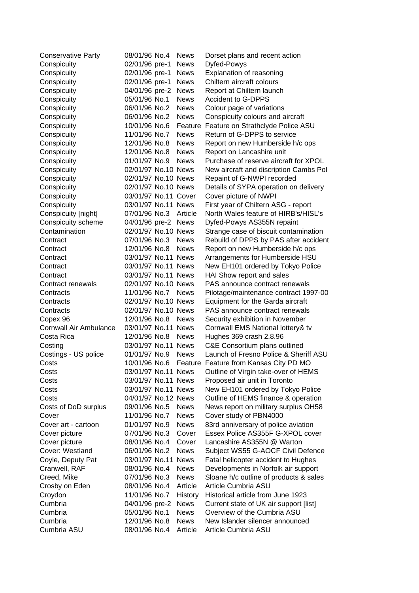| <b>Conservative Party</b>     | 08/01/96 No.4        | <b>News</b> | Dorset plans and recent action         |
|-------------------------------|----------------------|-------------|----------------------------------------|
| Conspicuity                   | 02/01/96 pre-1       | <b>News</b> | Dyfed-Powys                            |
| Conspicuity                   | 02/01/96 pre-1       | <b>News</b> | Explanation of reasoning               |
| Conspicuity                   | 02/01/96 pre-1       | <b>News</b> | Chiltern aircraft colours              |
| Conspicuity                   | 04/01/96 pre-2       | <b>News</b> | Report at Chiltern launch              |
| Conspicuity                   | 05/01/96 No.1        | <b>News</b> | <b>Accident to G-DPPS</b>              |
| Conspicuity                   | 06/01/96 No.2        | <b>News</b> | Colour page of variations              |
| Conspicuity                   | 06/01/96 No.2        | <b>News</b> | Conspicuity colours and aircraft       |
| Conspicuity                   | 10/01/96 No.6        | Feature     | Feature on Strathclyde Police ASU      |
| Conspicuity                   | 11/01/96 No.7        | <b>News</b> | Return of G-DPPS to service            |
| Conspicuity                   | 12/01/96 No.8        | <b>News</b> | Report on new Humberside h/c ops       |
| Conspicuity                   | 12/01/96 No.8        | <b>News</b> | Report on Lancashire unit              |
| Conspicuity                   | 01/01/97 No.9        | <b>News</b> | Purchase of reserve aircraft for XPOL  |
| Conspicuity                   | 02/01/97 No.10 News  |             | New aircraft and discription Cambs Pol |
| Conspicuity                   | 02/01/97 No.10 News  |             | Repaint of G-NWPI recorded             |
| Conspicuity                   | 02/01/97 No.10 News  |             | Details of SYPA operation on delivery  |
| Conspicuity                   | 03/01/97 No.11 Cover |             | Cover picture of NWPI                  |
| Conspicuity                   | 03/01/97 No.11 News  |             | First year of Chiltern ASG - report    |
| Conspicuity [night]           | 07/01/96 No.3        | Article     | North Wales feature of HIRB's/HISL's   |
| Conspicuity scheme            | 04/01/96 pre-2 News  |             | Dyfed-Powys AS355N repaint             |
| Contamination                 | 02/01/97 No.10 News  |             | Strange case of biscuit contamination  |
| Contract                      | 07/01/96 No.3        | <b>News</b> | Rebuild of DPPS by PAS after accident  |
| Contract                      | 12/01/96 No.8        | <b>News</b> | Report on new Humberside h/c ops       |
| Contract                      | 03/01/97 No.11 News  |             | Arrangements for Humberside HSU        |
| Contract                      | 03/01/97 No.11 News  |             | New EH101 ordered by Tokyo Police      |
| Contract                      | 03/01/97 No.11 News  |             | HAI Show report and sales              |
| Contract renewals             | 02/01/97 No.10 News  |             | PAS announce contract renewals         |
| Contracts                     | 11/01/96 No.7        | <b>News</b> | Pilotage/maintenance contract 1997-00  |
| Contracts                     | 02/01/97 No.10 News  |             | Equipment for the Garda aircraft       |
| Contracts                     | 02/01/97 No.10 News  |             | PAS announce contract renewals         |
| Copex 96                      | 12/01/96 No.8        | <b>News</b> | Security exhibition in November        |
| <b>Cornwall Air Ambulance</b> | 03/01/97 No.11 News  |             | Cornwall EMS National lottery& tv      |
| Costa Rica                    | 12/01/96 No.8        | <b>News</b> | Hughes 369 crash 2.8.96                |
| Costing                       | 03/01/97 No.11 News  |             | C&E Consortium plans outlined          |
| Costings - US police          | 01/01/97 No.9        | <b>News</b> | Launch of Fresno Police & Sheriff ASU  |
| Costs                         | 10/01/96 No.6        |             | Feature Feature from Kansas City PD MO |
| Costs                         | 03/01/97 No.11 News  |             | Outline of Virgin take-over of HEMS    |
| Costs                         | 03/01/97 No.11 News  |             | Proposed air unit in Toronto           |
| Costs                         | 03/01/97 No.11 News  |             | New EH101 ordered by Tokyo Police      |
| Costs                         | 04/01/97 No.12 News  |             | Outline of HEMS finance & operation    |
| Costs of DoD surplus          | 09/01/96 No.5        | <b>News</b> | News report on military surplus OH58   |
| Cover                         | 11/01/96 No.7        | <b>News</b> | Cover study of PBN4000                 |
| Cover art - cartoon           | 01/01/97 No.9        | <b>News</b> | 83rd anniversary of police aviation    |
| Cover picture                 | 07/01/96 No.3        | Cover       | Essex Police AS355F G-XPOL cover       |
| Cover picture                 | 08/01/96 No.4        | Cover       | Lancashire AS355N @ Warton             |
| Cover: Westland               | 06/01/96 No.2        | <b>News</b> | Subject WS55 G-AOCF Civil Defence      |
| Coyle, Deputy Pat             | 03/01/97 No.11 News  |             | Fatal helicopter accident to Hughes    |
| Cranwell, RAF                 | 08/01/96 No.4        | <b>News</b> | Developments in Norfolk air support    |
| Creed, Mike                   | 07/01/96 No.3        | <b>News</b> | Sloane h/c outline of products & sales |
| Crosby on Eden                | 08/01/96 No.4        | Article     | Article Cumbria ASU                    |
| Croydon                       | 11/01/96 No.7        | History     | Historical article from June 1923      |
| Cumbria                       | 04/01/96 pre-2       | <b>News</b> | Current state of UK air support [list] |
| Cumbria                       | 05/01/96 No.1        | <b>News</b> | Overview of the Cumbria ASU            |
| Cumbria                       | 12/01/96 No.8        | <b>News</b> | New Islander silencer announced        |
| Cumbria ASU                   | 08/01/96 No.4        | Article     | Article Cumbria ASU                    |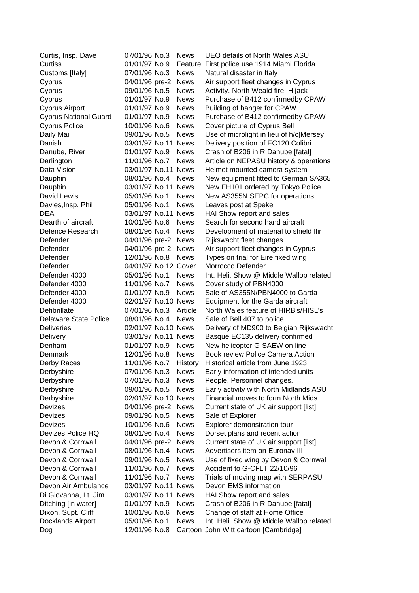| Curtis, Insp. Dave           | 07/01/96 No.3        | <b>News</b> | UEO details of North Wales ASU           |
|------------------------------|----------------------|-------------|------------------------------------------|
| Curtiss                      | 01/01/97 No.9        | Feature     | First police use 1914 Miami Florida      |
| Customs [Italy]              | 07/01/96 No.3        | <b>News</b> | Natural disaster in Italy                |
| Cyprus                       | 04/01/96 pre-2       | <b>News</b> | Air support fleet changes in Cyprus      |
| Cyprus                       | 09/01/96 No.5        | <b>News</b> | Activity. North Weald fire. Hijack       |
| Cyprus                       | 01/01/97 No.9        | <b>News</b> | Purchase of B412 confirmedby CPAW        |
| <b>Cyprus Airport</b>        | 01/01/97 No.9        | <b>News</b> | Building of hanger for CPAW              |
| <b>Cyprus National Guard</b> | 01/01/97 No.9        | <b>News</b> | Purchase of B412 confirmedby CPAW        |
| <b>Cyprus Police</b>         | 10/01/96 No.6        | <b>News</b> | Cover picture of Cyprus Bell             |
| Daily Mail                   | 09/01/96 No.5        | <b>News</b> | Use of microlight in lieu of h/c[Mersey] |
| Danish                       | 03/01/97 No.11 News  |             | Delivery position of EC120 Colibri       |
| Danube, River                | 01/01/97 No.9        | <b>News</b> | Crash of B206 in R Danube [fatal]        |
| Darlington                   | 11/01/96 No.7        | <b>News</b> | Article on NEPASU history & operations   |
| Data Vision                  | 03/01/97 No.11 News  |             | Helmet mounted camera system             |
| Dauphin                      | 08/01/96 No.4        | <b>News</b> | New equipment fitted to German SA365     |
| Dauphin                      | 03/01/97 No.11 News  |             | New EH101 ordered by Tokyo Police        |
| David Lewis                  | 05/01/96 No.1        | <b>News</b> | New AS355N SEPC for operations           |
| Davies, Insp. Phil           | 05/01/96 No.1        | <b>News</b> | Leaves post at Speke                     |
| <b>DEA</b>                   | 03/01/97 No.11 News  |             | HAI Show report and sales                |
| Dearth of aircraft           | 10/01/96 No.6        | <b>News</b> | Search for second hand aircraft          |
| Defence Research             | 08/01/96 No.4        | <b>News</b> | Development of material to shield flir   |
| Defender                     | 04/01/96 pre-2       | <b>News</b> | Rijkswacht fleet changes                 |
| Defender                     | 04/01/96 pre-2       | <b>News</b> | Air support fleet changes in Cyprus      |
| Defender                     | 12/01/96 No.8        | <b>News</b> | Types on trial for Eire fixed wing       |
| Defender                     | 04/01/97 No.12 Cover |             | Morrocco Defender                        |
| Defender 4000                | 05/01/96 No.1        | <b>News</b> | Int. Heli. Show @ Middle Wallop related  |
| Defender 4000                | 11/01/96 No.7        | <b>News</b> | Cover study of PBN4000                   |
| Defender 4000                | 01/01/97 No.9        | <b>News</b> | Sale of AS355N/PBN4000 to Garda          |
| Defender 4000                | 02/01/97 No.10 News  |             | Equipment for the Garda aircraft         |
| Defibrillate                 | 07/01/96 No.3        | Article     | North Wales feature of HIRB's/HISL's     |
| <b>Delaware State Police</b> | 08/01/96 No.4        | <b>News</b> | Sale of Bell 407 to police               |
| <b>Deliveries</b>            | 02/01/97 No.10 News  |             | Delivery of MD900 to Belgian Rijkswacht  |
| Delivery                     | 03/01/97 No.11 News  |             | Basque EC135 delivery confirmed          |
| Denham                       | 01/01/97 No.9        | <b>News</b> | New helicopter G-SAEW on line            |
| Denmark                      | 12/01/96 No.8        | <b>News</b> | Book review Police Camera Action         |
| Derby Races                  | 11/01/96 No.7        | History     | Historical article from June 1923        |
| Derbyshire                   | 07/01/96 No.3        | <b>News</b> | Early information of intended units      |
| Derbyshire                   | 07/01/96 No.3        | <b>News</b> | People. Personnel changes.               |
| Derbyshire                   | 09/01/96 No.5        | <b>News</b> | Early activity with North Midlands ASU   |
| Derbyshire                   | 02/01/97 No.10 News  |             | Financial moves to form North Mids       |
| Devizes                      | 04/01/96 pre-2       | <b>News</b> | Current state of UK air support [list]   |
| Devizes                      | 09/01/96 No.5        | <b>News</b> | Sale of Explorer                         |
| Devizes                      | 10/01/96 No.6        | <b>News</b> | Explorer demonstration tour              |
| Devizes Police HQ            | 08/01/96 No.4        | <b>News</b> | Dorset plans and recent action           |
| Devon & Cornwall             | 04/01/96 pre-2       | <b>News</b> | Current state of UK air support [list]   |
| Devon & Cornwall             | 08/01/96 No.4        | <b>News</b> | Advertisers item on Euronav III          |
| Devon & Cornwall             | 09/01/96 No.5        | <b>News</b> | Use of fixed wing by Devon & Cornwall    |
| Devon & Cornwall             | 11/01/96 No.7        | <b>News</b> | Accident to G-CFLT 22/10/96              |
| Devon & Cornwall             | 11/01/96 No.7        | <b>News</b> | Trials of moving map with SERPASU        |
| Devon Air Ambulance          | 03/01/97 No.11 News  |             | Devon EMS information                    |
| Di Giovanna, Lt. Jim         | 03/01/97 No.11 News  |             | HAI Show report and sales                |
| Ditching [in water]          | 01/01/97 No.9        | <b>News</b> | Crash of B206 in R Danube [fatal]        |
| Dixon, Supt. Cliff           | 10/01/96 No.6        | News        | Change of staff at Home Office           |
| Docklands Airport            | 05/01/96 No.1        | <b>News</b> | Int. Heli. Show @ Middle Wallop related  |
| Dog                          | 12/01/96 No.8        |             | Cartoon John Witt cartoon [Cambridge]    |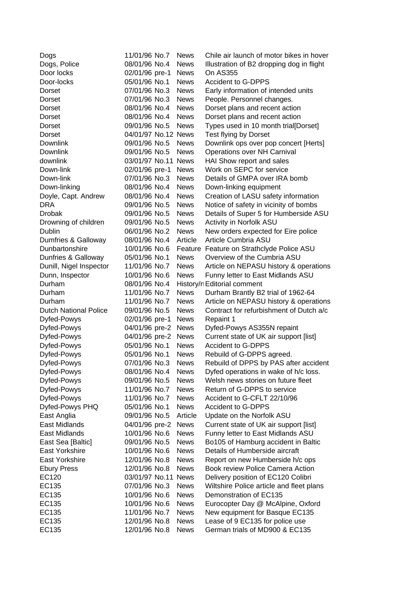| 08/01/96 No.4<br><b>News</b><br>Dogs, Police<br>Illustration of B2 dropping dog in flight<br>Door locks<br>02/01/96 pre-1<br><b>News</b><br><b>On AS355</b><br>Door-locks<br>05/01/96 No.1<br><b>News</b><br><b>Accident to G-DPPS</b><br>Early information of intended units<br><b>Dorset</b><br>07/01/96 No.3<br><b>News</b><br>07/01/96 No.3<br><b>News</b><br>People. Personnel changes.<br><b>Dorset</b><br>08/01/96 No.4<br>Dorset plans and recent action<br>Dorset<br><b>News</b><br><b>Dorset</b><br>08/01/96 No.4<br><b>News</b><br>Dorset plans and recent action<br>Types used in 10 month trial[Dorset]<br><b>Dorset</b><br>09/01/96 No.5<br><b>News</b><br>04/01/97 No.12 News<br>Test flying by Dorset<br>Dorset<br>09/01/96 No.5<br>Downlink ops over pop concert [Herts]<br><b>Downlink</b><br><b>News</b><br>Operations over NH Carnival<br>Downlink<br>09/01/96 No.5<br><b>News</b><br>downlink<br>03/01/97 No.11 News<br>HAI Show report and sales<br>Down-link<br>Work on SEPC for service<br>02/01/96 pre-1<br><b>News</b><br>Down-link<br>07/01/96 No.3<br>Details of GMPA over IRA bomb<br><b>News</b><br>Down-linking<br>08/01/96 No.4<br>Down-linking equipment<br><b>News</b><br>08/01/96 No.4<br>Creation of LASU safety information<br>Doyle, Capt. Andrew<br><b>News</b><br><b>DRA</b><br>09/01/96 No.5<br>Notice of safety in vicinity of bombs<br><b>News</b><br><b>Drobak</b><br>Details of Super 5 for Humberside ASU<br>09/01/96 No.5<br><b>News</b><br>Drowning of children<br>09/01/96 No.5<br>Activity in Norfolk ASU<br><b>News</b><br>Dublin<br>06/01/96 No.2<br><b>News</b><br>New orders expected for Eire police<br>08/01/96 No.4<br>Article<br>Article Cumbria ASU<br>Dumfries & Galloway<br>Dunbartonshire<br>10/01/96 No.6<br>Feature Feature on Strathclyde Police ASU<br>Dunfries & Galloway<br>05/01/96 No.1<br><b>News</b><br>Overview of the Cumbria ASU<br>Dunill, Nigel Inspector<br>11/01/96 No.7<br>Article on NEPASU history & operations<br><b>News</b><br>Dunn, Inspector<br>10/01/96 No.6<br><b>News</b><br>Funny letter to East Midlands ASU<br>Durham<br>08/01/96 No.4<br>History/n Editorial comment<br>Durham<br>11/01/96 No.7<br><b>News</b><br>Durham Brantly B2 trial of 1962-64<br>11/01/96 No.7<br><b>News</b><br>Article on NEPASU history & operations<br>Durham<br>Contract for refurbishment of Dutch a/c<br><b>Dutch National Police</b><br>09/01/96 No.5<br><b>News</b><br>Dyfed-Powys<br>02/01/96 pre-1<br><b>News</b><br>Repaint 1<br>Dyfed-Powys<br>04/01/96 pre-2<br><b>News</b><br>Dyfed-Powys AS355N repaint<br>Current state of UK air support [list]<br>Dyfed-Powys<br>04/01/96 pre-2<br><b>News</b><br>Dyfed-Powys<br>05/01/96 No.1<br><b>Accident to G-DPPS</b><br><b>News</b><br>Dyfed-Powys<br>05/01/96 No.1<br>Rebuild of G-DPPS agreed.<br><b>News</b><br>Rebuild of DPPS by PAS after accident<br>Dyfed-Powys<br>07/01/96 No.3<br><b>News</b><br>08/01/96 No.4<br>Dyfed-Powys<br><b>News</b><br>Dyfed operations in wake of h/c loss.<br>Dyfed-Powys<br>09/01/96 No.5<br><b>News</b><br>Welsh news stories on future fleet<br>Dyfed-Powys<br>11/01/96 No.7<br><b>News</b><br>Return of G-DPPS to service<br>Dyfed-Powys<br>11/01/96 No.7<br><b>News</b><br>Accident to G-CFLT 22/10/96<br><b>News</b><br>Dyfed-Powys PHQ<br>05/01/96 No.1<br><b>Accident to G-DPPS</b><br>East Anglia<br>09/01/96 No.5<br>Article<br>Update on the Norfolk ASU<br><b>East Midlands</b><br>Current state of UK air support [list]<br>04/01/96 pre-2<br><b>News</b><br>East Midlands<br>10/01/96 No.6<br><b>News</b><br>Funny letter to East Midlands ASU<br>East Sea [Baltic]<br>09/01/96 No.5<br><b>News</b><br>Bo105 of Hamburg accident in Baltic<br>Details of Humberside aircraft<br>East Yorkshire<br>10/01/96 No.6<br><b>News</b><br>East Yorkshire<br>12/01/96 No.8<br>Report on new Humberside h/c ops<br><b>News</b><br><b>Ebury Press</b><br>12/01/96 No.8<br><b>News</b><br>Book review Police Camera Action<br>Delivery position of EC120 Colibri<br>EC120<br>03/01/97 No.11 News<br>EC135<br>07/01/96 No.3<br>Wiltshire Police article and fleet plans<br><b>News</b><br>Demonstration of EC135<br>EC135<br>10/01/96 No.6<br><b>News</b><br>EC135<br>10/01/96 No.6<br><b>News</b><br>Eurocopter Day @ McAlpine, Oxford | Dogs  | 11/01/96 No.7 | <b>News</b> | Chile air launch of motor bikes in hover |
|--------------------------------------------------------------------------------------------------------------------------------------------------------------------------------------------------------------------------------------------------------------------------------------------------------------------------------------------------------------------------------------------------------------------------------------------------------------------------------------------------------------------------------------------------------------------------------------------------------------------------------------------------------------------------------------------------------------------------------------------------------------------------------------------------------------------------------------------------------------------------------------------------------------------------------------------------------------------------------------------------------------------------------------------------------------------------------------------------------------------------------------------------------------------------------------------------------------------------------------------------------------------------------------------------------------------------------------------------------------------------------------------------------------------------------------------------------------------------------------------------------------------------------------------------------------------------------------------------------------------------------------------------------------------------------------------------------------------------------------------------------------------------------------------------------------------------------------------------------------------------------------------------------------------------------------------------------------------------------------------------------------------------------------------------------------------------------------------------------------------------------------------------------------------------------------------------------------------------------------------------------------------------------------------------------------------------------------------------------------------------------------------------------------------------------------------------------------------------------------------------------------------------------------------------------------------------------------------------------------------------------------------------------------------------------------------------------------------------------------------------------------------------------------------------------------------------------------------------------------------------------------------------------------------------------------------------------------------------------------------------------------------------------------------------------------------------------------------------------------------------------------------------------------------------------------------------------------------------------------------------------------------------------------------------------------------------------------------------------------------------------------------------------------------------------------------------------------------------------------------------------------------------------------------------------------------------------------------------------------------------------------------------------------------------------------------------------------------------------------------------------------------------------------------------------------------------------------------------------------------------------------------------------------------------------------------------------------------------------------------------------------------------------------------------------------------------------------------------------------------------------------------------------------------------------------------------------------------------------------------------------------------------------------------------------------|-------|---------------|-------------|------------------------------------------|
|                                                                                                                                                                                                                                                                                                                                                                                                                                                                                                                                                                                                                                                                                                                                                                                                                                                                                                                                                                                                                                                                                                                                                                                                                                                                                                                                                                                                                                                                                                                                                                                                                                                                                                                                                                                                                                                                                                                                                                                                                                                                                                                                                                                                                                                                                                                                                                                                                                                                                                                                                                                                                                                                                                                                                                                                                                                                                                                                                                                                                                                                                                                                                                                                                                                                                                                                                                                                                                                                                                                                                                                                                                                                                                                                                                                                                                                                                                                                                                                                                                                                                                                                                                                                                                                                                                              |       |               |             |                                          |
|                                                                                                                                                                                                                                                                                                                                                                                                                                                                                                                                                                                                                                                                                                                                                                                                                                                                                                                                                                                                                                                                                                                                                                                                                                                                                                                                                                                                                                                                                                                                                                                                                                                                                                                                                                                                                                                                                                                                                                                                                                                                                                                                                                                                                                                                                                                                                                                                                                                                                                                                                                                                                                                                                                                                                                                                                                                                                                                                                                                                                                                                                                                                                                                                                                                                                                                                                                                                                                                                                                                                                                                                                                                                                                                                                                                                                                                                                                                                                                                                                                                                                                                                                                                                                                                                                                              |       |               |             |                                          |
|                                                                                                                                                                                                                                                                                                                                                                                                                                                                                                                                                                                                                                                                                                                                                                                                                                                                                                                                                                                                                                                                                                                                                                                                                                                                                                                                                                                                                                                                                                                                                                                                                                                                                                                                                                                                                                                                                                                                                                                                                                                                                                                                                                                                                                                                                                                                                                                                                                                                                                                                                                                                                                                                                                                                                                                                                                                                                                                                                                                                                                                                                                                                                                                                                                                                                                                                                                                                                                                                                                                                                                                                                                                                                                                                                                                                                                                                                                                                                                                                                                                                                                                                                                                                                                                                                                              |       |               |             |                                          |
|                                                                                                                                                                                                                                                                                                                                                                                                                                                                                                                                                                                                                                                                                                                                                                                                                                                                                                                                                                                                                                                                                                                                                                                                                                                                                                                                                                                                                                                                                                                                                                                                                                                                                                                                                                                                                                                                                                                                                                                                                                                                                                                                                                                                                                                                                                                                                                                                                                                                                                                                                                                                                                                                                                                                                                                                                                                                                                                                                                                                                                                                                                                                                                                                                                                                                                                                                                                                                                                                                                                                                                                                                                                                                                                                                                                                                                                                                                                                                                                                                                                                                                                                                                                                                                                                                                              |       |               |             |                                          |
|                                                                                                                                                                                                                                                                                                                                                                                                                                                                                                                                                                                                                                                                                                                                                                                                                                                                                                                                                                                                                                                                                                                                                                                                                                                                                                                                                                                                                                                                                                                                                                                                                                                                                                                                                                                                                                                                                                                                                                                                                                                                                                                                                                                                                                                                                                                                                                                                                                                                                                                                                                                                                                                                                                                                                                                                                                                                                                                                                                                                                                                                                                                                                                                                                                                                                                                                                                                                                                                                                                                                                                                                                                                                                                                                                                                                                                                                                                                                                                                                                                                                                                                                                                                                                                                                                                              |       |               |             |                                          |
|                                                                                                                                                                                                                                                                                                                                                                                                                                                                                                                                                                                                                                                                                                                                                                                                                                                                                                                                                                                                                                                                                                                                                                                                                                                                                                                                                                                                                                                                                                                                                                                                                                                                                                                                                                                                                                                                                                                                                                                                                                                                                                                                                                                                                                                                                                                                                                                                                                                                                                                                                                                                                                                                                                                                                                                                                                                                                                                                                                                                                                                                                                                                                                                                                                                                                                                                                                                                                                                                                                                                                                                                                                                                                                                                                                                                                                                                                                                                                                                                                                                                                                                                                                                                                                                                                                              |       |               |             |                                          |
|                                                                                                                                                                                                                                                                                                                                                                                                                                                                                                                                                                                                                                                                                                                                                                                                                                                                                                                                                                                                                                                                                                                                                                                                                                                                                                                                                                                                                                                                                                                                                                                                                                                                                                                                                                                                                                                                                                                                                                                                                                                                                                                                                                                                                                                                                                                                                                                                                                                                                                                                                                                                                                                                                                                                                                                                                                                                                                                                                                                                                                                                                                                                                                                                                                                                                                                                                                                                                                                                                                                                                                                                                                                                                                                                                                                                                                                                                                                                                                                                                                                                                                                                                                                                                                                                                                              |       |               |             |                                          |
|                                                                                                                                                                                                                                                                                                                                                                                                                                                                                                                                                                                                                                                                                                                                                                                                                                                                                                                                                                                                                                                                                                                                                                                                                                                                                                                                                                                                                                                                                                                                                                                                                                                                                                                                                                                                                                                                                                                                                                                                                                                                                                                                                                                                                                                                                                                                                                                                                                                                                                                                                                                                                                                                                                                                                                                                                                                                                                                                                                                                                                                                                                                                                                                                                                                                                                                                                                                                                                                                                                                                                                                                                                                                                                                                                                                                                                                                                                                                                                                                                                                                                                                                                                                                                                                                                                              |       |               |             |                                          |
|                                                                                                                                                                                                                                                                                                                                                                                                                                                                                                                                                                                                                                                                                                                                                                                                                                                                                                                                                                                                                                                                                                                                                                                                                                                                                                                                                                                                                                                                                                                                                                                                                                                                                                                                                                                                                                                                                                                                                                                                                                                                                                                                                                                                                                                                                                                                                                                                                                                                                                                                                                                                                                                                                                                                                                                                                                                                                                                                                                                                                                                                                                                                                                                                                                                                                                                                                                                                                                                                                                                                                                                                                                                                                                                                                                                                                                                                                                                                                                                                                                                                                                                                                                                                                                                                                                              |       |               |             |                                          |
|                                                                                                                                                                                                                                                                                                                                                                                                                                                                                                                                                                                                                                                                                                                                                                                                                                                                                                                                                                                                                                                                                                                                                                                                                                                                                                                                                                                                                                                                                                                                                                                                                                                                                                                                                                                                                                                                                                                                                                                                                                                                                                                                                                                                                                                                                                                                                                                                                                                                                                                                                                                                                                                                                                                                                                                                                                                                                                                                                                                                                                                                                                                                                                                                                                                                                                                                                                                                                                                                                                                                                                                                                                                                                                                                                                                                                                                                                                                                                                                                                                                                                                                                                                                                                                                                                                              |       |               |             |                                          |
|                                                                                                                                                                                                                                                                                                                                                                                                                                                                                                                                                                                                                                                                                                                                                                                                                                                                                                                                                                                                                                                                                                                                                                                                                                                                                                                                                                                                                                                                                                                                                                                                                                                                                                                                                                                                                                                                                                                                                                                                                                                                                                                                                                                                                                                                                                                                                                                                                                                                                                                                                                                                                                                                                                                                                                                                                                                                                                                                                                                                                                                                                                                                                                                                                                                                                                                                                                                                                                                                                                                                                                                                                                                                                                                                                                                                                                                                                                                                                                                                                                                                                                                                                                                                                                                                                                              |       |               |             |                                          |
|                                                                                                                                                                                                                                                                                                                                                                                                                                                                                                                                                                                                                                                                                                                                                                                                                                                                                                                                                                                                                                                                                                                                                                                                                                                                                                                                                                                                                                                                                                                                                                                                                                                                                                                                                                                                                                                                                                                                                                                                                                                                                                                                                                                                                                                                                                                                                                                                                                                                                                                                                                                                                                                                                                                                                                                                                                                                                                                                                                                                                                                                                                                                                                                                                                                                                                                                                                                                                                                                                                                                                                                                                                                                                                                                                                                                                                                                                                                                                                                                                                                                                                                                                                                                                                                                                                              |       |               |             |                                          |
|                                                                                                                                                                                                                                                                                                                                                                                                                                                                                                                                                                                                                                                                                                                                                                                                                                                                                                                                                                                                                                                                                                                                                                                                                                                                                                                                                                                                                                                                                                                                                                                                                                                                                                                                                                                                                                                                                                                                                                                                                                                                                                                                                                                                                                                                                                                                                                                                                                                                                                                                                                                                                                                                                                                                                                                                                                                                                                                                                                                                                                                                                                                                                                                                                                                                                                                                                                                                                                                                                                                                                                                                                                                                                                                                                                                                                                                                                                                                                                                                                                                                                                                                                                                                                                                                                                              |       |               |             |                                          |
|                                                                                                                                                                                                                                                                                                                                                                                                                                                                                                                                                                                                                                                                                                                                                                                                                                                                                                                                                                                                                                                                                                                                                                                                                                                                                                                                                                                                                                                                                                                                                                                                                                                                                                                                                                                                                                                                                                                                                                                                                                                                                                                                                                                                                                                                                                                                                                                                                                                                                                                                                                                                                                                                                                                                                                                                                                                                                                                                                                                                                                                                                                                                                                                                                                                                                                                                                                                                                                                                                                                                                                                                                                                                                                                                                                                                                                                                                                                                                                                                                                                                                                                                                                                                                                                                                                              |       |               |             |                                          |
|                                                                                                                                                                                                                                                                                                                                                                                                                                                                                                                                                                                                                                                                                                                                                                                                                                                                                                                                                                                                                                                                                                                                                                                                                                                                                                                                                                                                                                                                                                                                                                                                                                                                                                                                                                                                                                                                                                                                                                                                                                                                                                                                                                                                                                                                                                                                                                                                                                                                                                                                                                                                                                                                                                                                                                                                                                                                                                                                                                                                                                                                                                                                                                                                                                                                                                                                                                                                                                                                                                                                                                                                                                                                                                                                                                                                                                                                                                                                                                                                                                                                                                                                                                                                                                                                                                              |       |               |             |                                          |
|                                                                                                                                                                                                                                                                                                                                                                                                                                                                                                                                                                                                                                                                                                                                                                                                                                                                                                                                                                                                                                                                                                                                                                                                                                                                                                                                                                                                                                                                                                                                                                                                                                                                                                                                                                                                                                                                                                                                                                                                                                                                                                                                                                                                                                                                                                                                                                                                                                                                                                                                                                                                                                                                                                                                                                                                                                                                                                                                                                                                                                                                                                                                                                                                                                                                                                                                                                                                                                                                                                                                                                                                                                                                                                                                                                                                                                                                                                                                                                                                                                                                                                                                                                                                                                                                                                              |       |               |             |                                          |
|                                                                                                                                                                                                                                                                                                                                                                                                                                                                                                                                                                                                                                                                                                                                                                                                                                                                                                                                                                                                                                                                                                                                                                                                                                                                                                                                                                                                                                                                                                                                                                                                                                                                                                                                                                                                                                                                                                                                                                                                                                                                                                                                                                                                                                                                                                                                                                                                                                                                                                                                                                                                                                                                                                                                                                                                                                                                                                                                                                                                                                                                                                                                                                                                                                                                                                                                                                                                                                                                                                                                                                                                                                                                                                                                                                                                                                                                                                                                                                                                                                                                                                                                                                                                                                                                                                              |       |               |             |                                          |
|                                                                                                                                                                                                                                                                                                                                                                                                                                                                                                                                                                                                                                                                                                                                                                                                                                                                                                                                                                                                                                                                                                                                                                                                                                                                                                                                                                                                                                                                                                                                                                                                                                                                                                                                                                                                                                                                                                                                                                                                                                                                                                                                                                                                                                                                                                                                                                                                                                                                                                                                                                                                                                                                                                                                                                                                                                                                                                                                                                                                                                                                                                                                                                                                                                                                                                                                                                                                                                                                                                                                                                                                                                                                                                                                                                                                                                                                                                                                                                                                                                                                                                                                                                                                                                                                                                              |       |               |             |                                          |
|                                                                                                                                                                                                                                                                                                                                                                                                                                                                                                                                                                                                                                                                                                                                                                                                                                                                                                                                                                                                                                                                                                                                                                                                                                                                                                                                                                                                                                                                                                                                                                                                                                                                                                                                                                                                                                                                                                                                                                                                                                                                                                                                                                                                                                                                                                                                                                                                                                                                                                                                                                                                                                                                                                                                                                                                                                                                                                                                                                                                                                                                                                                                                                                                                                                                                                                                                                                                                                                                                                                                                                                                                                                                                                                                                                                                                                                                                                                                                                                                                                                                                                                                                                                                                                                                                                              |       |               |             |                                          |
|                                                                                                                                                                                                                                                                                                                                                                                                                                                                                                                                                                                                                                                                                                                                                                                                                                                                                                                                                                                                                                                                                                                                                                                                                                                                                                                                                                                                                                                                                                                                                                                                                                                                                                                                                                                                                                                                                                                                                                                                                                                                                                                                                                                                                                                                                                                                                                                                                                                                                                                                                                                                                                                                                                                                                                                                                                                                                                                                                                                                                                                                                                                                                                                                                                                                                                                                                                                                                                                                                                                                                                                                                                                                                                                                                                                                                                                                                                                                                                                                                                                                                                                                                                                                                                                                                                              |       |               |             |                                          |
|                                                                                                                                                                                                                                                                                                                                                                                                                                                                                                                                                                                                                                                                                                                                                                                                                                                                                                                                                                                                                                                                                                                                                                                                                                                                                                                                                                                                                                                                                                                                                                                                                                                                                                                                                                                                                                                                                                                                                                                                                                                                                                                                                                                                                                                                                                                                                                                                                                                                                                                                                                                                                                                                                                                                                                                                                                                                                                                                                                                                                                                                                                                                                                                                                                                                                                                                                                                                                                                                                                                                                                                                                                                                                                                                                                                                                                                                                                                                                                                                                                                                                                                                                                                                                                                                                                              |       |               |             |                                          |
|                                                                                                                                                                                                                                                                                                                                                                                                                                                                                                                                                                                                                                                                                                                                                                                                                                                                                                                                                                                                                                                                                                                                                                                                                                                                                                                                                                                                                                                                                                                                                                                                                                                                                                                                                                                                                                                                                                                                                                                                                                                                                                                                                                                                                                                                                                                                                                                                                                                                                                                                                                                                                                                                                                                                                                                                                                                                                                                                                                                                                                                                                                                                                                                                                                                                                                                                                                                                                                                                                                                                                                                                                                                                                                                                                                                                                                                                                                                                                                                                                                                                                                                                                                                                                                                                                                              |       |               |             |                                          |
|                                                                                                                                                                                                                                                                                                                                                                                                                                                                                                                                                                                                                                                                                                                                                                                                                                                                                                                                                                                                                                                                                                                                                                                                                                                                                                                                                                                                                                                                                                                                                                                                                                                                                                                                                                                                                                                                                                                                                                                                                                                                                                                                                                                                                                                                                                                                                                                                                                                                                                                                                                                                                                                                                                                                                                                                                                                                                                                                                                                                                                                                                                                                                                                                                                                                                                                                                                                                                                                                                                                                                                                                                                                                                                                                                                                                                                                                                                                                                                                                                                                                                                                                                                                                                                                                                                              |       |               |             |                                          |
|                                                                                                                                                                                                                                                                                                                                                                                                                                                                                                                                                                                                                                                                                                                                                                                                                                                                                                                                                                                                                                                                                                                                                                                                                                                                                                                                                                                                                                                                                                                                                                                                                                                                                                                                                                                                                                                                                                                                                                                                                                                                                                                                                                                                                                                                                                                                                                                                                                                                                                                                                                                                                                                                                                                                                                                                                                                                                                                                                                                                                                                                                                                                                                                                                                                                                                                                                                                                                                                                                                                                                                                                                                                                                                                                                                                                                                                                                                                                                                                                                                                                                                                                                                                                                                                                                                              |       |               |             |                                          |
|                                                                                                                                                                                                                                                                                                                                                                                                                                                                                                                                                                                                                                                                                                                                                                                                                                                                                                                                                                                                                                                                                                                                                                                                                                                                                                                                                                                                                                                                                                                                                                                                                                                                                                                                                                                                                                                                                                                                                                                                                                                                                                                                                                                                                                                                                                                                                                                                                                                                                                                                                                                                                                                                                                                                                                                                                                                                                                                                                                                                                                                                                                                                                                                                                                                                                                                                                                                                                                                                                                                                                                                                                                                                                                                                                                                                                                                                                                                                                                                                                                                                                                                                                                                                                                                                                                              |       |               |             |                                          |
|                                                                                                                                                                                                                                                                                                                                                                                                                                                                                                                                                                                                                                                                                                                                                                                                                                                                                                                                                                                                                                                                                                                                                                                                                                                                                                                                                                                                                                                                                                                                                                                                                                                                                                                                                                                                                                                                                                                                                                                                                                                                                                                                                                                                                                                                                                                                                                                                                                                                                                                                                                                                                                                                                                                                                                                                                                                                                                                                                                                                                                                                                                                                                                                                                                                                                                                                                                                                                                                                                                                                                                                                                                                                                                                                                                                                                                                                                                                                                                                                                                                                                                                                                                                                                                                                                                              |       |               |             |                                          |
|                                                                                                                                                                                                                                                                                                                                                                                                                                                                                                                                                                                                                                                                                                                                                                                                                                                                                                                                                                                                                                                                                                                                                                                                                                                                                                                                                                                                                                                                                                                                                                                                                                                                                                                                                                                                                                                                                                                                                                                                                                                                                                                                                                                                                                                                                                                                                                                                                                                                                                                                                                                                                                                                                                                                                                                                                                                                                                                                                                                                                                                                                                                                                                                                                                                                                                                                                                                                                                                                                                                                                                                                                                                                                                                                                                                                                                                                                                                                                                                                                                                                                                                                                                                                                                                                                                              |       |               |             |                                          |
|                                                                                                                                                                                                                                                                                                                                                                                                                                                                                                                                                                                                                                                                                                                                                                                                                                                                                                                                                                                                                                                                                                                                                                                                                                                                                                                                                                                                                                                                                                                                                                                                                                                                                                                                                                                                                                                                                                                                                                                                                                                                                                                                                                                                                                                                                                                                                                                                                                                                                                                                                                                                                                                                                                                                                                                                                                                                                                                                                                                                                                                                                                                                                                                                                                                                                                                                                                                                                                                                                                                                                                                                                                                                                                                                                                                                                                                                                                                                                                                                                                                                                                                                                                                                                                                                                                              |       |               |             |                                          |
|                                                                                                                                                                                                                                                                                                                                                                                                                                                                                                                                                                                                                                                                                                                                                                                                                                                                                                                                                                                                                                                                                                                                                                                                                                                                                                                                                                                                                                                                                                                                                                                                                                                                                                                                                                                                                                                                                                                                                                                                                                                                                                                                                                                                                                                                                                                                                                                                                                                                                                                                                                                                                                                                                                                                                                                                                                                                                                                                                                                                                                                                                                                                                                                                                                                                                                                                                                                                                                                                                                                                                                                                                                                                                                                                                                                                                                                                                                                                                                                                                                                                                                                                                                                                                                                                                                              |       |               |             |                                          |
|                                                                                                                                                                                                                                                                                                                                                                                                                                                                                                                                                                                                                                                                                                                                                                                                                                                                                                                                                                                                                                                                                                                                                                                                                                                                                                                                                                                                                                                                                                                                                                                                                                                                                                                                                                                                                                                                                                                                                                                                                                                                                                                                                                                                                                                                                                                                                                                                                                                                                                                                                                                                                                                                                                                                                                                                                                                                                                                                                                                                                                                                                                                                                                                                                                                                                                                                                                                                                                                                                                                                                                                                                                                                                                                                                                                                                                                                                                                                                                                                                                                                                                                                                                                                                                                                                                              |       |               |             |                                          |
|                                                                                                                                                                                                                                                                                                                                                                                                                                                                                                                                                                                                                                                                                                                                                                                                                                                                                                                                                                                                                                                                                                                                                                                                                                                                                                                                                                                                                                                                                                                                                                                                                                                                                                                                                                                                                                                                                                                                                                                                                                                                                                                                                                                                                                                                                                                                                                                                                                                                                                                                                                                                                                                                                                                                                                                                                                                                                                                                                                                                                                                                                                                                                                                                                                                                                                                                                                                                                                                                                                                                                                                                                                                                                                                                                                                                                                                                                                                                                                                                                                                                                                                                                                                                                                                                                                              |       |               |             |                                          |
|                                                                                                                                                                                                                                                                                                                                                                                                                                                                                                                                                                                                                                                                                                                                                                                                                                                                                                                                                                                                                                                                                                                                                                                                                                                                                                                                                                                                                                                                                                                                                                                                                                                                                                                                                                                                                                                                                                                                                                                                                                                                                                                                                                                                                                                                                                                                                                                                                                                                                                                                                                                                                                                                                                                                                                                                                                                                                                                                                                                                                                                                                                                                                                                                                                                                                                                                                                                                                                                                                                                                                                                                                                                                                                                                                                                                                                                                                                                                                                                                                                                                                                                                                                                                                                                                                                              |       |               |             |                                          |
|                                                                                                                                                                                                                                                                                                                                                                                                                                                                                                                                                                                                                                                                                                                                                                                                                                                                                                                                                                                                                                                                                                                                                                                                                                                                                                                                                                                                                                                                                                                                                                                                                                                                                                                                                                                                                                                                                                                                                                                                                                                                                                                                                                                                                                                                                                                                                                                                                                                                                                                                                                                                                                                                                                                                                                                                                                                                                                                                                                                                                                                                                                                                                                                                                                                                                                                                                                                                                                                                                                                                                                                                                                                                                                                                                                                                                                                                                                                                                                                                                                                                                                                                                                                                                                                                                                              |       |               |             |                                          |
|                                                                                                                                                                                                                                                                                                                                                                                                                                                                                                                                                                                                                                                                                                                                                                                                                                                                                                                                                                                                                                                                                                                                                                                                                                                                                                                                                                                                                                                                                                                                                                                                                                                                                                                                                                                                                                                                                                                                                                                                                                                                                                                                                                                                                                                                                                                                                                                                                                                                                                                                                                                                                                                                                                                                                                                                                                                                                                                                                                                                                                                                                                                                                                                                                                                                                                                                                                                                                                                                                                                                                                                                                                                                                                                                                                                                                                                                                                                                                                                                                                                                                                                                                                                                                                                                                                              |       |               |             |                                          |
|                                                                                                                                                                                                                                                                                                                                                                                                                                                                                                                                                                                                                                                                                                                                                                                                                                                                                                                                                                                                                                                                                                                                                                                                                                                                                                                                                                                                                                                                                                                                                                                                                                                                                                                                                                                                                                                                                                                                                                                                                                                                                                                                                                                                                                                                                                                                                                                                                                                                                                                                                                                                                                                                                                                                                                                                                                                                                                                                                                                                                                                                                                                                                                                                                                                                                                                                                                                                                                                                                                                                                                                                                                                                                                                                                                                                                                                                                                                                                                                                                                                                                                                                                                                                                                                                                                              |       |               |             |                                          |
|                                                                                                                                                                                                                                                                                                                                                                                                                                                                                                                                                                                                                                                                                                                                                                                                                                                                                                                                                                                                                                                                                                                                                                                                                                                                                                                                                                                                                                                                                                                                                                                                                                                                                                                                                                                                                                                                                                                                                                                                                                                                                                                                                                                                                                                                                                                                                                                                                                                                                                                                                                                                                                                                                                                                                                                                                                                                                                                                                                                                                                                                                                                                                                                                                                                                                                                                                                                                                                                                                                                                                                                                                                                                                                                                                                                                                                                                                                                                                                                                                                                                                                                                                                                                                                                                                                              |       |               |             |                                          |
|                                                                                                                                                                                                                                                                                                                                                                                                                                                                                                                                                                                                                                                                                                                                                                                                                                                                                                                                                                                                                                                                                                                                                                                                                                                                                                                                                                                                                                                                                                                                                                                                                                                                                                                                                                                                                                                                                                                                                                                                                                                                                                                                                                                                                                                                                                                                                                                                                                                                                                                                                                                                                                                                                                                                                                                                                                                                                                                                                                                                                                                                                                                                                                                                                                                                                                                                                                                                                                                                                                                                                                                                                                                                                                                                                                                                                                                                                                                                                                                                                                                                                                                                                                                                                                                                                                              |       |               |             |                                          |
|                                                                                                                                                                                                                                                                                                                                                                                                                                                                                                                                                                                                                                                                                                                                                                                                                                                                                                                                                                                                                                                                                                                                                                                                                                                                                                                                                                                                                                                                                                                                                                                                                                                                                                                                                                                                                                                                                                                                                                                                                                                                                                                                                                                                                                                                                                                                                                                                                                                                                                                                                                                                                                                                                                                                                                                                                                                                                                                                                                                                                                                                                                                                                                                                                                                                                                                                                                                                                                                                                                                                                                                                                                                                                                                                                                                                                                                                                                                                                                                                                                                                                                                                                                                                                                                                                                              |       |               |             |                                          |
|                                                                                                                                                                                                                                                                                                                                                                                                                                                                                                                                                                                                                                                                                                                                                                                                                                                                                                                                                                                                                                                                                                                                                                                                                                                                                                                                                                                                                                                                                                                                                                                                                                                                                                                                                                                                                                                                                                                                                                                                                                                                                                                                                                                                                                                                                                                                                                                                                                                                                                                                                                                                                                                                                                                                                                                                                                                                                                                                                                                                                                                                                                                                                                                                                                                                                                                                                                                                                                                                                                                                                                                                                                                                                                                                                                                                                                                                                                                                                                                                                                                                                                                                                                                                                                                                                                              |       |               |             |                                          |
|                                                                                                                                                                                                                                                                                                                                                                                                                                                                                                                                                                                                                                                                                                                                                                                                                                                                                                                                                                                                                                                                                                                                                                                                                                                                                                                                                                                                                                                                                                                                                                                                                                                                                                                                                                                                                                                                                                                                                                                                                                                                                                                                                                                                                                                                                                                                                                                                                                                                                                                                                                                                                                                                                                                                                                                                                                                                                                                                                                                                                                                                                                                                                                                                                                                                                                                                                                                                                                                                                                                                                                                                                                                                                                                                                                                                                                                                                                                                                                                                                                                                                                                                                                                                                                                                                                              |       |               |             |                                          |
|                                                                                                                                                                                                                                                                                                                                                                                                                                                                                                                                                                                                                                                                                                                                                                                                                                                                                                                                                                                                                                                                                                                                                                                                                                                                                                                                                                                                                                                                                                                                                                                                                                                                                                                                                                                                                                                                                                                                                                                                                                                                                                                                                                                                                                                                                                                                                                                                                                                                                                                                                                                                                                                                                                                                                                                                                                                                                                                                                                                                                                                                                                                                                                                                                                                                                                                                                                                                                                                                                                                                                                                                                                                                                                                                                                                                                                                                                                                                                                                                                                                                                                                                                                                                                                                                                                              |       |               |             |                                          |
|                                                                                                                                                                                                                                                                                                                                                                                                                                                                                                                                                                                                                                                                                                                                                                                                                                                                                                                                                                                                                                                                                                                                                                                                                                                                                                                                                                                                                                                                                                                                                                                                                                                                                                                                                                                                                                                                                                                                                                                                                                                                                                                                                                                                                                                                                                                                                                                                                                                                                                                                                                                                                                                                                                                                                                                                                                                                                                                                                                                                                                                                                                                                                                                                                                                                                                                                                                                                                                                                                                                                                                                                                                                                                                                                                                                                                                                                                                                                                                                                                                                                                                                                                                                                                                                                                                              |       |               |             |                                          |
|                                                                                                                                                                                                                                                                                                                                                                                                                                                                                                                                                                                                                                                                                                                                                                                                                                                                                                                                                                                                                                                                                                                                                                                                                                                                                                                                                                                                                                                                                                                                                                                                                                                                                                                                                                                                                                                                                                                                                                                                                                                                                                                                                                                                                                                                                                                                                                                                                                                                                                                                                                                                                                                                                                                                                                                                                                                                                                                                                                                                                                                                                                                                                                                                                                                                                                                                                                                                                                                                                                                                                                                                                                                                                                                                                                                                                                                                                                                                                                                                                                                                                                                                                                                                                                                                                                              |       |               |             |                                          |
|                                                                                                                                                                                                                                                                                                                                                                                                                                                                                                                                                                                                                                                                                                                                                                                                                                                                                                                                                                                                                                                                                                                                                                                                                                                                                                                                                                                                                                                                                                                                                                                                                                                                                                                                                                                                                                                                                                                                                                                                                                                                                                                                                                                                                                                                                                                                                                                                                                                                                                                                                                                                                                                                                                                                                                                                                                                                                                                                                                                                                                                                                                                                                                                                                                                                                                                                                                                                                                                                                                                                                                                                                                                                                                                                                                                                                                                                                                                                                                                                                                                                                                                                                                                                                                                                                                              |       |               |             |                                          |
|                                                                                                                                                                                                                                                                                                                                                                                                                                                                                                                                                                                                                                                                                                                                                                                                                                                                                                                                                                                                                                                                                                                                                                                                                                                                                                                                                                                                                                                                                                                                                                                                                                                                                                                                                                                                                                                                                                                                                                                                                                                                                                                                                                                                                                                                                                                                                                                                                                                                                                                                                                                                                                                                                                                                                                                                                                                                                                                                                                                                                                                                                                                                                                                                                                                                                                                                                                                                                                                                                                                                                                                                                                                                                                                                                                                                                                                                                                                                                                                                                                                                                                                                                                                                                                                                                                              |       |               |             |                                          |
|                                                                                                                                                                                                                                                                                                                                                                                                                                                                                                                                                                                                                                                                                                                                                                                                                                                                                                                                                                                                                                                                                                                                                                                                                                                                                                                                                                                                                                                                                                                                                                                                                                                                                                                                                                                                                                                                                                                                                                                                                                                                                                                                                                                                                                                                                                                                                                                                                                                                                                                                                                                                                                                                                                                                                                                                                                                                                                                                                                                                                                                                                                                                                                                                                                                                                                                                                                                                                                                                                                                                                                                                                                                                                                                                                                                                                                                                                                                                                                                                                                                                                                                                                                                                                                                                                                              |       |               |             |                                          |
|                                                                                                                                                                                                                                                                                                                                                                                                                                                                                                                                                                                                                                                                                                                                                                                                                                                                                                                                                                                                                                                                                                                                                                                                                                                                                                                                                                                                                                                                                                                                                                                                                                                                                                                                                                                                                                                                                                                                                                                                                                                                                                                                                                                                                                                                                                                                                                                                                                                                                                                                                                                                                                                                                                                                                                                                                                                                                                                                                                                                                                                                                                                                                                                                                                                                                                                                                                                                                                                                                                                                                                                                                                                                                                                                                                                                                                                                                                                                                                                                                                                                                                                                                                                                                                                                                                              |       |               |             |                                          |
|                                                                                                                                                                                                                                                                                                                                                                                                                                                                                                                                                                                                                                                                                                                                                                                                                                                                                                                                                                                                                                                                                                                                                                                                                                                                                                                                                                                                                                                                                                                                                                                                                                                                                                                                                                                                                                                                                                                                                                                                                                                                                                                                                                                                                                                                                                                                                                                                                                                                                                                                                                                                                                                                                                                                                                                                                                                                                                                                                                                                                                                                                                                                                                                                                                                                                                                                                                                                                                                                                                                                                                                                                                                                                                                                                                                                                                                                                                                                                                                                                                                                                                                                                                                                                                                                                                              |       |               |             |                                          |
|                                                                                                                                                                                                                                                                                                                                                                                                                                                                                                                                                                                                                                                                                                                                                                                                                                                                                                                                                                                                                                                                                                                                                                                                                                                                                                                                                                                                                                                                                                                                                                                                                                                                                                                                                                                                                                                                                                                                                                                                                                                                                                                                                                                                                                                                                                                                                                                                                                                                                                                                                                                                                                                                                                                                                                                                                                                                                                                                                                                                                                                                                                                                                                                                                                                                                                                                                                                                                                                                                                                                                                                                                                                                                                                                                                                                                                                                                                                                                                                                                                                                                                                                                                                                                                                                                                              |       |               |             |                                          |
|                                                                                                                                                                                                                                                                                                                                                                                                                                                                                                                                                                                                                                                                                                                                                                                                                                                                                                                                                                                                                                                                                                                                                                                                                                                                                                                                                                                                                                                                                                                                                                                                                                                                                                                                                                                                                                                                                                                                                                                                                                                                                                                                                                                                                                                                                                                                                                                                                                                                                                                                                                                                                                                                                                                                                                                                                                                                                                                                                                                                                                                                                                                                                                                                                                                                                                                                                                                                                                                                                                                                                                                                                                                                                                                                                                                                                                                                                                                                                                                                                                                                                                                                                                                                                                                                                                              |       |               |             |                                          |
|                                                                                                                                                                                                                                                                                                                                                                                                                                                                                                                                                                                                                                                                                                                                                                                                                                                                                                                                                                                                                                                                                                                                                                                                                                                                                                                                                                                                                                                                                                                                                                                                                                                                                                                                                                                                                                                                                                                                                                                                                                                                                                                                                                                                                                                                                                                                                                                                                                                                                                                                                                                                                                                                                                                                                                                                                                                                                                                                                                                                                                                                                                                                                                                                                                                                                                                                                                                                                                                                                                                                                                                                                                                                                                                                                                                                                                                                                                                                                                                                                                                                                                                                                                                                                                                                                                              |       |               |             |                                          |
| 11/01/96 No.7                                                                                                                                                                                                                                                                                                                                                                                                                                                                                                                                                                                                                                                                                                                                                                                                                                                                                                                                                                                                                                                                                                                                                                                                                                                                                                                                                                                                                                                                                                                                                                                                                                                                                                                                                                                                                                                                                                                                                                                                                                                                                                                                                                                                                                                                                                                                                                                                                                                                                                                                                                                                                                                                                                                                                                                                                                                                                                                                                                                                                                                                                                                                                                                                                                                                                                                                                                                                                                                                                                                                                                                                                                                                                                                                                                                                                                                                                                                                                                                                                                                                                                                                                                                                                                                                                                | EC135 |               | <b>News</b> | New equipment for Basque EC135           |
| Lease of 9 EC135 for police use<br>EC135<br>12/01/96 No.8<br><b>News</b>                                                                                                                                                                                                                                                                                                                                                                                                                                                                                                                                                                                                                                                                                                                                                                                                                                                                                                                                                                                                                                                                                                                                                                                                                                                                                                                                                                                                                                                                                                                                                                                                                                                                                                                                                                                                                                                                                                                                                                                                                                                                                                                                                                                                                                                                                                                                                                                                                                                                                                                                                                                                                                                                                                                                                                                                                                                                                                                                                                                                                                                                                                                                                                                                                                                                                                                                                                                                                                                                                                                                                                                                                                                                                                                                                                                                                                                                                                                                                                                                                                                                                                                                                                                                                                     |       |               |             |                                          |
| EC135<br>German trials of MD900 & EC135<br>12/01/96 No.8<br><b>News</b>                                                                                                                                                                                                                                                                                                                                                                                                                                                                                                                                                                                                                                                                                                                                                                                                                                                                                                                                                                                                                                                                                                                                                                                                                                                                                                                                                                                                                                                                                                                                                                                                                                                                                                                                                                                                                                                                                                                                                                                                                                                                                                                                                                                                                                                                                                                                                                                                                                                                                                                                                                                                                                                                                                                                                                                                                                                                                                                                                                                                                                                                                                                                                                                                                                                                                                                                                                                                                                                                                                                                                                                                                                                                                                                                                                                                                                                                                                                                                                                                                                                                                                                                                                                                                                      |       |               |             |                                          |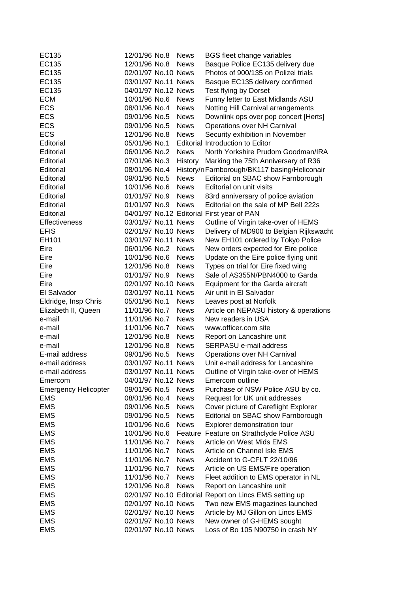| EC135                       | 12/01/96 No.8       | <b>News</b> | <b>BGS fleet change variables</b>                       |
|-----------------------------|---------------------|-------------|---------------------------------------------------------|
| EC135                       | 12/01/96 No.8       | <b>News</b> | Basque Police EC135 delivery due                        |
| EC135                       | 02/01/97 No.10 News |             | Photos of 900/135 on Polizei trials                     |
| EC135                       | 03/01/97 No.11 News |             | Basque EC135 delivery confirmed                         |
| EC135                       | 04/01/97 No.12 News |             | Test flying by Dorset                                   |
| <b>ECM</b>                  | 10/01/96 No.6       | <b>News</b> | Funny letter to East Midlands ASU                       |
| <b>ECS</b>                  | 08/01/96 No.4       | <b>News</b> | Notting Hill Carnival arrangements                      |
| <b>ECS</b>                  | 09/01/96 No.5       | <b>News</b> | Downlink ops over pop concert [Herts]                   |
| ECS                         | 09/01/96 No.5       | <b>News</b> | Operations over NH Carnival                             |
| <b>ECS</b>                  | 12/01/96 No.8       | <b>News</b> | Security exhibition in November                         |
| Editorial                   | 05/01/96 No.1       |             | Editorial Introduction to Editor                        |
| Editorial                   | 06/01/96 No.2       | <b>News</b> | North Yorkshire Prudom Goodman/IRA                      |
| Editorial                   | 07/01/96 No.3       | History     | Marking the 75th Anniversary of R36                     |
| Editorial                   | 08/01/96 No.4       |             | History/n Farnborough/BK117 basing/Heliconair           |
| Editorial                   | 09/01/96 No.5       | <b>News</b> | Editorial on SBAC show Farnborough                      |
| Editorial                   | 10/01/96 No.6       | <b>News</b> | Editorial on unit visits                                |
| Editorial                   | 01/01/97 No.9       | <b>News</b> | 83rd anniversary of police aviation                     |
| Editorial                   | 01/01/97 No.9       | <b>News</b> | Editorial on the sale of MP Bell 222s                   |
| Editorial                   |                     |             | 04/01/97 No.12 Editorial First year of PAN              |
| <b>Effectiveness</b>        | 03/01/97 No.11 News |             | Outline of Virgin take-over of HEMS                     |
| <b>EFIS</b>                 | 02/01/97 No.10 News |             | Delivery of MD900 to Belgian Rijkswacht                 |
| EH101                       | 03/01/97 No.11 News |             | New EH101 ordered by Tokyo Police                       |
| Eire                        | 06/01/96 No.2       | <b>News</b> | New orders expected for Eire police                     |
| Eire                        | 10/01/96 No.6       | <b>News</b> | Update on the Eire police flying unit                   |
| Eire                        | 12/01/96 No.8       | <b>News</b> | Types on trial for Eire fixed wing                      |
| Eire                        | 01/01/97 No.9       | <b>News</b> | Sale of AS355N/PBN4000 to Garda                         |
| Eire                        | 02/01/97 No.10 News |             | Equipment for the Garda aircraft                        |
| El Salvador                 | 03/01/97 No.11 News |             | Air unit in El Salvador                                 |
| Eldridge, Insp Chris        | 05/01/96 No.1       | <b>News</b> | Leaves post at Norfolk                                  |
| Elizabeth II, Queen         | 11/01/96 No.7       | <b>News</b> | Article on NEPASU history & operations                  |
| e-mail                      | 11/01/96 No.7       | <b>News</b> | New readers in USA                                      |
| e-mail                      | 11/01/96 No.7       | <b>News</b> | www.officer.com site                                    |
| e-mail                      | 12/01/96 No.8       | <b>News</b> | Report on Lancashire unit                               |
| e-mail                      | 12/01/96 No.8       | <b>News</b> | SERPASU e-mail address                                  |
| E-mail address              | 09/01/96 No.5       | <b>News</b> | Operations over NH Carnival                             |
| e-mail address              | 03/01/97 No.11 News |             | Unit e-mail address for Lancashire                      |
| e-mail address              | 03/01/97 No.11 News |             | Outline of Virgin take-over of HEMS                     |
| Emercom                     | 04/01/97 No.12 News |             | Emercom outline                                         |
| <b>Emergency Helicopter</b> | 09/01/96 No.5       | <b>News</b> | Purchase of NSW Police ASU by co.                       |
| <b>EMS</b>                  | 08/01/96 No.4       | <b>News</b> | Request for UK unit addresses                           |
| <b>EMS</b>                  | 09/01/96 No.5       | <b>News</b> | Cover picture of Careflight Explorer                    |
| <b>EMS</b>                  | 09/01/96 No.5       | <b>News</b> | Editorial on SBAC show Farnborough                      |
| <b>EMS</b>                  | 10/01/96 No.6       | <b>News</b> | Explorer demonstration tour                             |
| <b>EMS</b>                  | 10/01/96 No.6       |             | Feature Feature on Strathclyde Police ASU               |
| <b>EMS</b>                  | 11/01/96 No.7       | <b>News</b> | Article on West Mids EMS                                |
| <b>EMS</b>                  | 11/01/96 No.7       | <b>News</b> | Article on Channel Isle EMS                             |
| <b>EMS</b>                  | 11/01/96 No.7       | <b>News</b> | Accident to G-CFLT 22/10/96                             |
| <b>EMS</b>                  | 11/01/96 No.7       | <b>News</b> | Article on US EMS/Fire operation                        |
| <b>EMS</b>                  | 11/01/96 No.7       | <b>News</b> | Fleet addition to EMS operator in NL                    |
| <b>EMS</b>                  | 12/01/96 No.8       | <b>News</b> | Report on Lancashire unit                               |
| <b>EMS</b>                  |                     |             | 02/01/97 No.10 Editorial Report on Lincs EMS setting up |
| <b>EMS</b>                  | 02/01/97 No.10 News |             | Two new EMS magazines launched                          |
| <b>EMS</b>                  | 02/01/97 No.10 News |             | Article by MJ Gillon on Lincs EMS                       |
| <b>EMS</b>                  | 02/01/97 No.10 News |             | New owner of G-HEMS sought                              |
| <b>EMS</b>                  | 02/01/97 No.10 News |             | Loss of Bo 105 N90750 in crash NY                       |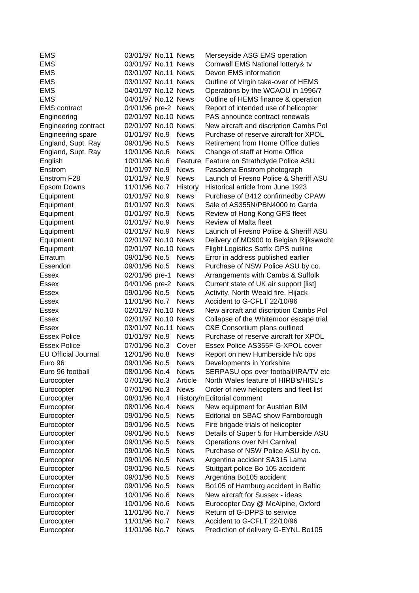| EMS                         | 03/01/97 No.11 News |             | Merseyside ASG EMS operation               |
|-----------------------------|---------------------|-------------|--------------------------------------------|
| <b>EMS</b>                  | 03/01/97 No.11 News |             | Cornwall EMS National lottery& tv          |
| <b>EMS</b>                  | 03/01/97 No.11 News |             | Devon EMS information                      |
| <b>EMS</b>                  | 03/01/97 No.11 News |             | Outline of Virgin take-over of HEMS        |
| <b>EMS</b>                  | 04/01/97 No.12 News |             | Operations by the WCAOU in 1996/7          |
| <b>EMS</b>                  | 04/01/97 No.12 News |             | Outline of HEMS finance & operation        |
| <b>EMS</b> contract         | 04/01/96 pre-2 News |             | Report of intended use of helicopter       |
| Engineering                 | 02/01/97 No.10 News |             | PAS announce contract renewals             |
| <b>Engineering contract</b> | 02/01/97 No.10 News |             | New aircraft and discription Cambs Pol     |
| Engineering spare           | 01/01/97 No.9       | <b>News</b> | Purchase of reserve aircraft for XPOL      |
| England, Supt. Ray          | 09/01/96 No.5       | <b>News</b> | <b>Retirement from Home Office duties</b>  |
| England, Supt. Ray          | 10/01/96 No.6       | <b>News</b> | Change of staff at Home Office             |
| English                     | 10/01/96 No.6       | Feature     | Feature on Strathclyde Police ASU          |
| Enstrom                     | 01/01/97 No.9       | <b>News</b> | Pasadena Enstrom photograph                |
| Enstrom F28                 | 01/01/97 No.9       | <b>News</b> | Launch of Fresno Police & Sheriff ASU      |
| Epsom Downs                 | 11/01/96 No.7       | History     | Historical article from June 1923          |
| Equipment                   | 01/01/97 No.9       | <b>News</b> | Purchase of B412 confirmedby CPAW          |
| Equipment                   | 01/01/97 No.9       | <b>News</b> | Sale of AS355N/PBN4000 to Garda            |
| Equipment                   | 01/01/97 No.9       | <b>News</b> | Review of Hong Kong GFS fleet              |
| Equipment                   | 01/01/97 No.9       | <b>News</b> | <b>Review of Malta fleet</b>               |
| Equipment                   | 01/01/97 No.9       | <b>News</b> | Launch of Fresno Police & Sheriff ASU      |
| Equipment                   | 02/01/97 No.10 News |             | Delivery of MD900 to Belgian Rijkswacht    |
| Equipment                   | 02/01/97 No.10 News |             | <b>Flight Logistics Satfix GPS outline</b> |
| Erratum                     | 09/01/96 No.5       | <b>News</b> | Error in address published earlier         |
| Essendon                    | 09/01/96 No.5       | <b>News</b> | Purchase of NSW Police ASU by co.          |
| Essex                       | 02/01/96 pre-1      | <b>News</b> | Arrangements with Cambs & Suffolk          |
| <b>Essex</b>                | 04/01/96 pre-2      | <b>News</b> | Current state of UK air support [list]     |
| Essex                       | 09/01/96 No.5       | <b>News</b> | Activity. North Weald fire. Hijack         |
| Essex                       | 11/01/96 No.7       | <b>News</b> | Accident to G-CFLT 22/10/96                |
| <b>Essex</b>                | 02/01/97 No.10 News |             | New aircraft and discription Cambs Pol     |
| Essex                       | 02/01/97 No.10 News |             | Collapse of the Whitemoor escape trial     |
| Essex                       | 03/01/97 No.11 News |             | C&E Consortium plans outlined              |
| <b>Essex Police</b>         | 01/01/97 No.9       | <b>News</b> | Purchase of reserve aircraft for XPOL      |
| <b>Essex Police</b>         | 07/01/96 No.3       | Cover       | Essex Police AS355F G-XPOL cover           |
| <b>EU Official Journal</b>  | 12/01/96 No.8       | <b>News</b> | Report on new Humberside h/c ops           |
| Euro 96                     | 09/01/96 No.5       | <b>News</b> | Developments in Yorkshire                  |
| Euro 96 football            | 08/01/96 No.4       | <b>News</b> | SERPASU ops over football/IRA/TV etc       |
| Eurocopter                  | 07/01/96 No.3       | Article     | North Wales feature of HIRB's/HISL's       |
| Eurocopter                  | 07/01/96 No.3       | <b>News</b> | Order of new helicopters and fleet list    |
| Eurocopter                  | 08/01/96 No.4       |             | History/n Editorial comment                |
| Eurocopter                  | 08/01/96 No.4       | <b>News</b> | New equipment for Austrian BIM             |
| Eurocopter                  | 09/01/96 No.5       | <b>News</b> | Editorial on SBAC show Farnborough         |
| Eurocopter                  | 09/01/96 No.5       | <b>News</b> | Fire brigade trials of helicopter          |
| Eurocopter                  | 09/01/96 No.5       | <b>News</b> | Details of Super 5 for Humberside ASU      |
| Eurocopter                  | 09/01/96 No.5       | <b>News</b> | Operations over NH Carnival                |
| Eurocopter                  | 09/01/96 No.5       | <b>News</b> | Purchase of NSW Police ASU by co.          |
| Eurocopter                  | 09/01/96 No.5       | <b>News</b> | Argentina accident SA315 Lama              |
| Eurocopter                  | 09/01/96 No.5       | <b>News</b> | Stuttgart police Bo 105 accident           |
| Eurocopter                  | 09/01/96 No.5       | <b>News</b> | Argentina Bo105 accident                   |
| Eurocopter                  | 09/01/96 No.5       | <b>News</b> | Bo105 of Hamburg accident in Baltic        |
| Eurocopter                  | 10/01/96 No.6       | <b>News</b> | New aircraft for Sussex - ideas            |
| Eurocopter                  | 10/01/96 No.6       | <b>News</b> | Eurocopter Day @ McAlpine, Oxford          |
| Eurocopter                  | 11/01/96 No.7       | <b>News</b> | Return of G-DPPS to service                |
| Eurocopter                  | 11/01/96 No.7       | <b>News</b> | Accident to G-CFLT 22/10/96                |
| Eurocopter                  | 11/01/96 No.7       | <b>News</b> | Prediction of delivery G-EYNL Bo105        |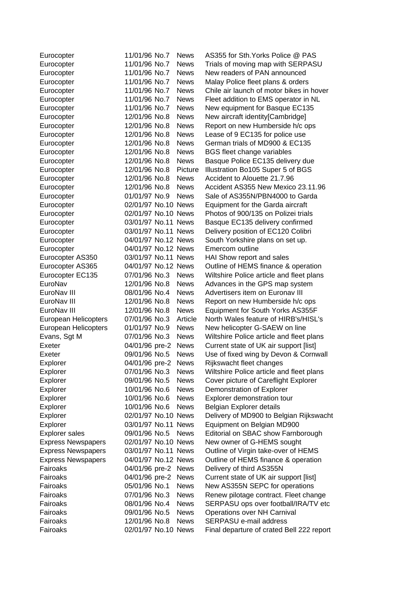| Eurocopter                | 11/01/96 No.7       | <b>News</b> | AS355 for Sth. Yorks Police @ PAS         |
|---------------------------|---------------------|-------------|-------------------------------------------|
| Eurocopter                | 11/01/96 No.7       | <b>News</b> | Trials of moving map with SERPASU         |
| Eurocopter                | 11/01/96 No.7       | <b>News</b> | New readers of PAN announced              |
| Eurocopter                | 11/01/96 No.7       | <b>News</b> | Malay Police fleet plans & orders         |
| Eurocopter                | 11/01/96 No.7       | <b>News</b> | Chile air launch of motor bikes in hover  |
| Eurocopter                | 11/01/96 No.7       | <b>News</b> | Fleet addition to EMS operator in NL      |
| Eurocopter                | 11/01/96 No.7       | <b>News</b> | New equipment for Basque EC135            |
| Eurocopter                | 12/01/96 No.8       | <b>News</b> | New aircraft identity[Cambridge]          |
| Eurocopter                | 12/01/96 No.8       | <b>News</b> | Report on new Humberside h/c ops          |
| Eurocopter                | 12/01/96 No.8       | <b>News</b> | Lease of 9 EC135 for police use           |
| Eurocopter                | 12/01/96 No.8       | <b>News</b> | German trials of MD900 & EC135            |
| Eurocopter                | 12/01/96 No.8       | <b>News</b> | <b>BGS</b> fleet change variables         |
| Eurocopter                | 12/01/96 No.8       | <b>News</b> | Basque Police EC135 delivery due          |
| Eurocopter                | 12/01/96 No.8       | Picture     | Illustration Bo105 Super 5 of BGS         |
| Eurocopter                | 12/01/96 No.8       | <b>News</b> | Accident to Alouette 21.7.96              |
| Eurocopter                | 12/01/96 No.8       | <b>News</b> | Accident AS355 New Mexico 23.11.96        |
| Eurocopter                | 01/01/97 No.9       | <b>News</b> | Sale of AS355N/PBN4000 to Garda           |
| Eurocopter                | 02/01/97 No.10 News |             | Equipment for the Garda aircraft          |
| Eurocopter                | 02/01/97 No.10 News |             | Photos of 900/135 on Polizei trials       |
| Eurocopter                | 03/01/97 No.11 News |             | Basque EC135 delivery confirmed           |
| Eurocopter                | 03/01/97 No.11 News |             | Delivery position of EC120 Colibri        |
| Eurocopter                | 04/01/97 No.12 News |             | South Yorkshire plans on set up.          |
| Eurocopter                | 04/01/97 No.12 News |             | Emercom outline                           |
| Eurocopter AS350          | 03/01/97 No.11 News |             | HAI Show report and sales                 |
| Eurocopter AS365          | 04/01/97 No.12 News |             | Outline of HEMS finance & operation       |
| Eurocopter EC135          | 07/01/96 No.3       | <b>News</b> | Wiltshire Police article and fleet plans  |
| EuroNav                   | 12/01/96 No.8       | <b>News</b> | Advances in the GPS map system            |
| EuroNav III               | 08/01/96 No.4       | <b>News</b> | Advertisers item on Euronav III           |
| EuroNav III               | 12/01/96 No.8       | <b>News</b> | Report on new Humberside h/c ops          |
| EuroNav III               | 12/01/96 No.8       | <b>News</b> | Equipment for South Yorks AS355F          |
| European Helicopters      | 07/01/96 No.3       | Article     | North Wales feature of HIRB's/HISL's      |
| European Helicopters      | 01/01/97 No.9       | <b>News</b> | New helicopter G-SAEW on line             |
| Evans, Sgt M              | 07/01/96 No.3       | <b>News</b> | Wiltshire Police article and fleet plans  |
| Exeter                    | 04/01/96 pre-2      | <b>News</b> | Current state of UK air support [list]    |
| Exeter                    | 09/01/96 No.5       | <b>News</b> | Use of fixed wing by Devon & Cornwall     |
| Explorer                  | 04/01/96 pre-2      | <b>News</b> | Rijkswacht fleet changes                  |
| Explorer                  | 07/01/96 No.3       | <b>News</b> | Wiltshire Police article and fleet plans  |
| Explorer                  | 09/01/96 No.5       | <b>News</b> | Cover picture of Careflight Explorer      |
| Explorer                  | 10/01/96 No.6       | <b>News</b> | Demonstration of Explorer                 |
| Explorer                  | 10/01/96 No.6       | <b>News</b> | Explorer demonstration tour               |
| Explorer                  | 10/01/96 No.6       | <b>News</b> | Belgian Explorer details                  |
| Explorer                  | 02/01/97 No.10 News |             | Delivery of MD900 to Belgian Rijkswacht   |
| Explorer                  | 03/01/97 No.11 News |             | Equipment on Belgian MD900                |
| Explorer sales            | 09/01/96 No.5       | <b>News</b> | Editorial on SBAC show Farnborough        |
| <b>Express Newspapers</b> | 02/01/97 No.10 News |             | New owner of G-HEMS sought                |
| <b>Express Newspapers</b> | 03/01/97 No.11 News |             | Outline of Virgin take-over of HEMS       |
| <b>Express Newspapers</b> | 04/01/97 No.12 News |             | Outline of HEMS finance & operation       |
| Fairoaks                  | 04/01/96 pre-2      | <b>News</b> | Delivery of third AS355N                  |
| Fairoaks                  | 04/01/96 pre-2      | <b>News</b> | Current state of UK air support [list]    |
| Fairoaks                  | 05/01/96 No.1       | <b>News</b> | New AS355N SEPC for operations            |
| Fairoaks                  | 07/01/96 No.3       | <b>News</b> | Renew pilotage contract. Fleet change     |
| Fairoaks                  | 08/01/96 No.4       | <b>News</b> | SERPASU ops over football/IRA/TV etc      |
| Fairoaks                  | 09/01/96 No.5       | News        | Operations over NH Carnival               |
| Fairoaks                  | 12/01/96 No.8       | <b>News</b> | SERPASU e-mail address                    |
| Fairoaks                  | 02/01/97 No.10 News |             | Final departure of crated Bell 222 report |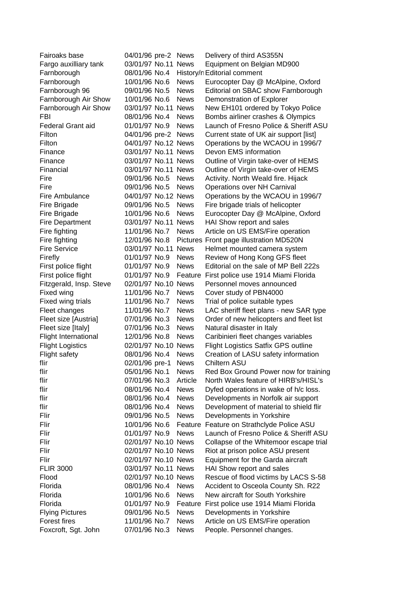| Fairoaks base               | 04/01/96 pre-2 News |             | Delivery of third AS355N                   |
|-----------------------------|---------------------|-------------|--------------------------------------------|
| Fargo auxilliary tank       | 03/01/97 No.11 News |             | Equipment on Belgian MD900                 |
| Farnborough                 | 08/01/96 No.4       |             | History/n Editorial comment                |
| Farnborough                 | 10/01/96 No.6       | <b>News</b> | Eurocopter Day @ McAlpine, Oxford          |
| Farnborough 96              | 09/01/96 No.5       | <b>News</b> | Editorial on SBAC show Farnborough         |
| Farnborough Air Show        | 10/01/96 No.6       | <b>News</b> | Demonstration of Explorer                  |
| Farnborough Air Show        | 03/01/97 No.11 News |             | New EH101 ordered by Tokyo Police          |
| FBI                         | 08/01/96 No.4       | <b>News</b> | Bombs airliner crashes & Olympics          |
| Federal Grant aid           | 01/01/97 No.9       | <b>News</b> | Launch of Fresno Police & Sheriff ASU      |
| Filton                      | 04/01/96 pre-2 News |             | Current state of UK air support [list]     |
| Filton                      | 04/01/97 No.12 News |             | Operations by the WCAOU in 1996/7          |
| Finance                     | 03/01/97 No.11 News |             | Devon EMS information                      |
| Finance                     | 03/01/97 No.11 News |             | Outline of Virgin take-over of HEMS        |
| Financial                   | 03/01/97 No.11 News |             | Outline of Virgin take-over of HEMS        |
| Fire                        | 09/01/96 No.5       | <b>News</b> | Activity. North Weald fire. Hijack         |
| Fire                        | 09/01/96 No.5       | <b>News</b> | Operations over NH Carnival                |
| Fire Ambulance              | 04/01/97 No.12 News |             | Operations by the WCAOU in 1996/7          |
| Fire Brigade                | 09/01/96 No.5       | <b>News</b> | Fire brigade trials of helicopter          |
| Fire Brigade                | 10/01/96 No.6       | <b>News</b> | Eurocopter Day @ McAlpine, Oxford          |
| <b>Fire Department</b>      | 03/01/97 No.11      | <b>News</b> | HAI Show report and sales                  |
| Fire fighting               | 11/01/96 No.7       | <b>News</b> | Article on US EMS/Fire operation           |
| Fire fighting               | 12/01/96 No.8       |             | Pictures Front page illustration MD520N    |
| <b>Fire Service</b>         | 03/01/97 No.11 News |             | Helmet mounted camera system               |
| Firefly                     | 01/01/97 No.9       | <b>News</b> | Review of Hong Kong GFS fleet              |
| First police flight         | 01/01/97 No.9       | <b>News</b> | Editorial on the sale of MP Bell 222s      |
| First police flight         | 01/01/97 No.9       | Feature     | First police use 1914 Miami Florida        |
| Fitzgerald, Insp. Steve     | 02/01/97 No.10 News |             | Personnel moves announced                  |
| Fixed wing                  | 11/01/96 No.7       | <b>News</b> | Cover study of PBN4000                     |
| Fixed wing trials           | 11/01/96 No.7       | <b>News</b> | Trial of police suitable types             |
| Fleet changes               | 11/01/96 No.7       | <b>News</b> | LAC sheriff fleet plans - new SAR type     |
| Fleet size [Austria]        | 07/01/96 No.3       | <b>News</b> | Order of new helicopters and fleet list    |
| Fleet size [Italy]          | 07/01/96 No.3       | <b>News</b> | Natural disaster in Italy                  |
| <b>Flight International</b> | 12/01/96 No.8       | <b>News</b> | Caribinieri fleet changes variables        |
| <b>Flight Logistics</b>     | 02/01/97 No.10 News |             | <b>Flight Logistics Satfix GPS outline</b> |
| Flight safety               | 08/01/96 No.4       | <b>News</b> | Creation of LASU safety information        |
| flir                        | 02/01/96 pre-1      | <b>News</b> | Chiltern ASU                               |
| flir                        | 05/01/96 No.1       | <b>News</b> | Red Box Ground Power now for training      |
| flir                        | 07/01/96 No.3       | Article     | North Wales feature of HIRB's/HISL's       |
| flir                        | 08/01/96 No.4       | <b>News</b> | Dyfed operations in wake of h/c loss.      |
| flir                        | 08/01/96 No.4       | <b>News</b> | Developments in Norfolk air support        |
| flir                        | 08/01/96 No.4       | <b>News</b> | Development of material to shield flir     |
| Flir                        | 09/01/96 No.5       | <b>News</b> | Developments in Yorkshire                  |
| Flir                        | 10/01/96 No.6       | Feature     | Feature on Strathclyde Police ASU          |
| Flir                        | 01/01/97 No.9       | <b>News</b> | Launch of Fresno Police & Sheriff ASU      |
| Flir                        | 02/01/97 No.10 News |             | Collapse of the Whitemoor escape trial     |
| Flir                        | 02/01/97 No.10 News |             | Riot at prison police ASU present          |
| Flir                        | 02/01/97 No.10 News |             | Equipment for the Garda aircraft           |
| <b>FLIR 3000</b>            | 03/01/97 No.11 News |             | HAI Show report and sales                  |
| Flood                       | 02/01/97 No.10 News |             | Rescue of flood victims by LACS S-58       |
| Florida                     | 08/01/96 No.4       | <b>News</b> | Accident to Osceola County Sh. R22         |
| Florida                     | 10/01/96 No.6       | <b>News</b> | New aircraft for South Yorkshire           |
| Florida                     | 01/01/97 No.9       | Feature     | First police use 1914 Miami Florida        |
| <b>Flying Pictures</b>      | 09/01/96 No.5       | <b>News</b> | Developments in Yorkshire                  |
| <b>Forest fires</b>         | 11/01/96 No.7       | <b>News</b> | Article on US EMS/Fire operation           |
| Foxcroft, Sgt. John         | 07/01/96 No.3       | News        | People. Personnel changes.                 |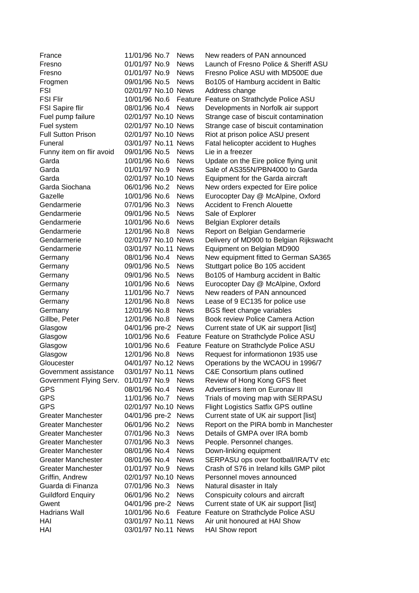| France                    | 11/01/96 No.7       | <b>News</b> | New readers of PAN announced               |
|---------------------------|---------------------|-------------|--------------------------------------------|
| Fresno                    | 01/01/97 No.9       | <b>News</b> | Launch of Fresno Police & Sheriff ASU      |
| Fresno                    | 01/01/97 No.9       | <b>News</b> | Fresno Police ASU with MD500E due          |
| Frogmen                   | 09/01/96 No.5       | <b>News</b> | Bo105 of Hamburg accident in Baltic        |
| FSI                       | 02/01/97 No.10 News |             | Address change                             |
| <b>FSI Flir</b>           | 10/01/96 No.6       | Feature     | Feature on Strathclyde Police ASU          |
| <b>FSI Sapire flir</b>    | 08/01/96 No.4       | <b>News</b> | Developments in Norfolk air support        |
| Fuel pump failure         | 02/01/97 No.10 News |             | Strange case of biscuit contamination      |
| Fuel system               | 02/01/97 No.10 News |             | Strange case of biscuit contamination      |
| <b>Full Sutton Prison</b> | 02/01/97 No.10 News |             | Riot at prison police ASU present          |
| Funeral                   | 03/01/97 No.11 News |             | Fatal helicopter accident to Hughes        |
| Funny item on flir avoid  | 09/01/96 No.5       | <b>News</b> | Lie in a freezer                           |
| Garda                     | 10/01/96 No.6       | <b>News</b> | Update on the Eire police flying unit      |
| Garda                     | 01/01/97 No.9       | <b>News</b> | Sale of AS355N/PBN4000 to Garda            |
| Garda                     | 02/01/97 No.10 News |             | Equipment for the Garda aircraft           |
| Garda Siochana            | 06/01/96 No.2       | <b>News</b> | New orders expected for Eire police        |
| Gazelle                   | 10/01/96 No.6       | <b>News</b> | Eurocopter Day @ McAlpine, Oxford          |
| Gendarmerie               | 07/01/96 No.3       | <b>News</b> | <b>Accident to French Alouette</b>         |
| Gendarmerie               | 09/01/96 No.5       | <b>News</b> | Sale of Explorer                           |
| Gendarmerie               | 10/01/96 No.6       | <b>News</b> | Belgian Explorer details                   |
| Gendarmerie               | 12/01/96 No.8       | <b>News</b> | Report on Belgian Gendarmerie              |
| Gendarmerie               | 02/01/97 No.10 News |             | Delivery of MD900 to Belgian Rijkswacht    |
| Gendarmerie               | 03/01/97 No.11 News |             | Equipment on Belgian MD900                 |
| Germany                   | 08/01/96 No.4       | <b>News</b> | New equipment fitted to German SA365       |
| Germany                   | 09/01/96 No.5       | <b>News</b> | Stuttgart police Bo 105 accident           |
| Germany                   | 09/01/96 No.5       | <b>News</b> | Bo105 of Hamburg accident in Baltic        |
| Germany                   | 10/01/96 No.6       | <b>News</b> | Eurocopter Day @ McAlpine, Oxford          |
| Germany                   | 11/01/96 No.7       | <b>News</b> | New readers of PAN announced               |
| Germany                   | 12/01/96 No.8       | <b>News</b> | Lease of 9 EC135 for police use            |
| Germany                   | 12/01/96 No.8       | <b>News</b> | <b>BGS</b> fleet change variables          |
| Gillbe, Peter             | 12/01/96 No.8       | <b>News</b> | Book review Police Camera Action           |
| Glasgow                   | 04/01/96 pre-2      | <b>News</b> | Current state of UK air support [list]     |
| Glasgow                   | 10/01/96 No.6       |             | Feature Feature on Strathclyde Police ASU  |
| Glasgow                   | 10/01/96 No.6       |             | Feature Feature on Strathclyde Police ASU  |
| Glasgow                   | 12/01/96 No.8       | <b>News</b> | Request for informationon 1935 use         |
| Gloucester                | 04/01/97 No.12 News |             | Operations by the WCAOU in 1996/7          |
| Government assistance     | 03/01/97 No.11 News |             | C&E Consortium plans outlined              |
| Government Flying Serv.   | 01/01/97 No.9       | <b>News</b> | Review of Hong Kong GFS fleet              |
| <b>GPS</b>                | 08/01/96 No.4       | <b>News</b> | Advertisers item on Euronav III            |
| <b>GPS</b>                | 11/01/96 No.7       | <b>News</b> | Trials of moving map with SERPASU          |
| <b>GPS</b>                | 02/01/97 No.10 News |             | <b>Flight Logistics Satfix GPS outline</b> |
| <b>Greater Manchester</b> | 04/01/96 pre-2      | <b>News</b> | Current state of UK air support [list]     |
| <b>Greater Manchester</b> | 06/01/96 No.2       | <b>News</b> | Report on the PIRA bomb in Manchester      |
| <b>Greater Manchester</b> | 07/01/96 No.3       | <b>News</b> | Details of GMPA over IRA bomb              |
| <b>Greater Manchester</b> | 07/01/96 No.3       | <b>News</b> | People. Personnel changes.                 |
| <b>Greater Manchester</b> | 08/01/96 No.4       | <b>News</b> | Down-linking equipment                     |
| <b>Greater Manchester</b> | 08/01/96 No.4       | <b>News</b> | SERPASU ops over football/IRA/TV etc       |
| <b>Greater Manchester</b> | 01/01/97 No.9       | <b>News</b> | Crash of S76 in Ireland kills GMP pilot    |
| Griffin, Andrew           | 02/01/97 No.10 News |             | Personnel moves announced                  |
| Guarda di Finanza         | 07/01/96 No.3       | <b>News</b> | Natural disaster in Italy                  |
| <b>Guildford Enquiry</b>  | 06/01/96 No.2       | <b>News</b> | Conspicuity colours and aircraft           |
| Gwent                     | 04/01/96 pre-2      | <b>News</b> | Current state of UK air support [list]     |
| <b>Hadrians Wall</b>      | 10/01/96 No.6       | Feature     | Feature on Strathclyde Police ASU          |
| HAI                       | 03/01/97 No.11 News |             | Air unit honoured at HAI Show              |
| HAI                       | 03/01/97 No.11 News |             | <b>HAI Show report</b>                     |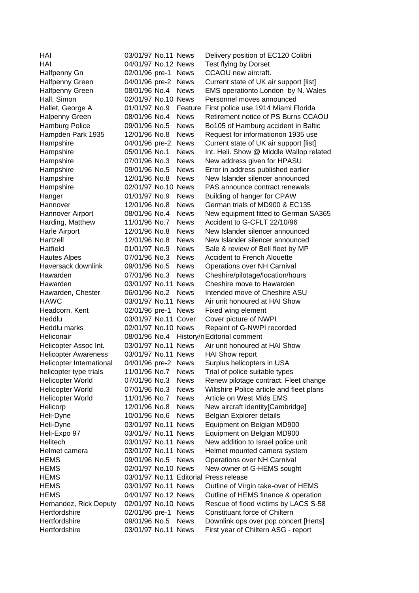| HAI                                                | 03/01/97 No.11 News            |                            | Delivery position of EC120 Colibri                                                |
|----------------------------------------------------|--------------------------------|----------------------------|-----------------------------------------------------------------------------------|
| HAI                                                | 04/01/97 No.12 News            |                            | Test flying by Dorset                                                             |
| Halfpenny Gn                                       | 02/01/96 pre-1                 | <b>News</b>                | CCAOU new aircraft.                                                               |
| <b>Halfpenny Green</b>                             | 04/01/96 pre-2                 | <b>News</b>                | Current state of UK air support [list]                                            |
| Halfpenny Green                                    | 08/01/96 No.4                  | <b>News</b>                | EMS operationto London by N. Wales                                                |
| Hall, Simon                                        | 02/01/97 No.10 News            |                            | Personnel moves announced                                                         |
| Hallet, George A                                   | 01/01/97 No.9                  | Feature                    | First police use 1914 Miami Florida                                               |
| Halpenny Green                                     | 08/01/96 No.4                  | <b>News</b>                | Retirement notice of PS Burns CCAOU                                               |
| <b>Hamburg Police</b>                              | 09/01/96 No.5                  | <b>News</b>                | Bo105 of Hamburg accident in Baltic                                               |
| Hampden Park 1935                                  | 12/01/96 No.8                  | <b>News</b>                | Request for informationon 1935 use                                                |
| Hampshire                                          | 04/01/96 pre-2                 | <b>News</b>                | Current state of UK air support [list]                                            |
| Hampshire                                          | 05/01/96 No.1                  | <b>News</b>                | Int. Heli. Show @ Middle Wallop related                                           |
| Hampshire                                          | 07/01/96 No.3                  | <b>News</b>                | New address given for HPASU                                                       |
| Hampshire                                          | 09/01/96 No.5                  | <b>News</b>                | Error in address published earlier                                                |
| Hampshire                                          | 12/01/96 No.8                  | <b>News</b>                | New Islander silencer announced                                                   |
| Hampshire                                          | 02/01/97 No.10 News            |                            | PAS announce contract renewals                                                    |
| Hanger                                             | 01/01/97 No.9                  | <b>News</b>                | Building of hanger for CPAW                                                       |
| Hannover                                           | 12/01/96 No.8                  | <b>News</b>                | German trials of MD900 & EC135                                                    |
| Hannover Airport                                   | 08/01/96 No.4                  | <b>News</b>                | New equipment fitted to German SA365                                              |
| Harding, Matthew                                   | 11/01/96 No.7                  | <b>News</b>                | Accident to G-CFLT 22/10/96                                                       |
| Harle Airport                                      | 12/01/96 No.8                  | <b>News</b>                | New Islander silencer announced                                                   |
| Hartzell                                           | 12/01/96 No.8                  | <b>News</b>                | New Islander silencer announced                                                   |
| Hatfield                                           | 01/01/97 No.9                  | <b>News</b>                | Sale & review of Bell fleet by MP                                                 |
| <b>Hautes Alpes</b>                                | 07/01/96 No.3                  | <b>News</b>                | <b>Accident to French Alouette</b>                                                |
| Haversack downlink                                 | 09/01/96 No.5                  | <b>News</b>                | Operations over NH Carnival                                                       |
| Hawarden                                           | 07/01/96 No.3                  | <b>News</b>                | Cheshire/pilotage/location/hours                                                  |
| Hawarden                                           | 03/01/97 No.11 News            |                            | Cheshire move to Hawarden                                                         |
| Hawarden, Chester                                  | 06/01/96 No.2                  | <b>News</b>                | Intended move of Cheshire ASU                                                     |
| <b>HAWC</b>                                        | 03/01/97 No.11 News            |                            | Air unit honoured at HAI Show                                                     |
| Headcorn, Kent                                     | 02/01/96 pre-1                 | <b>News</b>                | Fixed wing element                                                                |
| Heddlu                                             | 03/01/97 No.11 Cover           |                            | Cover picture of NWPI                                                             |
| <b>Heddlu marks</b>                                | 02/01/97 No.10 News            |                            | Repaint of G-NWPI recorded                                                        |
| Heliconair                                         | 08/01/96 No.4                  |                            | History/n Editorial comment                                                       |
| Helicopter Assoc Int.                              | 03/01/97 No.11 News            |                            | Air unit honoured at HAI Show                                                     |
| <b>Helicopter Awareness</b>                        | 03/01/97 No.11 News            |                            | <b>HAI Show report</b>                                                            |
| Helicopter International                           | 04/01/96 pre-2 News            |                            | Surplus helicopters in USA                                                        |
|                                                    |                                |                            |                                                                                   |
| helicopter type trials                             | 11/01/96 No.7                  | <b>News</b>                | Trial of police suitable types                                                    |
| <b>Helicopter World</b><br><b>Helicopter World</b> | 07/01/96 No.3<br>07/01/96 No.3 | <b>News</b><br><b>News</b> | Renew pilotage contract. Fleet change<br>Wiltshire Police article and fleet plans |
|                                                    | 11/01/96 No.7                  |                            | Article on West Mids EMS                                                          |
| <b>Helicopter World</b>                            | 12/01/96 No.8                  | <b>News</b>                |                                                                                   |
| Helicorp                                           |                                | <b>News</b>                | New aircraft identity[Cambridge]                                                  |
| Heli-Dyne                                          | 10/01/96 No.6                  | <b>News</b>                | Belgian Explorer details                                                          |
| Heli-Dyne                                          | 03/01/97 No.11 News            |                            | Equipment on Belgian MD900                                                        |
| Heli-Expo 97                                       | 03/01/97 No.11 News            |                            | Equipment on Belgian MD900                                                        |
| Helitech                                           | 03/01/97 No.11 News            |                            | New addition to Israel police unit                                                |
| Helmet camera                                      | 03/01/97 No.11 News            |                            | Helmet mounted camera system                                                      |
| <b>HEMS</b>                                        | 09/01/96 No.5                  | News                       | Operations over NH Carnival                                                       |
| <b>HEMS</b>                                        | 02/01/97 No.10 News            |                            | New owner of G-HEMS sought                                                        |
| <b>HEMS</b>                                        |                                |                            | 03/01/97 No.11 Editorial Press release                                            |
| <b>HEMS</b>                                        | 03/01/97 No.11 News            |                            | Outline of Virgin take-over of HEMS                                               |
| <b>HEMS</b>                                        | 04/01/97 No.12 News            |                            | Outline of HEMS finance & operation                                               |
| Hernandez, Rick Deputy                             | 02/01/97 No.10 News            |                            | Rescue of flood victims by LACS S-58                                              |
| Hertfordshire                                      | 02/01/96 pre-1                 | <b>News</b>                | <b>Constituant force of Chiltern</b>                                              |
| Hertfordshire                                      | 09/01/96 No.5                  | <b>News</b>                | Downlink ops over pop concert [Herts]                                             |
| Hertfordshire                                      | 03/01/97 No.11 News            |                            | First year of Chiltern ASG - report                                               |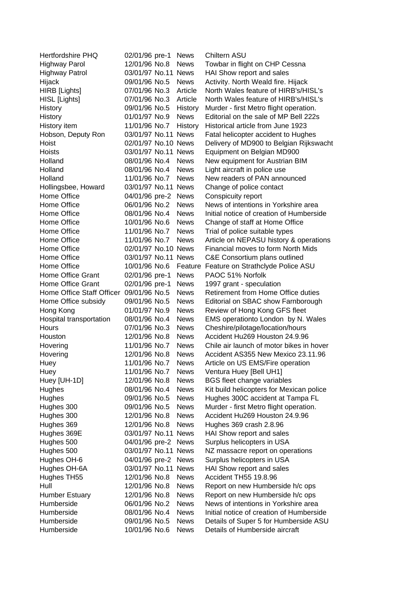| <b>Hertfordshire PHQ</b>            | 02/01/96 pre-1      | <b>News</b> | Chiltern ASU                                                             |
|-------------------------------------|---------------------|-------------|--------------------------------------------------------------------------|
| <b>Highway Parol</b>                | 12/01/96 No.8       | <b>News</b> | Towbar in flight on CHP Cessna                                           |
| <b>Highway Patrol</b>               | 03/01/97 No.11 News |             | HAI Show report and sales                                                |
| Hijack                              | 09/01/96 No.5       | <b>News</b> | Activity. North Weald fire. Hijack                                       |
| HIRB [Lights]                       | 07/01/96 No.3       | Article     | North Wales feature of HIRB's/HISL's                                     |
| HISL [Lights]                       | 07/01/96 No.3       | Article     | North Wales feature of HIRB's/HISL's                                     |
| History                             | 09/01/96 No.5       | History     | Murder - first Metro flight operation.                                   |
| History                             | 01/01/97 No.9       | <b>News</b> | Editorial on the sale of MP Bell 222s                                    |
| History item                        | 11/01/96 No.7       | History     | Historical article from June 1923                                        |
| Hobson, Deputy Ron                  | 03/01/97 No.11 News |             | Fatal helicopter accident to Hughes                                      |
| Hoist                               | 02/01/97 No.10 News |             | Delivery of MD900 to Belgian Rijkswacht                                  |
| <b>Hoists</b>                       | 03/01/97 No.11 News |             | Equipment on Belgian MD900                                               |
| Holland                             | 08/01/96 No.4       | <b>News</b> | New equipment for Austrian BIM                                           |
| Holland                             | 08/01/96 No.4       | <b>News</b> | Light aircraft in police use                                             |
| Holland                             | 11/01/96 No.7       | <b>News</b> | New readers of PAN announced                                             |
| Hollingsbee, Howard                 | 03/01/97 No.11 News |             | Change of police contact                                                 |
| Home Office                         | 04/01/96 pre-2      | <b>News</b> | Conspicuity report                                                       |
| Home Office                         | 06/01/96 No.2       | <b>News</b> | News of intentions in Yorkshire area                                     |
| Home Office                         | 08/01/96 No.4       | <b>News</b> | Initial notice of creation of Humberside                                 |
| Home Office                         | 10/01/96 No.6       | <b>News</b> | Change of staff at Home Office                                           |
| Home Office                         | 11/01/96 No.7       | <b>News</b> | Trial of police suitable types                                           |
| Home Office                         | 11/01/96 No.7       | <b>News</b> | Article on NEPASU history & operations                                   |
| Home Office                         | 02/01/97 No.10 News |             | Financial moves to form North Mids                                       |
| Home Office                         | 03/01/97 No.11 News |             | C&E Consortium plans outlined                                            |
| Home Office                         | 10/01/96 No.6       | Feature     | Feature on Strathclyde Police ASU                                        |
| Home Office Grant                   | 02/01/96 pre-1      | <b>News</b> | PAOC 51% Norfolk                                                         |
| Home Office Grant                   | 02/01/96 pre-1      | <b>News</b> | 1997 grant - speculation                                                 |
| Home Office Staff Officer           | 09/01/96 No.5       | <b>News</b> | <b>Retirement from Home Office duties</b>                                |
| Home Office subsidy                 | 09/01/96 No.5       | <b>News</b> | Editorial on SBAC show Farnborough                                       |
| Hong Kong                           | 01/01/97 No.9       | <b>News</b> | Review of Hong Kong GFS fleet                                            |
| Hospital transportation             | 08/01/96 No.4       | <b>News</b> | EMS operationto London by N. Wales                                       |
| Hours                               | 07/01/96 No.3       | <b>News</b> | Cheshire/pilotage/location/hours                                         |
| Houston                             | 12/01/96 No.8       | <b>News</b> | Accident Hu269 Houston 24.9.96                                           |
| Hovering                            | 11/01/96 No.7       | <b>News</b> | Chile air launch of motor bikes in hover                                 |
| Hovering                            | 12/01/96 No.8       | <b>News</b> | Accident AS355 New Mexico 23.11.96                                       |
| Huey                                | 11/01/96 No.7       | <b>News</b> | Article on US EMS/Fire operation                                         |
| Huey                                | 11/01/96 No.7       | <b>News</b> | Ventura Huey [Bell UH1]                                                  |
| Huey [UH-1D]                        | 12/01/96 No.8       | <b>News</b> | <b>BGS fleet change variables</b>                                        |
| Hughes                              | 08/01/96 No.4       | <b>News</b> | Kit build helicopters for Mexican police                                 |
| Hughes                              | 09/01/96 No.5       | <b>News</b> | Hughes 300C accident at Tampa FL                                         |
| Hughes 300                          | 09/01/96 No.5       | <b>News</b> | Murder - first Metro flight operation.                                   |
| Hughes 300                          | 12/01/96 No.8       | <b>News</b> | Accident Hu269 Houston 24.9.96                                           |
| Hughes 369                          | 12/01/96 No.8       | <b>News</b> | Hughes 369 crash 2.8.96                                                  |
| Hughes 369E                         | 03/01/97 No.11 News |             | HAI Show report and sales                                                |
| Hughes 500                          | 04/01/96 pre-2      | News        | Surplus helicopters in USA                                               |
| Hughes 500                          | 03/01/97 No.11 News |             |                                                                          |
| Hughes OH-6                         | 04/01/96 pre-2      | <b>News</b> | NZ massacre report on operations<br>Surplus helicopters in USA           |
| Hughes OH-6A                        | 03/01/97 No.11 News |             | HAI Show report and sales                                                |
| Hughes TH55                         | 12/01/96 No.8       | <b>News</b> | Accident TH55 19.8.96                                                    |
|                                     |                     |             |                                                                          |
| Hull                                | 12/01/96 No.8       | <b>News</b> | Report on new Humberside h/c ops                                         |
| <b>Humber Estuary</b><br>Humberside | 12/01/96 No.8       | <b>News</b> | Report on new Humberside h/c ops<br>News of intentions in Yorkshire area |
|                                     | 06/01/96 No.2       | <b>News</b> |                                                                          |
| Humberside                          | 08/01/96 No.4       | <b>News</b> | Initial notice of creation of Humberside                                 |
| Humberside                          | 09/01/96 No.5       | <b>News</b> | Details of Super 5 for Humberside ASU                                    |
| Humberside                          | 10/01/96 No.6       | <b>News</b> | Details of Humberside aircraft                                           |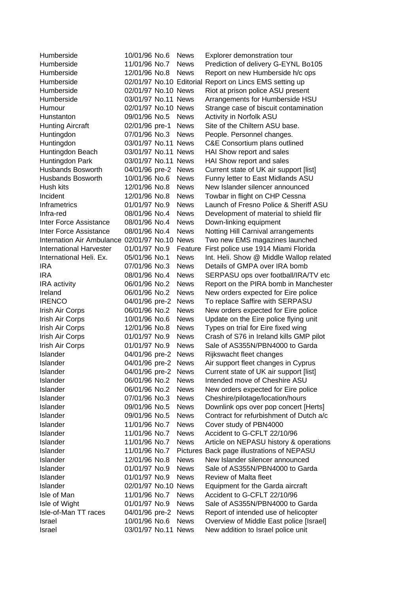| Humberside                                    | 10/01/96 No.6            | <b>News</b> | Explorer demonstration tour                |
|-----------------------------------------------|--------------------------|-------------|--------------------------------------------|
| Humberside                                    | 11/01/96 No.7            | <b>News</b> | Prediction of delivery G-EYNL Bo105        |
| Humberside                                    | 12/01/96 No.8            | <b>News</b> | Report on new Humberside h/c ops           |
| Humberside                                    | 02/01/97 No.10 Editorial |             | Report on Lincs EMS setting up             |
| Humberside                                    | 02/01/97 No.10 News      |             | Riot at prison police ASU present          |
| Humberside                                    | 03/01/97 No.11 News      |             | Arrangements for Humberside HSU            |
| Humour                                        | 02/01/97 No.10 News      |             | Strange case of biscuit contamination      |
| Hunstanton                                    | 09/01/96 No.5            | <b>News</b> | Activity in Norfolk ASU                    |
| <b>Hunting Aircraft</b>                       | 02/01/96 pre-1           | <b>News</b> | Site of the Chiltern ASU base.             |
| Huntingdon                                    | 07/01/96 No.3            | <b>News</b> | People. Personnel changes.                 |
| Huntingdon                                    | 03/01/97 No.11 News      |             | C&E Consortium plans outlined              |
| Huntingdon Beach                              | 03/01/97 No.11 News      |             | HAI Show report and sales                  |
| Huntingdon Park                               | 03/01/97 No.11           | <b>News</b> | HAI Show report and sales                  |
| <b>Husbands Bosworth</b>                      | 04/01/96 pre-2           | <b>News</b> | Current state of UK air support [list]     |
| <b>Husbands Bosworth</b>                      | 10/01/96 No.6            | <b>News</b> | Funny letter to East Midlands ASU          |
| Hush kits                                     | 12/01/96 No.8            | <b>News</b> | New Islander silencer announced            |
| Incident                                      | 12/01/96 No.8            | <b>News</b> | Towbar in flight on CHP Cessna             |
| <b>Inframetrics</b>                           | 01/01/97 No.9            | <b>News</b> | Launch of Fresno Police & Sheriff ASU      |
| Infra-red                                     | 08/01/96 No.4            | <b>News</b> | Development of material to shield flir     |
| Inter Force Assistance                        | 08/01/96 No.4            | <b>News</b> | Down-linking equipment                     |
| Inter Force Assistance                        | 08/01/96 No.4            | <b>News</b> | Notting Hill Carnival arrangements         |
| Internation Air Ambulance 02/01/97 No.10 News |                          |             | Two new EMS magazines launched             |
|                                               | 01/01/97 No.9            |             |                                            |
| <b>International Harvester</b>                |                          | Feature     | First police use 1914 Miami Florida        |
| International Heli. Ex.                       | 05/01/96 No.1            | <b>News</b> | Int. Heli. Show @ Middle Wallop related    |
| <b>IRA</b><br><b>IRA</b>                      | 07/01/96 No.3            | <b>News</b> | Details of GMPA over IRA bomb              |
|                                               | 08/01/96 No.4            | <b>News</b> | SERPASU ops over football/IRA/TV etc       |
| IRA activity                                  | 06/01/96 No.2            | <b>News</b> | Report on the PIRA bomb in Manchester      |
| Ireland                                       | 06/01/96 No.2            | <b>News</b> | New orders expected for Eire police        |
| <b>IRENCO</b>                                 | 04/01/96 pre-2           | <b>News</b> | To replace Saffire with SERPASU            |
| Irish Air Corps                               | 06/01/96 No.2            | <b>News</b> | New orders expected for Eire police        |
| Irish Air Corps                               | 10/01/96 No.6            | <b>News</b> | Update on the Eire police flying unit      |
| Irish Air Corps                               | 12/01/96 No.8            | <b>News</b> | Types on trial for Eire fixed wing         |
| Irish Air Corps                               | 01/01/97 No.9            | <b>News</b> | Crash of S76 in Ireland kills GMP pilot    |
| Irish Air Corps                               | 01/01/97 No.9            | <b>News</b> | Sale of AS355N/PBN4000 to Garda            |
| Islander                                      | 04/01/96 pre-2           | <b>News</b> | Rijkswacht fleet changes                   |
| Islander                                      | 04/01/96 pre-2           | <b>News</b> | Air support fleet changes in Cyprus        |
| Islander                                      | 04/01/96 pre-2           | <b>News</b> | Current state of UK air support [list]     |
| Islander                                      | 06/01/96 No.2            | <b>News</b> | Intended move of Cheshire ASU              |
| Islander                                      | 06/01/96 No.2            | <b>News</b> | New orders expected for Eire police        |
| Islander                                      | 07/01/96 No.3            | <b>News</b> | Cheshire/pilotage/location/hours           |
| Islander                                      | 09/01/96 No.5            | <b>News</b> | Downlink ops over pop concert [Herts]      |
| Islander                                      | 09/01/96 No.5            | <b>News</b> | Contract for refurbishment of Dutch a/c    |
| Islander                                      | 11/01/96 No.7            | <b>News</b> | Cover study of PBN4000                     |
| Islander                                      | 11/01/96 No.7            | <b>News</b> | Accident to G-CFLT 22/10/96                |
| Islander                                      | 11/01/96 No.7            | <b>News</b> | Article on NEPASU history & operations     |
| Islander                                      | 11/01/96 No.7            |             | Pictures Back page illustrations of NEPASU |
| Islander                                      | 12/01/96 No.8            | <b>News</b> | New Islander silencer announced            |
| Islander                                      | 01/01/97 No.9            | <b>News</b> | Sale of AS355N/PBN4000 to Garda            |
| Islander                                      | 01/01/97 No.9            | <b>News</b> | <b>Review of Malta fleet</b>               |
| Islander                                      | 02/01/97 No.10 News      |             | Equipment for the Garda aircraft           |
| Isle of Man                                   | 11/01/96 No.7            | <b>News</b> | Accident to G-CFLT 22/10/96                |
| Isle of Wight                                 | 01/01/97 No.9            | <b>News</b> | Sale of AS355N/PBN4000 to Garda            |
| Isle-of-Man TT races                          | 04/01/96 pre-2           | <b>News</b> | Report of intended use of helicopter       |
| Israel                                        | 10/01/96 No.6            | <b>News</b> | Overview of Middle East police [Israel]    |
| Israel                                        | 03/01/97 No.11 News      |             | New addition to Israel police unit         |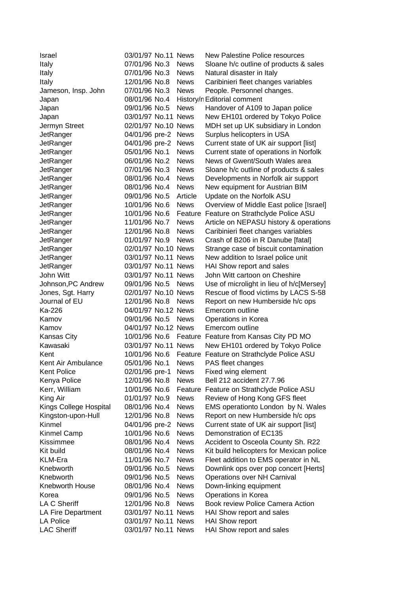| <b>Israel</b>          | 03/01/97 No.11 News            |                            | <b>New Palestine Police resources</b>                   |
|------------------------|--------------------------------|----------------------------|---------------------------------------------------------|
| Italy                  | 07/01/96 No.3                  | <b>News</b>                | Sloane h/c outline of products & sales                  |
| Italy                  | 07/01/96 No.3                  | <b>News</b>                | Natural disaster in Italy                               |
| Italy                  | 12/01/96 No.8                  | <b>News</b>                | Caribinieri fleet changes variables                     |
| Jameson, Insp. John    | 07/01/96 No.3                  | <b>News</b>                | People. Personnel changes.                              |
| Japan                  | 08/01/96 No.4                  |                            | History/n Editorial comment                             |
| Japan                  | 09/01/96 No.5                  | <b>News</b>                | Handover of A109 to Japan police                        |
| Japan                  | 03/01/97 No.11 News            |                            | New EH101 ordered by Tokyo Police                       |
| Jermyn Street          | 02/01/97 No.10 News            |                            | MDH set up UK subsidiary in London                      |
| JetRanger              | 04/01/96 pre-2                 | <b>News</b>                | Surplus helicopters in USA                              |
| JetRanger              | 04/01/96 pre-2                 | <b>News</b>                | Current state of UK air support [list]                  |
| JetRanger              | 05/01/96 No.1                  | <b>News</b>                | Current state of operations in Norfolk                  |
| JetRanger              | 06/01/96 No.2                  | <b>News</b>                | News of Gwent/South Wales area                          |
| JetRanger              | 07/01/96 No.3                  | <b>News</b>                | Sloane h/c outline of products & sales                  |
| JetRanger              | 08/01/96 No.4                  | <b>News</b>                | Developments in Norfolk air support                     |
| JetRanger              | 08/01/96 No.4                  | <b>News</b>                | New equipment for Austrian BIM                          |
| JetRanger              | 09/01/96 No.5                  | Article                    | Update on the Norfolk ASU                               |
| JetRanger              | 10/01/96 No.6                  | <b>News</b>                | Overview of Middle East police [Israel]                 |
| JetRanger              | 10/01/96 No.6                  | Feature                    | Feature on Strathclyde Police ASU                       |
| JetRanger              | 11/01/96 No.7                  | <b>News</b>                | Article on NEPASU history & operations                  |
| JetRanger              | 12/01/96 No.8                  | <b>News</b>                | Caribinieri fleet changes variables                     |
| JetRanger              | 01/01/97 No.9                  | <b>News</b>                | Crash of B206 in R Danube [fatal]                       |
| JetRanger              | 02/01/97 No.10 News            |                            | Strange case of biscuit contamination                   |
| JetRanger              | 03/01/97 No.11 News            |                            | New addition to Israel police unit                      |
| JetRanger              | 03/01/97 No.11 News            |                            | HAI Show report and sales                               |
| John Witt              | 03/01/97 No.11 News            |                            | John Witt cartoon on Cheshire                           |
| Johnson, PC Andrew     | 09/01/96 No.5                  | <b>News</b>                | Use of microlight in lieu of h/c[Mersey]                |
| Jones, Sgt. Harry      | 02/01/97 No.10 News            |                            | Rescue of flood victims by LACS S-58                    |
| Journal of EU          | 12/01/96 No.8                  | <b>News</b>                | Report on new Humberside h/c ops                        |
| Ka-226                 | 04/01/97 No.12 News            |                            | Emercom outline                                         |
| Kamov                  | 09/01/96 No.5                  | <b>News</b>                | Operations in Korea                                     |
| Kamov                  | 04/01/97 No.12 News            |                            | Emercom outline                                         |
| <b>Kansas City</b>     | 10/01/96 No.6                  |                            | Feature Feature from Kansas City PD MO                  |
| Kawasaki               | 03/01/97 No.11 News            |                            | New EH101 ordered by Tokyo Police                       |
| Kent                   | 10/01/96 No.6                  |                            | Feature Feature on Strathclyde Police ASU               |
| Kent Air Ambulance     | 05/01/96 No.1                  | <b>News</b>                | PAS fleet changes                                       |
| <b>Kent Police</b>     | 02/01/96 pre-1                 | <b>News</b>                | Fixed wing element                                      |
| Kenya Police           | 12/01/96 No.8                  | <b>News</b>                | Bell 212 accident 27.7.96                               |
| Kerr, William          | 10/01/96 No.6                  | Feature                    | Feature on Strathclyde Police ASU                       |
| King Air               | 01/01/97 No.9                  | <b>News</b>                | Review of Hong Kong GFS fleet                           |
| Kings College Hospital | 08/01/96 No.4                  | <b>News</b>                | EMS operationto London by N. Wales                      |
| Kingston-upon-Hull     | 12/01/96 No.8                  | <b>News</b>                | Report on new Humberside h/c ops                        |
| Kinmel                 | 04/01/96 pre-2                 | <b>News</b>                | Current state of UK air support [list]                  |
| Kinmel Camp            | 10/01/96 No.6                  | <b>News</b>                | Demonstration of EC135                                  |
| Kissimmee              | 08/01/96 No.4                  | <b>News</b>                | Accident to Osceola County Sh. R22                      |
| Kit build              | 08/01/96 No.4                  | <b>News</b>                | Kit build helicopters for Mexican police                |
| <b>KLM-Era</b>         | 11/01/96 No.7                  | <b>News</b>                | Fleet addition to EMS operator in NL                    |
| Knebworth              | 09/01/96 No.5                  | <b>News</b>                | Downlink ops over pop concert [Herts]                   |
| Knebworth              | 09/01/96 No.5                  | <b>News</b>                | Operations over NH Carnival                             |
| Knebworth House        |                                |                            |                                                         |
|                        | 08/01/96 No.4<br>09/01/96 No.5 | <b>News</b>                | Down-linking equipment                                  |
| Korea<br>LA C Sheriff  | 12/01/96 No.8                  | <b>News</b><br><b>News</b> | Operations in Korea<br>Book review Police Camera Action |
| LA Fire Department     | 03/01/97 No.11 News            |                            | HAI Show report and sales                               |
| <b>LA Police</b>       | 03/01/97 No.11 News            |                            | <b>HAI Show report</b>                                  |
| <b>LAC Sheriff</b>     | 03/01/97 No.11 News            |                            | HAI Show report and sales                               |
|                        |                                |                            |                                                         |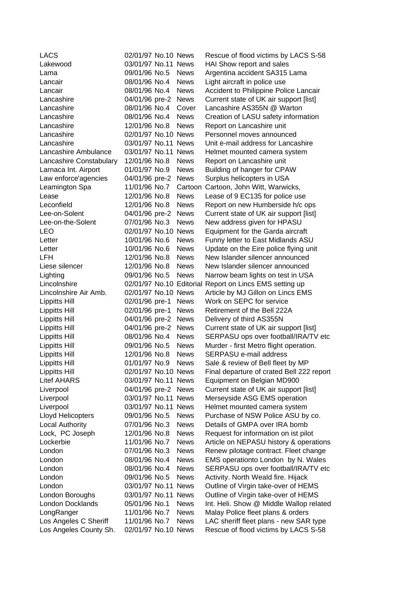| LACS                    | 02/01/97 No.10 News      |             | Rescue of flood victims by LACS S-58      |
|-------------------------|--------------------------|-------------|-------------------------------------------|
| Lakewood                | 03/01/97 No.11 News      |             | HAI Show report and sales                 |
| Lama                    | 09/01/96 No.5            | <b>News</b> | Argentina accident SA315 Lama             |
| Lancair                 | 08/01/96 No.4            | <b>News</b> | Light aircraft in police use              |
| Lancair                 | 08/01/96 No.4            | <b>News</b> | Accident to Philippine Police Lancair     |
| Lancashire              | 04/01/96 pre-2 News      |             | Current state of UK air support [list]    |
| Lancashire              | 08/01/96 No.4            | Cover       | Lancashire AS355N @ Warton                |
| Lancashire              | 08/01/96 No.4            | <b>News</b> | Creation of LASU safety information       |
| Lancashire              | 12/01/96 No.8            | <b>News</b> | Report on Lancashire unit                 |
| Lancashire              | 02/01/97 No.10 News      |             | Personnel moves announced                 |
| Lancashire              | 03/01/97 No.11 News      |             | Unit e-mail address for Lancashire        |
| Lancashire Ambulance    | 03/01/97 No.11 News      |             | Helmet mounted camera system              |
| Lancashire Constabulary | 12/01/96 No.8            | <b>News</b> | Report on Lancashire unit                 |
| Larnaca Int. Airport    | 01/01/97 No.9            | <b>News</b> | Building of hanger for CPAW               |
| Law enforce'agencies    | 04/01/96 pre-2           | <b>News</b> | Surplus helicopters in USA                |
| Leamington Spa          | 11/01/96 No.7            | Cartoon     | Cartoon, John Witt, Warwicks,             |
| Lease                   | 12/01/96 No.8            | <b>News</b> | Lease of 9 EC135 for police use           |
| Leconfield              | 12/01/96 No.8            | <b>News</b> | Report on new Humberside h/c ops          |
| Lee-on-Solent           | 04/01/96 pre-2           | <b>News</b> | Current state of UK air support [list]    |
| Lee-on-the-Solent       | 07/01/96 No.3            | <b>News</b> | New address given for HPASU               |
| LEO                     | 02/01/97 No.10 News      |             | Equipment for the Garda aircraft          |
| Letter                  | 10/01/96 No.6            | <b>News</b> | Funny letter to East Midlands ASU         |
| Letter                  | 10/01/96 No.6            | <b>News</b> | Update on the Eire police flying unit     |
| <b>LFH</b>              | 12/01/96 No.8            | <b>News</b> | New Islander silencer announced           |
| Liese silencer          | 12/01/96 No.8            | <b>News</b> | New Islander silencer announced           |
| Lighting                | 09/01/96 No.5            | <b>News</b> | Narrow beam lights on test in USA         |
| Lincolnshire            | 02/01/97 No.10 Editorial |             | Report on Lincs EMS setting up            |
| Lincolnshire Air Amb.   | 02/01/97 No.10 News      |             | Article by MJ Gillon on Lincs EMS         |
| Lippitts Hill           | 02/01/96 pre-1           | <b>News</b> | Work on SEPC for service                  |
| Lippitts Hill           | 02/01/96 pre-1           | <b>News</b> | Retirement of the Bell 222A               |
| Lippitts Hill           | 04/01/96 pre-2 News      |             | Delivery of third AS355N                  |
| Lippitts Hill           | 04/01/96 pre-2 News      |             | Current state of UK air support [list]    |
| Lippitts Hill           | 08/01/96 No.4            | <b>News</b> | SERPASU ops over football/IRA/TV etc      |
| Lippitts Hill           | 09/01/96 No.5            | <b>News</b> | Murder - first Metro flight operation.    |
| Lippitts Hill           | 12/01/96 No.8            | <b>News</b> | SERPASU e-mail address                    |
| Lippitts Hill           | 01/01/97 No.9            | <b>News</b> | Sale & review of Bell fleet by MP         |
| Lippitts Hill           | 02/01/97 No.10 News      |             | Final departure of crated Bell 222 report |
| <b>Litef AHARS</b>      | 03/01/97 No.11 News      |             | Equipment on Belgian MD900                |
| Liverpool               | 04/01/96 pre-2 News      |             | Current state of UK air support [list]    |
| Liverpool               | 03/01/97 No.11 News      |             | Merseyside ASG EMS operation              |
| Liverpool               | 03/01/97 No.11 News      |             | Helmet mounted camera system              |
| Lloyd Helicopters       | 09/01/96 No.5            | <b>News</b> | Purchase of NSW Police ASU by co.         |
| <b>Local Authority</b>  | 07/01/96 No.3            | <b>News</b> | Details of GMPA over IRA bomb             |
| Lock, PC Joseph         | 12/01/96 No.8            | <b>News</b> | Request for information on ist pilot      |
| Lockerbie               | 11/01/96 No.7            | <b>News</b> | Article on NEPASU history & operations    |
| London                  | 07/01/96 No.3            | <b>News</b> | Renew pilotage contract. Fleet change     |
| London                  | 08/01/96 No.4            | <b>News</b> | EMS operationto London by N. Wales        |
| London                  | 08/01/96 No.4            | <b>News</b> | SERPASU ops over football/IRA/TV etc      |
| London                  | 09/01/96 No.5            | <b>News</b> | Activity. North Weald fire. Hijack        |
| London                  | 03/01/97 No.11 News      |             | Outline of Virgin take-over of HEMS       |
| London Boroughs         | 03/01/97 No.11 News      |             | Outline of Virgin take-over of HEMS       |
| London Docklands        | 05/01/96 No.1            | <b>News</b> | Int. Heli. Show @ Middle Wallop related   |
| LongRanger              | 11/01/96 No.7            | <b>News</b> | Malay Police fleet plans & orders         |
| Los Angeles C Sheriff   | 11/01/96 No.7            | <b>News</b> | LAC sheriff fleet plans - new SAR type    |
| Los Angeles County Sh.  | 02/01/97 No.10 News      |             | Rescue of flood victims by LACS S-58      |
|                         |                          |             |                                           |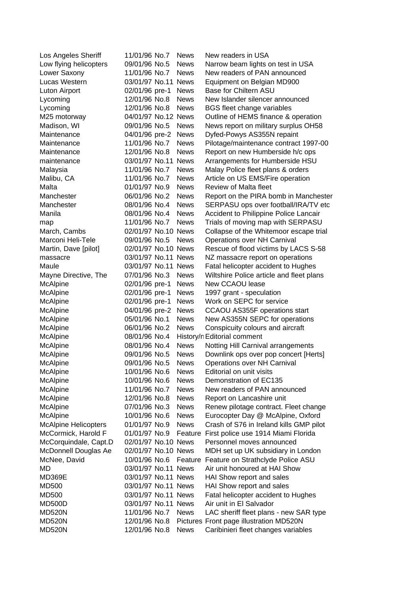| Los Angeles Sheriff         | 11/01/96 No.7       | <b>News</b> | New readers in USA                          |
|-----------------------------|---------------------|-------------|---------------------------------------------|
| Low flying helicopters      | 09/01/96 No.5       | <b>News</b> | Narrow beam lights on test in USA           |
| Lower Saxony                | 11/01/96 No.7       | <b>News</b> | New readers of PAN announced                |
| Lucas Western               | 03/01/97 No.11 News |             | Equipment on Belgian MD900                  |
| Luton Airport               | 02/01/96 pre-1      | <b>News</b> | Base for Chiltern ASU                       |
| Lycoming                    | 12/01/96 No.8       | <b>News</b> | New Islander silencer announced             |
| Lycoming                    | 12/01/96 No.8       | <b>News</b> | <b>BGS</b> fleet change variables           |
| M25 motorway                | 04/01/97 No.12 News |             | Outline of HEMS finance & operation         |
| Madison, WI                 | 09/01/96 No.5       | <b>News</b> | News report on military surplus OH58        |
| Maintenance                 | 04/01/96 pre-2      | <b>News</b> | Dyfed-Powys AS355N repaint                  |
| Maintenance                 | 11/01/96 No.7       | <b>News</b> | Pilotage/maintenance contract 1997-00       |
| Maintenance                 | 12/01/96 No.8       | <b>News</b> | Report on new Humberside h/c ops            |
| maintenance                 | 03/01/97 No.11      | <b>News</b> | Arrangements for Humberside HSU             |
| Malaysia                    | 11/01/96 No.7       | <b>News</b> | Malay Police fleet plans & orders           |
| Malibu, CA                  | 11/01/96 No.7       | <b>News</b> | Article on US EMS/Fire operation            |
| Malta                       | 01/01/97 No.9       | <b>News</b> | Review of Malta fleet                       |
| Manchester                  | 06/01/96 No.2       | <b>News</b> | Report on the PIRA bomb in Manchester       |
| Manchester                  | 08/01/96 No.4       | <b>News</b> | SERPASU ops over football/IRA/TV etc        |
| Manila                      | 08/01/96 No.4       | <b>News</b> | Accident to Philippine Police Lancair       |
| map                         | 11/01/96 No.7       | <b>News</b> | Trials of moving map with SERPASU           |
| March, Cambs                | 02/01/97 No.10 News |             | Collapse of the Whitemoor escape trial      |
| Marconi Heli-Tele           | 09/01/96 No.5       | <b>News</b> | Operations over NH Carnival                 |
| Martin, Dave [pilot]        | 02/01/97 No.10 News |             | Rescue of flood victims by LACS S-58        |
| massacre                    | 03/01/97 No.11 News |             | NZ massacre report on operations            |
| Maule                       | 03/01/97 No.11 News |             | Fatal helicopter accident to Hughes         |
| Mayne Directive, The        | 07/01/96 No.3       | <b>News</b> | Wiltshire Police article and fleet plans    |
| McAlpine                    | 02/01/96 pre-1      | <b>News</b> | New CCAOU lease                             |
| McAlpine                    | 02/01/96 pre-1      | <b>News</b> | 1997 grant - speculation                    |
| McAlpine                    | 02/01/96 pre-1      | <b>News</b> | Work on SEPC for service                    |
| McAlpine                    | 04/01/96 pre-2      | <b>News</b> | CCAOU AS355F operations start               |
| McAlpine                    | 05/01/96 No.1       | <b>News</b> | New AS355N SEPC for operations              |
| McAlpine                    | 06/01/96 No.2       | <b>News</b> | Conspicuity colours and aircraft            |
| McAlpine                    | 08/01/96 No.4       |             | History/n Editorial comment                 |
| McAlpine                    | 08/01/96 No.4       | <b>News</b> | Notting Hill Carnival arrangements          |
| McAlpine                    | 09/01/96 No.5       | <b>News</b> | Downlink ops over pop concert [Herts]       |
| McAlpine                    | 09/01/96 No.5       | <b>News</b> | <b>Operations over NH Carnival</b>          |
| McAlpine                    | 10/01/96 No.6       | <b>News</b> | Editorial on unit visits                    |
| McAlpine                    | 10/01/96 No.6       | <b>News</b> | Demonstration of EC135                      |
| McAlpine                    | 11/01/96 No.7       | <b>News</b> | New readers of PAN announced                |
| McAlpine                    | 12/01/96 No.8       | <b>News</b> | Report on Lancashire unit                   |
| McAlpine                    | 07/01/96 No.3       | <b>News</b> | Renew pilotage contract. Fleet change       |
| McAlpine                    | 10/01/96 No.6       | <b>News</b> | Eurocopter Day @ McAlpine, Oxford           |
| <b>McAlpine Helicopters</b> | 01/01/97 No.9       | <b>News</b> | Crash of S76 in Ireland kills GMP pilot     |
| McCormick, Harold F         | 01/01/97 No.9       |             | Feature First police use 1914 Miami Florida |
| McCorquindale, Capt.D       | 02/01/97 No.10 News |             | Personnel moves announced                   |
| McDonnell Douglas Ae        | 02/01/97 No.10 News |             | MDH set up UK subsidiary in London          |
| McNee, David                | 10/01/96 No.6       |             | Feature Feature on Strathclyde Police ASU   |
| MD                          | 03/01/97 No.11 News |             | Air unit honoured at HAI Show               |
| <b>MD369E</b>               | 03/01/97 No.11 News |             | HAI Show report and sales                   |
| MD500                       | 03/01/97 No.11 News |             | HAI Show report and sales                   |
| MD500                       | 03/01/97 No.11 News |             | Fatal helicopter accident to Hughes         |
| <b>MD500D</b>               | 03/01/97 No.11 News |             | Air unit in El Salvador                     |
| <b>MD520N</b>               | 11/01/96 No.7       | <b>News</b> | LAC sheriff fleet plans - new SAR type      |
| <b>MD520N</b>               | 12/01/96 No.8       |             | Pictures Front page illustration MD520N     |
| <b>MD520N</b>               | 12/01/96 No.8       | <b>News</b> | Caribinieri fleet changes variables         |
|                             |                     |             |                                             |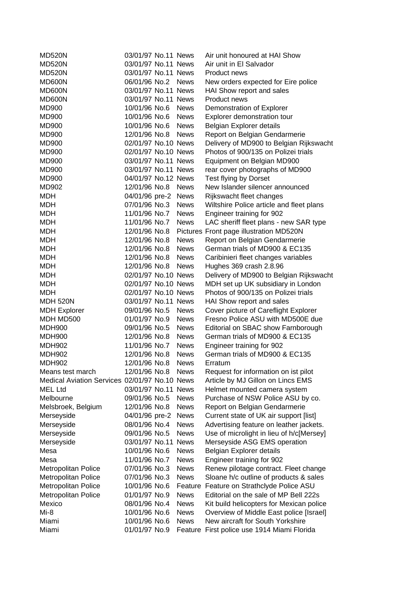| <b>MD520N</b>                            | 03/01/97 No.11 News |             | Air unit honoured at HAI Show               |
|------------------------------------------|---------------------|-------------|---------------------------------------------|
| <b>MD520N</b>                            | 03/01/97 No.11 News |             | Air unit in El Salvador                     |
| <b>MD520N</b>                            | 03/01/97 No.11 News |             | Product news                                |
| MD600N                                   | 06/01/96 No.2       | <b>News</b> | New orders expected for Eire police         |
| MD600N                                   | 03/01/97 No.11 News |             | HAI Show report and sales                   |
| MD600N                                   | 03/01/97 No.11 News |             | Product news                                |
| <b>MD900</b>                             | 10/01/96 No.6       | <b>News</b> | Demonstration of Explorer                   |
| MD900                                    | 10/01/96 No.6       | <b>News</b> | Explorer demonstration tour                 |
| MD900                                    | 10/01/96 No.6       | <b>News</b> | Belgian Explorer details                    |
| MD900                                    | 12/01/96 No.8 News  |             | Report on Belgian Gendarmerie               |
| <b>MD900</b>                             | 02/01/97 No.10 News |             | Delivery of MD900 to Belgian Rijkswacht     |
| <b>MD900</b>                             | 02/01/97 No.10 News |             | Photos of 900/135 on Polizei trials         |
| MD900                                    | 03/01/97 No.11 News |             | Equipment on Belgian MD900                  |
| MD900                                    | 03/01/97 No.11 News |             | rear cover photographs of MD900             |
| MD900                                    | 04/01/97 No.12 News |             | Test flying by Dorset                       |
| MD902                                    | 12/01/96 No.8       | <b>News</b> | New Islander silencer announced             |
| <b>MDH</b>                               | 04/01/96 pre-2      | <b>News</b> | Rijkswacht fleet changes                    |
| <b>MDH</b>                               | 07/01/96 No.3       | <b>News</b> | Wiltshire Police article and fleet plans    |
| <b>MDH</b>                               | 11/01/96 No.7       | <b>News</b> | Engineer training for 902                   |
| <b>MDH</b>                               | 11/01/96 No.7       | <b>News</b> | LAC sheriff fleet plans - new SAR type      |
| <b>MDH</b>                               | 12/01/96 No.8       |             | Pictures Front page illustration MD520N     |
| <b>MDH</b>                               | 12/01/96 No.8       | <b>News</b> | Report on Belgian Gendarmerie               |
| <b>MDH</b>                               | 12/01/96 No.8       | <b>News</b> | German trials of MD900 & EC135              |
| <b>MDH</b>                               | 12/01/96 No.8       | <b>News</b> | Caribinieri fleet changes variables         |
| <b>MDH</b>                               | 12/01/96 No.8       | <b>News</b> | Hughes 369 crash 2.8.96                     |
| <b>MDH</b>                               | 02/01/97 No.10 News |             | Delivery of MD900 to Belgian Rijkswacht     |
| <b>MDH</b>                               | 02/01/97 No.10 News |             | MDH set up UK subsidiary in London          |
| <b>MDH</b>                               | 02/01/97 No.10 News |             | Photos of 900/135 on Polizei trials         |
| <b>MDH 520N</b>                          | 03/01/97 No.11 News |             | HAI Show report and sales                   |
| <b>MDH Explorer</b>                      | 09/01/96 No.5       | <b>News</b> | Cover picture of Careflight Explorer        |
| MDH MD500                                | 01/01/97 No.9       | <b>News</b> | Fresno Police ASU with MD500E due           |
| <b>MDH900</b>                            | 09/01/96 No.5       | <b>News</b> | Editorial on SBAC show Farnborough          |
| <b>MDH900</b>                            | 12/01/96 No.8       | <b>News</b> | German trials of MD900 & EC135              |
| <b>MDH902</b>                            | 11/01/96 No.7       | <b>News</b> | Engineer training for 902                   |
| <b>MDH902</b>                            | 12/01/96 No.8       | <b>News</b> | German trials of MD900 & EC135              |
| <b>MDH902</b>                            | 12/01/96 No.8       | <b>News</b> | Erratum                                     |
| Means test march                         | 12/01/96 No.8       | <b>News</b> | Request for information on ist pilot        |
| Medical Aviation Services 02/01/97 No.10 |                     | <b>News</b> | Article by MJ Gillon on Lincs EMS           |
| <b>MEL Ltd</b>                           | 03/01/97 No.11 News |             | Helmet mounted camera system                |
| Melbourne                                | 09/01/96 No.5       | <b>News</b> | Purchase of NSW Police ASU by co.           |
| Melsbroek, Belgium                       | 12/01/96 No.8       | <b>News</b> | Report on Belgian Gendarmerie               |
| Merseyside                               | 04/01/96 pre-2      | <b>News</b> | Current state of UK air support [list]      |
| Merseyside                               | 08/01/96 No.4       | <b>News</b> | Advertising feature on leather jackets.     |
| Merseyside                               | 09/01/96 No.5       | <b>News</b> | Use of microlight in lieu of h/c[Mersey]    |
| Merseyside                               | 03/01/97 No.11      | <b>News</b> | Merseyside ASG EMS operation                |
| Mesa                                     | 10/01/96 No.6       | <b>News</b> | Belgian Explorer details                    |
| Mesa                                     | 11/01/96 No.7       | <b>News</b> | Engineer training for 902                   |
|                                          |                     | <b>News</b> |                                             |
| <b>Metropolitan Police</b>               | 07/01/96 No.3       | <b>News</b> | Renew pilotage contract. Fleet change       |
| <b>Metropolitan Police</b>               | 07/01/96 No.3       |             | Sloane h/c outline of products & sales      |
| Metropolitan Police                      | 10/01/96 No.6       | Feature     | Feature on Strathclyde Police ASU           |
| <b>Metropolitan Police</b>               | 01/01/97 No.9       | <b>News</b> | Editorial on the sale of MP Bell 222s       |
| Mexico                                   | 08/01/96 No.4       | <b>News</b> | Kit build helicopters for Mexican police    |
| Mi-8                                     | 10/01/96 No.6       | <b>News</b> | Overview of Middle East police [Israel]     |
| Miami                                    | 10/01/96 No.6       | <b>News</b> | New aircraft for South Yorkshire            |
| Miami                                    | 01/01/97 No.9       |             | Feature First police use 1914 Miami Florida |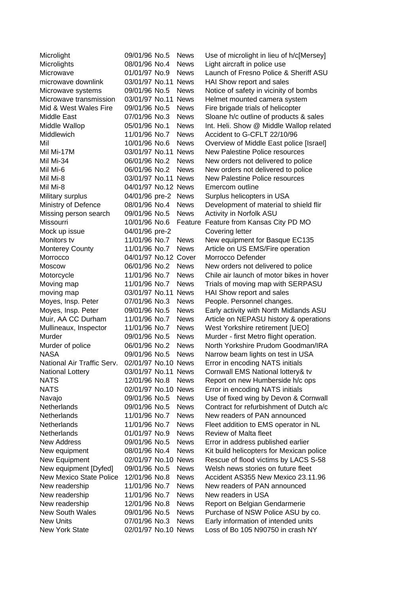| Microlights<br>08/01/96 No.4<br><b>News</b><br>Light aircraft in police use<br>Launch of Fresno Police & Sheriff ASU<br>Microwave<br>01/01/97 No.9<br><b>News</b><br>microwave downlink<br>03/01/97 No.11 News<br>HAI Show report and sales<br>09/01/96 No.5<br><b>News</b><br>Microwave systems<br>Notice of safety in vicinity of bombs<br>Microwave transmission<br>03/01/97 No.11 News<br>Helmet mounted camera system<br>Mid & West Wales Fire<br>09/01/96 No.5<br><b>News</b><br>Fire brigade trials of helicopter<br>Middle East<br>07/01/96 No.3<br><b>News</b><br>Sloane h/c outline of products & sales<br>Middle Wallop<br>05/01/96 No.1<br><b>News</b><br>Int. Heli. Show @ Middle Wallop related<br>Accident to G-CFLT 22/10/96<br>Middlewich<br>11/01/96 No.7<br><b>News</b><br>Mil<br>10/01/96 No.6<br>Overview of Middle East police [Israel]<br><b>News</b><br><b>New Palestine Police resources</b><br>Mil Mi-17M<br>03/01/97 No.11 News<br>Mil Mi-34<br>06/01/96 No.2<br>New orders not delivered to police<br><b>News</b><br>Mil Mi-6<br>06/01/96 No.2<br>New orders not delivered to police<br><b>News</b><br>03/01/97 No.11 News<br><b>New Palestine Police resources</b><br>Mil Mi-8<br>04/01/97 No.12 News<br>Emercom outline<br>Mil Mi-8<br>04/01/96 pre-2<br>Surplus helicopters in USA<br>Military surplus<br><b>News</b><br>Ministry of Defence<br>08/01/96 No.4<br>Development of material to shield flir<br><b>News</b><br>Missing person search<br>09/01/96 No.5<br>Activity in Norfolk ASU<br><b>News</b><br>Missourri<br>Feature from Kansas City PD MO<br>10/01/96 No.6<br>Feature<br>04/01/96 pre-2<br>Covering letter<br>Mock up issue<br>Monitors tv<br>11/01/96 No.7<br>New equipment for Basque EC135<br><b>News</b><br>Article on US EMS/Fire operation<br>11/01/96 No.7<br><b>News</b><br><b>Monterey County</b><br>Morrocco Defender<br>04/01/97 No.12 Cover<br>Morrocco<br>06/01/96 No.2<br><b>News</b><br>New orders not delivered to police<br><b>Moscow</b><br>11/01/96 No.7<br>Chile air launch of motor bikes in hover<br>Motorcycle<br><b>News</b><br>Moving map<br>11/01/96 No.7<br><b>News</b><br>Trials of moving map with SERPASU<br>moving map<br>03/01/97 No.11 News<br>HAI Show report and sales<br>Moyes, Insp. Peter<br>07/01/96 No.3<br><b>News</b><br>People. Personnel changes.<br>Early activity with North Midlands ASU<br>Moyes, Insp. Peter<br>09/01/96 No.5<br><b>News</b><br>Muir, AA CC Durham<br>Article on NEPASU history & operations<br>11/01/96 No.7<br><b>News</b><br>Mullineaux, Inspector<br>West Yorkshire retirement [UEO]<br>11/01/96 No.7<br><b>News</b><br>Murder<br>Murder - first Metro flight operation.<br>09/01/96 No.5<br><b>News</b><br>North Yorkshire Prudom Goodman/IRA<br>Murder of police<br>06/01/96 No.2<br><b>News</b><br><b>NASA</b><br>09/01/96 No.5<br>Narrow beam lights on test in USA<br><b>News</b><br>National Air Traffic Serv.<br>02/01/97 No.10 News<br>Error in encoding NATS initials<br>03/01/97 No.11 News<br><b>National Lottery</b><br>Cornwall EMS National lottery& tv<br><b>NATS</b><br>12/01/96 No.8<br>Report on new Humberside h/c ops<br><b>News</b><br><b>NATS</b><br>02/01/97 No.10 News<br>Error in encoding NATS initials<br>09/01/96 No.5<br>Use of fixed wing by Devon & Cornwall<br>Navajo<br><b>News</b><br><b>Netherlands</b><br>09/01/96 No.5<br><b>News</b><br>Contract for refurbishment of Dutch a/c<br><b>Netherlands</b><br>New readers of PAN announced<br>11/01/96 No.7<br><b>News</b><br>Netherlands<br>11/01/96 No.7<br><b>News</b><br>Fleet addition to EMS operator in NL<br><b>Netherlands</b><br>01/01/97 No.9<br><b>News</b><br><b>Review of Malta fleet</b><br><b>New Address</b><br>09/01/96 No.5<br><b>News</b><br>Error in address published earlier<br><b>News</b><br>Kit build helicopters for Mexican police<br>New equipment<br>08/01/96 No.4<br>02/01/97 No.10 News<br>Rescue of flood victims by LACS S-58<br>New Equipment<br>New equipment [Dyfed]<br>09/01/96 No.5<br>Welsh news stories on future fleet<br><b>News</b><br><b>New Mexico State Police</b><br>Accident AS355 New Mexico 23.11.96<br>12/01/96 No.8<br><b>News</b><br>11/01/96 No.7<br><b>News</b><br>New readers of PAN announced<br>New readership<br>New readership<br>11/01/96 No.7<br><b>News</b><br>New readers in USA<br>New readership<br>12/01/96 No.8<br><b>News</b><br>Report on Belgian Gendarmerie<br><b>New South Wales</b><br>09/01/96 No.5<br>Purchase of NSW Police ASU by co.<br><b>News</b><br>Early information of intended units<br><b>New Units</b><br>07/01/96 No.3<br><b>News</b> | Microlight            | 09/01/96 No.5 | <b>News</b> | Use of microlight in lieu of h/c[Mersey] |
|-------------------------------------------------------------------------------------------------------------------------------------------------------------------------------------------------------------------------------------------------------------------------------------------------------------------------------------------------------------------------------------------------------------------------------------------------------------------------------------------------------------------------------------------------------------------------------------------------------------------------------------------------------------------------------------------------------------------------------------------------------------------------------------------------------------------------------------------------------------------------------------------------------------------------------------------------------------------------------------------------------------------------------------------------------------------------------------------------------------------------------------------------------------------------------------------------------------------------------------------------------------------------------------------------------------------------------------------------------------------------------------------------------------------------------------------------------------------------------------------------------------------------------------------------------------------------------------------------------------------------------------------------------------------------------------------------------------------------------------------------------------------------------------------------------------------------------------------------------------------------------------------------------------------------------------------------------------------------------------------------------------------------------------------------------------------------------------------------------------------------------------------------------------------------------------------------------------------------------------------------------------------------------------------------------------------------------------------------------------------------------------------------------------------------------------------------------------------------------------------------------------------------------------------------------------------------------------------------------------------------------------------------------------------------------------------------------------------------------------------------------------------------------------------------------------------------------------------------------------------------------------------------------------------------------------------------------------------------------------------------------------------------------------------------------------------------------------------------------------------------------------------------------------------------------------------------------------------------------------------------------------------------------------------------------------------------------------------------------------------------------------------------------------------------------------------------------------------------------------------------------------------------------------------------------------------------------------------------------------------------------------------------------------------------------------------------------------------------------------------------------------------------------------------------------------------------------------------------------------------------------------------------------------------------------------------------------------------------------------------------------------------------------------------------------------------------------------------------------------------------------------------------------------------------------------------------------------------------------------------------------------------------------------------------------------------------------------------------------------------------------------------------------------------------------------------------------------------------------------------------------------------------------------------------------------------------------------------------------------------------------------|-----------------------|---------------|-------------|------------------------------------------|
|                                                                                                                                                                                                                                                                                                                                                                                                                                                                                                                                                                                                                                                                                                                                                                                                                                                                                                                                                                                                                                                                                                                                                                                                                                                                                                                                                                                                                                                                                                                                                                                                                                                                                                                                                                                                                                                                                                                                                                                                                                                                                                                                                                                                                                                                                                                                                                                                                                                                                                                                                                                                                                                                                                                                                                                                                                                                                                                                                                                                                                                                                                                                                                                                                                                                                                                                                                                                                                                                                                                                                                                                                                                                                                                                                                                                                                                                                                                                                                                                                                                                                                                                                                                                                                                                                                                                                                                                                                                                                                                                                                                                                                     |                       |               |             |                                          |
|                                                                                                                                                                                                                                                                                                                                                                                                                                                                                                                                                                                                                                                                                                                                                                                                                                                                                                                                                                                                                                                                                                                                                                                                                                                                                                                                                                                                                                                                                                                                                                                                                                                                                                                                                                                                                                                                                                                                                                                                                                                                                                                                                                                                                                                                                                                                                                                                                                                                                                                                                                                                                                                                                                                                                                                                                                                                                                                                                                                                                                                                                                                                                                                                                                                                                                                                                                                                                                                                                                                                                                                                                                                                                                                                                                                                                                                                                                                                                                                                                                                                                                                                                                                                                                                                                                                                                                                                                                                                                                                                                                                                                                     |                       |               |             |                                          |
|                                                                                                                                                                                                                                                                                                                                                                                                                                                                                                                                                                                                                                                                                                                                                                                                                                                                                                                                                                                                                                                                                                                                                                                                                                                                                                                                                                                                                                                                                                                                                                                                                                                                                                                                                                                                                                                                                                                                                                                                                                                                                                                                                                                                                                                                                                                                                                                                                                                                                                                                                                                                                                                                                                                                                                                                                                                                                                                                                                                                                                                                                                                                                                                                                                                                                                                                                                                                                                                                                                                                                                                                                                                                                                                                                                                                                                                                                                                                                                                                                                                                                                                                                                                                                                                                                                                                                                                                                                                                                                                                                                                                                                     |                       |               |             |                                          |
|                                                                                                                                                                                                                                                                                                                                                                                                                                                                                                                                                                                                                                                                                                                                                                                                                                                                                                                                                                                                                                                                                                                                                                                                                                                                                                                                                                                                                                                                                                                                                                                                                                                                                                                                                                                                                                                                                                                                                                                                                                                                                                                                                                                                                                                                                                                                                                                                                                                                                                                                                                                                                                                                                                                                                                                                                                                                                                                                                                                                                                                                                                                                                                                                                                                                                                                                                                                                                                                                                                                                                                                                                                                                                                                                                                                                                                                                                                                                                                                                                                                                                                                                                                                                                                                                                                                                                                                                                                                                                                                                                                                                                                     |                       |               |             |                                          |
|                                                                                                                                                                                                                                                                                                                                                                                                                                                                                                                                                                                                                                                                                                                                                                                                                                                                                                                                                                                                                                                                                                                                                                                                                                                                                                                                                                                                                                                                                                                                                                                                                                                                                                                                                                                                                                                                                                                                                                                                                                                                                                                                                                                                                                                                                                                                                                                                                                                                                                                                                                                                                                                                                                                                                                                                                                                                                                                                                                                                                                                                                                                                                                                                                                                                                                                                                                                                                                                                                                                                                                                                                                                                                                                                                                                                                                                                                                                                                                                                                                                                                                                                                                                                                                                                                                                                                                                                                                                                                                                                                                                                                                     |                       |               |             |                                          |
|                                                                                                                                                                                                                                                                                                                                                                                                                                                                                                                                                                                                                                                                                                                                                                                                                                                                                                                                                                                                                                                                                                                                                                                                                                                                                                                                                                                                                                                                                                                                                                                                                                                                                                                                                                                                                                                                                                                                                                                                                                                                                                                                                                                                                                                                                                                                                                                                                                                                                                                                                                                                                                                                                                                                                                                                                                                                                                                                                                                                                                                                                                                                                                                                                                                                                                                                                                                                                                                                                                                                                                                                                                                                                                                                                                                                                                                                                                                                                                                                                                                                                                                                                                                                                                                                                                                                                                                                                                                                                                                                                                                                                                     |                       |               |             |                                          |
|                                                                                                                                                                                                                                                                                                                                                                                                                                                                                                                                                                                                                                                                                                                                                                                                                                                                                                                                                                                                                                                                                                                                                                                                                                                                                                                                                                                                                                                                                                                                                                                                                                                                                                                                                                                                                                                                                                                                                                                                                                                                                                                                                                                                                                                                                                                                                                                                                                                                                                                                                                                                                                                                                                                                                                                                                                                                                                                                                                                                                                                                                                                                                                                                                                                                                                                                                                                                                                                                                                                                                                                                                                                                                                                                                                                                                                                                                                                                                                                                                                                                                                                                                                                                                                                                                                                                                                                                                                                                                                                                                                                                                                     |                       |               |             |                                          |
|                                                                                                                                                                                                                                                                                                                                                                                                                                                                                                                                                                                                                                                                                                                                                                                                                                                                                                                                                                                                                                                                                                                                                                                                                                                                                                                                                                                                                                                                                                                                                                                                                                                                                                                                                                                                                                                                                                                                                                                                                                                                                                                                                                                                                                                                                                                                                                                                                                                                                                                                                                                                                                                                                                                                                                                                                                                                                                                                                                                                                                                                                                                                                                                                                                                                                                                                                                                                                                                                                                                                                                                                                                                                                                                                                                                                                                                                                                                                                                                                                                                                                                                                                                                                                                                                                                                                                                                                                                                                                                                                                                                                                                     |                       |               |             |                                          |
|                                                                                                                                                                                                                                                                                                                                                                                                                                                                                                                                                                                                                                                                                                                                                                                                                                                                                                                                                                                                                                                                                                                                                                                                                                                                                                                                                                                                                                                                                                                                                                                                                                                                                                                                                                                                                                                                                                                                                                                                                                                                                                                                                                                                                                                                                                                                                                                                                                                                                                                                                                                                                                                                                                                                                                                                                                                                                                                                                                                                                                                                                                                                                                                                                                                                                                                                                                                                                                                                                                                                                                                                                                                                                                                                                                                                                                                                                                                                                                                                                                                                                                                                                                                                                                                                                                                                                                                                                                                                                                                                                                                                                                     |                       |               |             |                                          |
|                                                                                                                                                                                                                                                                                                                                                                                                                                                                                                                                                                                                                                                                                                                                                                                                                                                                                                                                                                                                                                                                                                                                                                                                                                                                                                                                                                                                                                                                                                                                                                                                                                                                                                                                                                                                                                                                                                                                                                                                                                                                                                                                                                                                                                                                                                                                                                                                                                                                                                                                                                                                                                                                                                                                                                                                                                                                                                                                                                                                                                                                                                                                                                                                                                                                                                                                                                                                                                                                                                                                                                                                                                                                                                                                                                                                                                                                                                                                                                                                                                                                                                                                                                                                                                                                                                                                                                                                                                                                                                                                                                                                                                     |                       |               |             |                                          |
|                                                                                                                                                                                                                                                                                                                                                                                                                                                                                                                                                                                                                                                                                                                                                                                                                                                                                                                                                                                                                                                                                                                                                                                                                                                                                                                                                                                                                                                                                                                                                                                                                                                                                                                                                                                                                                                                                                                                                                                                                                                                                                                                                                                                                                                                                                                                                                                                                                                                                                                                                                                                                                                                                                                                                                                                                                                                                                                                                                                                                                                                                                                                                                                                                                                                                                                                                                                                                                                                                                                                                                                                                                                                                                                                                                                                                                                                                                                                                                                                                                                                                                                                                                                                                                                                                                                                                                                                                                                                                                                                                                                                                                     |                       |               |             |                                          |
|                                                                                                                                                                                                                                                                                                                                                                                                                                                                                                                                                                                                                                                                                                                                                                                                                                                                                                                                                                                                                                                                                                                                                                                                                                                                                                                                                                                                                                                                                                                                                                                                                                                                                                                                                                                                                                                                                                                                                                                                                                                                                                                                                                                                                                                                                                                                                                                                                                                                                                                                                                                                                                                                                                                                                                                                                                                                                                                                                                                                                                                                                                                                                                                                                                                                                                                                                                                                                                                                                                                                                                                                                                                                                                                                                                                                                                                                                                                                                                                                                                                                                                                                                                                                                                                                                                                                                                                                                                                                                                                                                                                                                                     |                       |               |             |                                          |
|                                                                                                                                                                                                                                                                                                                                                                                                                                                                                                                                                                                                                                                                                                                                                                                                                                                                                                                                                                                                                                                                                                                                                                                                                                                                                                                                                                                                                                                                                                                                                                                                                                                                                                                                                                                                                                                                                                                                                                                                                                                                                                                                                                                                                                                                                                                                                                                                                                                                                                                                                                                                                                                                                                                                                                                                                                                                                                                                                                                                                                                                                                                                                                                                                                                                                                                                                                                                                                                                                                                                                                                                                                                                                                                                                                                                                                                                                                                                                                                                                                                                                                                                                                                                                                                                                                                                                                                                                                                                                                                                                                                                                                     |                       |               |             |                                          |
|                                                                                                                                                                                                                                                                                                                                                                                                                                                                                                                                                                                                                                                                                                                                                                                                                                                                                                                                                                                                                                                                                                                                                                                                                                                                                                                                                                                                                                                                                                                                                                                                                                                                                                                                                                                                                                                                                                                                                                                                                                                                                                                                                                                                                                                                                                                                                                                                                                                                                                                                                                                                                                                                                                                                                                                                                                                                                                                                                                                                                                                                                                                                                                                                                                                                                                                                                                                                                                                                                                                                                                                                                                                                                                                                                                                                                                                                                                                                                                                                                                                                                                                                                                                                                                                                                                                                                                                                                                                                                                                                                                                                                                     |                       |               |             |                                          |
|                                                                                                                                                                                                                                                                                                                                                                                                                                                                                                                                                                                                                                                                                                                                                                                                                                                                                                                                                                                                                                                                                                                                                                                                                                                                                                                                                                                                                                                                                                                                                                                                                                                                                                                                                                                                                                                                                                                                                                                                                                                                                                                                                                                                                                                                                                                                                                                                                                                                                                                                                                                                                                                                                                                                                                                                                                                                                                                                                                                                                                                                                                                                                                                                                                                                                                                                                                                                                                                                                                                                                                                                                                                                                                                                                                                                                                                                                                                                                                                                                                                                                                                                                                                                                                                                                                                                                                                                                                                                                                                                                                                                                                     |                       |               |             |                                          |
|                                                                                                                                                                                                                                                                                                                                                                                                                                                                                                                                                                                                                                                                                                                                                                                                                                                                                                                                                                                                                                                                                                                                                                                                                                                                                                                                                                                                                                                                                                                                                                                                                                                                                                                                                                                                                                                                                                                                                                                                                                                                                                                                                                                                                                                                                                                                                                                                                                                                                                                                                                                                                                                                                                                                                                                                                                                                                                                                                                                                                                                                                                                                                                                                                                                                                                                                                                                                                                                                                                                                                                                                                                                                                                                                                                                                                                                                                                                                                                                                                                                                                                                                                                                                                                                                                                                                                                                                                                                                                                                                                                                                                                     |                       |               |             |                                          |
|                                                                                                                                                                                                                                                                                                                                                                                                                                                                                                                                                                                                                                                                                                                                                                                                                                                                                                                                                                                                                                                                                                                                                                                                                                                                                                                                                                                                                                                                                                                                                                                                                                                                                                                                                                                                                                                                                                                                                                                                                                                                                                                                                                                                                                                                                                                                                                                                                                                                                                                                                                                                                                                                                                                                                                                                                                                                                                                                                                                                                                                                                                                                                                                                                                                                                                                                                                                                                                                                                                                                                                                                                                                                                                                                                                                                                                                                                                                                                                                                                                                                                                                                                                                                                                                                                                                                                                                                                                                                                                                                                                                                                                     |                       |               |             |                                          |
|                                                                                                                                                                                                                                                                                                                                                                                                                                                                                                                                                                                                                                                                                                                                                                                                                                                                                                                                                                                                                                                                                                                                                                                                                                                                                                                                                                                                                                                                                                                                                                                                                                                                                                                                                                                                                                                                                                                                                                                                                                                                                                                                                                                                                                                                                                                                                                                                                                                                                                                                                                                                                                                                                                                                                                                                                                                                                                                                                                                                                                                                                                                                                                                                                                                                                                                                                                                                                                                                                                                                                                                                                                                                                                                                                                                                                                                                                                                                                                                                                                                                                                                                                                                                                                                                                                                                                                                                                                                                                                                                                                                                                                     |                       |               |             |                                          |
|                                                                                                                                                                                                                                                                                                                                                                                                                                                                                                                                                                                                                                                                                                                                                                                                                                                                                                                                                                                                                                                                                                                                                                                                                                                                                                                                                                                                                                                                                                                                                                                                                                                                                                                                                                                                                                                                                                                                                                                                                                                                                                                                                                                                                                                                                                                                                                                                                                                                                                                                                                                                                                                                                                                                                                                                                                                                                                                                                                                                                                                                                                                                                                                                                                                                                                                                                                                                                                                                                                                                                                                                                                                                                                                                                                                                                                                                                                                                                                                                                                                                                                                                                                                                                                                                                                                                                                                                                                                                                                                                                                                                                                     |                       |               |             |                                          |
|                                                                                                                                                                                                                                                                                                                                                                                                                                                                                                                                                                                                                                                                                                                                                                                                                                                                                                                                                                                                                                                                                                                                                                                                                                                                                                                                                                                                                                                                                                                                                                                                                                                                                                                                                                                                                                                                                                                                                                                                                                                                                                                                                                                                                                                                                                                                                                                                                                                                                                                                                                                                                                                                                                                                                                                                                                                                                                                                                                                                                                                                                                                                                                                                                                                                                                                                                                                                                                                                                                                                                                                                                                                                                                                                                                                                                                                                                                                                                                                                                                                                                                                                                                                                                                                                                                                                                                                                                                                                                                                                                                                                                                     |                       |               |             |                                          |
|                                                                                                                                                                                                                                                                                                                                                                                                                                                                                                                                                                                                                                                                                                                                                                                                                                                                                                                                                                                                                                                                                                                                                                                                                                                                                                                                                                                                                                                                                                                                                                                                                                                                                                                                                                                                                                                                                                                                                                                                                                                                                                                                                                                                                                                                                                                                                                                                                                                                                                                                                                                                                                                                                                                                                                                                                                                                                                                                                                                                                                                                                                                                                                                                                                                                                                                                                                                                                                                                                                                                                                                                                                                                                                                                                                                                                                                                                                                                                                                                                                                                                                                                                                                                                                                                                                                                                                                                                                                                                                                                                                                                                                     |                       |               |             |                                          |
|                                                                                                                                                                                                                                                                                                                                                                                                                                                                                                                                                                                                                                                                                                                                                                                                                                                                                                                                                                                                                                                                                                                                                                                                                                                                                                                                                                                                                                                                                                                                                                                                                                                                                                                                                                                                                                                                                                                                                                                                                                                                                                                                                                                                                                                                                                                                                                                                                                                                                                                                                                                                                                                                                                                                                                                                                                                                                                                                                                                                                                                                                                                                                                                                                                                                                                                                                                                                                                                                                                                                                                                                                                                                                                                                                                                                                                                                                                                                                                                                                                                                                                                                                                                                                                                                                                                                                                                                                                                                                                                                                                                                                                     |                       |               |             |                                          |
|                                                                                                                                                                                                                                                                                                                                                                                                                                                                                                                                                                                                                                                                                                                                                                                                                                                                                                                                                                                                                                                                                                                                                                                                                                                                                                                                                                                                                                                                                                                                                                                                                                                                                                                                                                                                                                                                                                                                                                                                                                                                                                                                                                                                                                                                                                                                                                                                                                                                                                                                                                                                                                                                                                                                                                                                                                                                                                                                                                                                                                                                                                                                                                                                                                                                                                                                                                                                                                                                                                                                                                                                                                                                                                                                                                                                                                                                                                                                                                                                                                                                                                                                                                                                                                                                                                                                                                                                                                                                                                                                                                                                                                     |                       |               |             |                                          |
|                                                                                                                                                                                                                                                                                                                                                                                                                                                                                                                                                                                                                                                                                                                                                                                                                                                                                                                                                                                                                                                                                                                                                                                                                                                                                                                                                                                                                                                                                                                                                                                                                                                                                                                                                                                                                                                                                                                                                                                                                                                                                                                                                                                                                                                                                                                                                                                                                                                                                                                                                                                                                                                                                                                                                                                                                                                                                                                                                                                                                                                                                                                                                                                                                                                                                                                                                                                                                                                                                                                                                                                                                                                                                                                                                                                                                                                                                                                                                                                                                                                                                                                                                                                                                                                                                                                                                                                                                                                                                                                                                                                                                                     |                       |               |             |                                          |
|                                                                                                                                                                                                                                                                                                                                                                                                                                                                                                                                                                                                                                                                                                                                                                                                                                                                                                                                                                                                                                                                                                                                                                                                                                                                                                                                                                                                                                                                                                                                                                                                                                                                                                                                                                                                                                                                                                                                                                                                                                                                                                                                                                                                                                                                                                                                                                                                                                                                                                                                                                                                                                                                                                                                                                                                                                                                                                                                                                                                                                                                                                                                                                                                                                                                                                                                                                                                                                                                                                                                                                                                                                                                                                                                                                                                                                                                                                                                                                                                                                                                                                                                                                                                                                                                                                                                                                                                                                                                                                                                                                                                                                     |                       |               |             |                                          |
|                                                                                                                                                                                                                                                                                                                                                                                                                                                                                                                                                                                                                                                                                                                                                                                                                                                                                                                                                                                                                                                                                                                                                                                                                                                                                                                                                                                                                                                                                                                                                                                                                                                                                                                                                                                                                                                                                                                                                                                                                                                                                                                                                                                                                                                                                                                                                                                                                                                                                                                                                                                                                                                                                                                                                                                                                                                                                                                                                                                                                                                                                                                                                                                                                                                                                                                                                                                                                                                                                                                                                                                                                                                                                                                                                                                                                                                                                                                                                                                                                                                                                                                                                                                                                                                                                                                                                                                                                                                                                                                                                                                                                                     |                       |               |             |                                          |
|                                                                                                                                                                                                                                                                                                                                                                                                                                                                                                                                                                                                                                                                                                                                                                                                                                                                                                                                                                                                                                                                                                                                                                                                                                                                                                                                                                                                                                                                                                                                                                                                                                                                                                                                                                                                                                                                                                                                                                                                                                                                                                                                                                                                                                                                                                                                                                                                                                                                                                                                                                                                                                                                                                                                                                                                                                                                                                                                                                                                                                                                                                                                                                                                                                                                                                                                                                                                                                                                                                                                                                                                                                                                                                                                                                                                                                                                                                                                                                                                                                                                                                                                                                                                                                                                                                                                                                                                                                                                                                                                                                                                                                     |                       |               |             |                                          |
|                                                                                                                                                                                                                                                                                                                                                                                                                                                                                                                                                                                                                                                                                                                                                                                                                                                                                                                                                                                                                                                                                                                                                                                                                                                                                                                                                                                                                                                                                                                                                                                                                                                                                                                                                                                                                                                                                                                                                                                                                                                                                                                                                                                                                                                                                                                                                                                                                                                                                                                                                                                                                                                                                                                                                                                                                                                                                                                                                                                                                                                                                                                                                                                                                                                                                                                                                                                                                                                                                                                                                                                                                                                                                                                                                                                                                                                                                                                                                                                                                                                                                                                                                                                                                                                                                                                                                                                                                                                                                                                                                                                                                                     |                       |               |             |                                          |
|                                                                                                                                                                                                                                                                                                                                                                                                                                                                                                                                                                                                                                                                                                                                                                                                                                                                                                                                                                                                                                                                                                                                                                                                                                                                                                                                                                                                                                                                                                                                                                                                                                                                                                                                                                                                                                                                                                                                                                                                                                                                                                                                                                                                                                                                                                                                                                                                                                                                                                                                                                                                                                                                                                                                                                                                                                                                                                                                                                                                                                                                                                                                                                                                                                                                                                                                                                                                                                                                                                                                                                                                                                                                                                                                                                                                                                                                                                                                                                                                                                                                                                                                                                                                                                                                                                                                                                                                                                                                                                                                                                                                                                     |                       |               |             |                                          |
|                                                                                                                                                                                                                                                                                                                                                                                                                                                                                                                                                                                                                                                                                                                                                                                                                                                                                                                                                                                                                                                                                                                                                                                                                                                                                                                                                                                                                                                                                                                                                                                                                                                                                                                                                                                                                                                                                                                                                                                                                                                                                                                                                                                                                                                                                                                                                                                                                                                                                                                                                                                                                                                                                                                                                                                                                                                                                                                                                                                                                                                                                                                                                                                                                                                                                                                                                                                                                                                                                                                                                                                                                                                                                                                                                                                                                                                                                                                                                                                                                                                                                                                                                                                                                                                                                                                                                                                                                                                                                                                                                                                                                                     |                       |               |             |                                          |
|                                                                                                                                                                                                                                                                                                                                                                                                                                                                                                                                                                                                                                                                                                                                                                                                                                                                                                                                                                                                                                                                                                                                                                                                                                                                                                                                                                                                                                                                                                                                                                                                                                                                                                                                                                                                                                                                                                                                                                                                                                                                                                                                                                                                                                                                                                                                                                                                                                                                                                                                                                                                                                                                                                                                                                                                                                                                                                                                                                                                                                                                                                                                                                                                                                                                                                                                                                                                                                                                                                                                                                                                                                                                                                                                                                                                                                                                                                                                                                                                                                                                                                                                                                                                                                                                                                                                                                                                                                                                                                                                                                                                                                     |                       |               |             |                                          |
|                                                                                                                                                                                                                                                                                                                                                                                                                                                                                                                                                                                                                                                                                                                                                                                                                                                                                                                                                                                                                                                                                                                                                                                                                                                                                                                                                                                                                                                                                                                                                                                                                                                                                                                                                                                                                                                                                                                                                                                                                                                                                                                                                                                                                                                                                                                                                                                                                                                                                                                                                                                                                                                                                                                                                                                                                                                                                                                                                                                                                                                                                                                                                                                                                                                                                                                                                                                                                                                                                                                                                                                                                                                                                                                                                                                                                                                                                                                                                                                                                                                                                                                                                                                                                                                                                                                                                                                                                                                                                                                                                                                                                                     |                       |               |             |                                          |
|                                                                                                                                                                                                                                                                                                                                                                                                                                                                                                                                                                                                                                                                                                                                                                                                                                                                                                                                                                                                                                                                                                                                                                                                                                                                                                                                                                                                                                                                                                                                                                                                                                                                                                                                                                                                                                                                                                                                                                                                                                                                                                                                                                                                                                                                                                                                                                                                                                                                                                                                                                                                                                                                                                                                                                                                                                                                                                                                                                                                                                                                                                                                                                                                                                                                                                                                                                                                                                                                                                                                                                                                                                                                                                                                                                                                                                                                                                                                                                                                                                                                                                                                                                                                                                                                                                                                                                                                                                                                                                                                                                                                                                     |                       |               |             |                                          |
|                                                                                                                                                                                                                                                                                                                                                                                                                                                                                                                                                                                                                                                                                                                                                                                                                                                                                                                                                                                                                                                                                                                                                                                                                                                                                                                                                                                                                                                                                                                                                                                                                                                                                                                                                                                                                                                                                                                                                                                                                                                                                                                                                                                                                                                                                                                                                                                                                                                                                                                                                                                                                                                                                                                                                                                                                                                                                                                                                                                                                                                                                                                                                                                                                                                                                                                                                                                                                                                                                                                                                                                                                                                                                                                                                                                                                                                                                                                                                                                                                                                                                                                                                                                                                                                                                                                                                                                                                                                                                                                                                                                                                                     |                       |               |             |                                          |
|                                                                                                                                                                                                                                                                                                                                                                                                                                                                                                                                                                                                                                                                                                                                                                                                                                                                                                                                                                                                                                                                                                                                                                                                                                                                                                                                                                                                                                                                                                                                                                                                                                                                                                                                                                                                                                                                                                                                                                                                                                                                                                                                                                                                                                                                                                                                                                                                                                                                                                                                                                                                                                                                                                                                                                                                                                                                                                                                                                                                                                                                                                                                                                                                                                                                                                                                                                                                                                                                                                                                                                                                                                                                                                                                                                                                                                                                                                                                                                                                                                                                                                                                                                                                                                                                                                                                                                                                                                                                                                                                                                                                                                     |                       |               |             |                                          |
|                                                                                                                                                                                                                                                                                                                                                                                                                                                                                                                                                                                                                                                                                                                                                                                                                                                                                                                                                                                                                                                                                                                                                                                                                                                                                                                                                                                                                                                                                                                                                                                                                                                                                                                                                                                                                                                                                                                                                                                                                                                                                                                                                                                                                                                                                                                                                                                                                                                                                                                                                                                                                                                                                                                                                                                                                                                                                                                                                                                                                                                                                                                                                                                                                                                                                                                                                                                                                                                                                                                                                                                                                                                                                                                                                                                                                                                                                                                                                                                                                                                                                                                                                                                                                                                                                                                                                                                                                                                                                                                                                                                                                                     |                       |               |             |                                          |
|                                                                                                                                                                                                                                                                                                                                                                                                                                                                                                                                                                                                                                                                                                                                                                                                                                                                                                                                                                                                                                                                                                                                                                                                                                                                                                                                                                                                                                                                                                                                                                                                                                                                                                                                                                                                                                                                                                                                                                                                                                                                                                                                                                                                                                                                                                                                                                                                                                                                                                                                                                                                                                                                                                                                                                                                                                                                                                                                                                                                                                                                                                                                                                                                                                                                                                                                                                                                                                                                                                                                                                                                                                                                                                                                                                                                                                                                                                                                                                                                                                                                                                                                                                                                                                                                                                                                                                                                                                                                                                                                                                                                                                     |                       |               |             |                                          |
|                                                                                                                                                                                                                                                                                                                                                                                                                                                                                                                                                                                                                                                                                                                                                                                                                                                                                                                                                                                                                                                                                                                                                                                                                                                                                                                                                                                                                                                                                                                                                                                                                                                                                                                                                                                                                                                                                                                                                                                                                                                                                                                                                                                                                                                                                                                                                                                                                                                                                                                                                                                                                                                                                                                                                                                                                                                                                                                                                                                                                                                                                                                                                                                                                                                                                                                                                                                                                                                                                                                                                                                                                                                                                                                                                                                                                                                                                                                                                                                                                                                                                                                                                                                                                                                                                                                                                                                                                                                                                                                                                                                                                                     |                       |               |             |                                          |
|                                                                                                                                                                                                                                                                                                                                                                                                                                                                                                                                                                                                                                                                                                                                                                                                                                                                                                                                                                                                                                                                                                                                                                                                                                                                                                                                                                                                                                                                                                                                                                                                                                                                                                                                                                                                                                                                                                                                                                                                                                                                                                                                                                                                                                                                                                                                                                                                                                                                                                                                                                                                                                                                                                                                                                                                                                                                                                                                                                                                                                                                                                                                                                                                                                                                                                                                                                                                                                                                                                                                                                                                                                                                                                                                                                                                                                                                                                                                                                                                                                                                                                                                                                                                                                                                                                                                                                                                                                                                                                                                                                                                                                     |                       |               |             |                                          |
|                                                                                                                                                                                                                                                                                                                                                                                                                                                                                                                                                                                                                                                                                                                                                                                                                                                                                                                                                                                                                                                                                                                                                                                                                                                                                                                                                                                                                                                                                                                                                                                                                                                                                                                                                                                                                                                                                                                                                                                                                                                                                                                                                                                                                                                                                                                                                                                                                                                                                                                                                                                                                                                                                                                                                                                                                                                                                                                                                                                                                                                                                                                                                                                                                                                                                                                                                                                                                                                                                                                                                                                                                                                                                                                                                                                                                                                                                                                                                                                                                                                                                                                                                                                                                                                                                                                                                                                                                                                                                                                                                                                                                                     |                       |               |             |                                          |
|                                                                                                                                                                                                                                                                                                                                                                                                                                                                                                                                                                                                                                                                                                                                                                                                                                                                                                                                                                                                                                                                                                                                                                                                                                                                                                                                                                                                                                                                                                                                                                                                                                                                                                                                                                                                                                                                                                                                                                                                                                                                                                                                                                                                                                                                                                                                                                                                                                                                                                                                                                                                                                                                                                                                                                                                                                                                                                                                                                                                                                                                                                                                                                                                                                                                                                                                                                                                                                                                                                                                                                                                                                                                                                                                                                                                                                                                                                                                                                                                                                                                                                                                                                                                                                                                                                                                                                                                                                                                                                                                                                                                                                     |                       |               |             |                                          |
|                                                                                                                                                                                                                                                                                                                                                                                                                                                                                                                                                                                                                                                                                                                                                                                                                                                                                                                                                                                                                                                                                                                                                                                                                                                                                                                                                                                                                                                                                                                                                                                                                                                                                                                                                                                                                                                                                                                                                                                                                                                                                                                                                                                                                                                                                                                                                                                                                                                                                                                                                                                                                                                                                                                                                                                                                                                                                                                                                                                                                                                                                                                                                                                                                                                                                                                                                                                                                                                                                                                                                                                                                                                                                                                                                                                                                                                                                                                                                                                                                                                                                                                                                                                                                                                                                                                                                                                                                                                                                                                                                                                                                                     |                       |               |             |                                          |
|                                                                                                                                                                                                                                                                                                                                                                                                                                                                                                                                                                                                                                                                                                                                                                                                                                                                                                                                                                                                                                                                                                                                                                                                                                                                                                                                                                                                                                                                                                                                                                                                                                                                                                                                                                                                                                                                                                                                                                                                                                                                                                                                                                                                                                                                                                                                                                                                                                                                                                                                                                                                                                                                                                                                                                                                                                                                                                                                                                                                                                                                                                                                                                                                                                                                                                                                                                                                                                                                                                                                                                                                                                                                                                                                                                                                                                                                                                                                                                                                                                                                                                                                                                                                                                                                                                                                                                                                                                                                                                                                                                                                                                     |                       |               |             |                                          |
|                                                                                                                                                                                                                                                                                                                                                                                                                                                                                                                                                                                                                                                                                                                                                                                                                                                                                                                                                                                                                                                                                                                                                                                                                                                                                                                                                                                                                                                                                                                                                                                                                                                                                                                                                                                                                                                                                                                                                                                                                                                                                                                                                                                                                                                                                                                                                                                                                                                                                                                                                                                                                                                                                                                                                                                                                                                                                                                                                                                                                                                                                                                                                                                                                                                                                                                                                                                                                                                                                                                                                                                                                                                                                                                                                                                                                                                                                                                                                                                                                                                                                                                                                                                                                                                                                                                                                                                                                                                                                                                                                                                                                                     |                       |               |             |                                          |
|                                                                                                                                                                                                                                                                                                                                                                                                                                                                                                                                                                                                                                                                                                                                                                                                                                                                                                                                                                                                                                                                                                                                                                                                                                                                                                                                                                                                                                                                                                                                                                                                                                                                                                                                                                                                                                                                                                                                                                                                                                                                                                                                                                                                                                                                                                                                                                                                                                                                                                                                                                                                                                                                                                                                                                                                                                                                                                                                                                                                                                                                                                                                                                                                                                                                                                                                                                                                                                                                                                                                                                                                                                                                                                                                                                                                                                                                                                                                                                                                                                                                                                                                                                                                                                                                                                                                                                                                                                                                                                                                                                                                                                     |                       |               |             |                                          |
|                                                                                                                                                                                                                                                                                                                                                                                                                                                                                                                                                                                                                                                                                                                                                                                                                                                                                                                                                                                                                                                                                                                                                                                                                                                                                                                                                                                                                                                                                                                                                                                                                                                                                                                                                                                                                                                                                                                                                                                                                                                                                                                                                                                                                                                                                                                                                                                                                                                                                                                                                                                                                                                                                                                                                                                                                                                                                                                                                                                                                                                                                                                                                                                                                                                                                                                                                                                                                                                                                                                                                                                                                                                                                                                                                                                                                                                                                                                                                                                                                                                                                                                                                                                                                                                                                                                                                                                                                                                                                                                                                                                                                                     |                       |               |             |                                          |
|                                                                                                                                                                                                                                                                                                                                                                                                                                                                                                                                                                                                                                                                                                                                                                                                                                                                                                                                                                                                                                                                                                                                                                                                                                                                                                                                                                                                                                                                                                                                                                                                                                                                                                                                                                                                                                                                                                                                                                                                                                                                                                                                                                                                                                                                                                                                                                                                                                                                                                                                                                                                                                                                                                                                                                                                                                                                                                                                                                                                                                                                                                                                                                                                                                                                                                                                                                                                                                                                                                                                                                                                                                                                                                                                                                                                                                                                                                                                                                                                                                                                                                                                                                                                                                                                                                                                                                                                                                                                                                                                                                                                                                     |                       |               |             |                                          |
|                                                                                                                                                                                                                                                                                                                                                                                                                                                                                                                                                                                                                                                                                                                                                                                                                                                                                                                                                                                                                                                                                                                                                                                                                                                                                                                                                                                                                                                                                                                                                                                                                                                                                                                                                                                                                                                                                                                                                                                                                                                                                                                                                                                                                                                                                                                                                                                                                                                                                                                                                                                                                                                                                                                                                                                                                                                                                                                                                                                                                                                                                                                                                                                                                                                                                                                                                                                                                                                                                                                                                                                                                                                                                                                                                                                                                                                                                                                                                                                                                                                                                                                                                                                                                                                                                                                                                                                                                                                                                                                                                                                                                                     |                       |               |             |                                          |
|                                                                                                                                                                                                                                                                                                                                                                                                                                                                                                                                                                                                                                                                                                                                                                                                                                                                                                                                                                                                                                                                                                                                                                                                                                                                                                                                                                                                                                                                                                                                                                                                                                                                                                                                                                                                                                                                                                                                                                                                                                                                                                                                                                                                                                                                                                                                                                                                                                                                                                                                                                                                                                                                                                                                                                                                                                                                                                                                                                                                                                                                                                                                                                                                                                                                                                                                                                                                                                                                                                                                                                                                                                                                                                                                                                                                                                                                                                                                                                                                                                                                                                                                                                                                                                                                                                                                                                                                                                                                                                                                                                                                                                     |                       |               |             |                                          |
|                                                                                                                                                                                                                                                                                                                                                                                                                                                                                                                                                                                                                                                                                                                                                                                                                                                                                                                                                                                                                                                                                                                                                                                                                                                                                                                                                                                                                                                                                                                                                                                                                                                                                                                                                                                                                                                                                                                                                                                                                                                                                                                                                                                                                                                                                                                                                                                                                                                                                                                                                                                                                                                                                                                                                                                                                                                                                                                                                                                                                                                                                                                                                                                                                                                                                                                                                                                                                                                                                                                                                                                                                                                                                                                                                                                                                                                                                                                                                                                                                                                                                                                                                                                                                                                                                                                                                                                                                                                                                                                                                                                                                                     |                       |               |             |                                          |
|                                                                                                                                                                                                                                                                                                                                                                                                                                                                                                                                                                                                                                                                                                                                                                                                                                                                                                                                                                                                                                                                                                                                                                                                                                                                                                                                                                                                                                                                                                                                                                                                                                                                                                                                                                                                                                                                                                                                                                                                                                                                                                                                                                                                                                                                                                                                                                                                                                                                                                                                                                                                                                                                                                                                                                                                                                                                                                                                                                                                                                                                                                                                                                                                                                                                                                                                                                                                                                                                                                                                                                                                                                                                                                                                                                                                                                                                                                                                                                                                                                                                                                                                                                                                                                                                                                                                                                                                                                                                                                                                                                                                                                     |                       |               |             |                                          |
|                                                                                                                                                                                                                                                                                                                                                                                                                                                                                                                                                                                                                                                                                                                                                                                                                                                                                                                                                                                                                                                                                                                                                                                                                                                                                                                                                                                                                                                                                                                                                                                                                                                                                                                                                                                                                                                                                                                                                                                                                                                                                                                                                                                                                                                                                                                                                                                                                                                                                                                                                                                                                                                                                                                                                                                                                                                                                                                                                                                                                                                                                                                                                                                                                                                                                                                                                                                                                                                                                                                                                                                                                                                                                                                                                                                                                                                                                                                                                                                                                                                                                                                                                                                                                                                                                                                                                                                                                                                                                                                                                                                                                                     |                       |               |             |                                          |
|                                                                                                                                                                                                                                                                                                                                                                                                                                                                                                                                                                                                                                                                                                                                                                                                                                                                                                                                                                                                                                                                                                                                                                                                                                                                                                                                                                                                                                                                                                                                                                                                                                                                                                                                                                                                                                                                                                                                                                                                                                                                                                                                                                                                                                                                                                                                                                                                                                                                                                                                                                                                                                                                                                                                                                                                                                                                                                                                                                                                                                                                                                                                                                                                                                                                                                                                                                                                                                                                                                                                                                                                                                                                                                                                                                                                                                                                                                                                                                                                                                                                                                                                                                                                                                                                                                                                                                                                                                                                                                                                                                                                                                     |                       |               |             |                                          |
| 02/01/97 No.10 News                                                                                                                                                                                                                                                                                                                                                                                                                                                                                                                                                                                                                                                                                                                                                                                                                                                                                                                                                                                                                                                                                                                                                                                                                                                                                                                                                                                                                                                                                                                                                                                                                                                                                                                                                                                                                                                                                                                                                                                                                                                                                                                                                                                                                                                                                                                                                                                                                                                                                                                                                                                                                                                                                                                                                                                                                                                                                                                                                                                                                                                                                                                                                                                                                                                                                                                                                                                                                                                                                                                                                                                                                                                                                                                                                                                                                                                                                                                                                                                                                                                                                                                                                                                                                                                                                                                                                                                                                                                                                                                                                                                                                 | <b>New York State</b> |               |             | Loss of Bo 105 N90750 in crash NY        |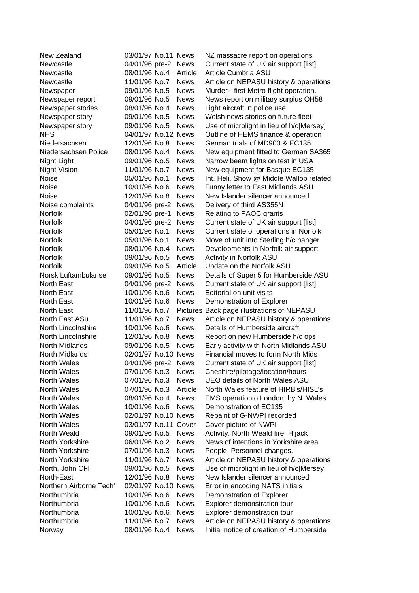| New Zealand             | 03/01/97 No.11 News  |             | NZ massacre report on operations           |
|-------------------------|----------------------|-------------|--------------------------------------------|
| Newcastle               | 04/01/96 pre-2       | <b>News</b> | Current state of UK air support [list]     |
| Newcastle               | 08/01/96 No.4        | Article     | Article Cumbria ASU                        |
| Newcastle               | 11/01/96 No.7        | <b>News</b> | Article on NEPASU history & operations     |
| Newspaper               | 09/01/96 No.5        | <b>News</b> | Murder - first Metro flight operation.     |
| Newspaper report        | 09/01/96 No.5        | <b>News</b> | News report on military surplus OH58       |
| Newspaper stories       | 08/01/96 No.4        | <b>News</b> | Light aircraft in police use               |
| Newspaper story         | 09/01/96 No.5        | <b>News</b> | Welsh news stories on future fleet         |
| Newspaper story         | 09/01/96 No.5        | <b>News</b> | Use of microlight in lieu of h/c[Mersey]   |
| <b>NHS</b>              | 04/01/97 No.12 News  |             | Outline of HEMS finance & operation        |
| Niedersachsen           | 12/01/96 No.8        | <b>News</b> | German trials of MD900 & EC135             |
| Niedersachsen Police    | 08/01/96 No.4        | <b>News</b> | New equipment fitted to German SA365       |
| Night Light             | 09/01/96 No.5        | <b>News</b> | Narrow beam lights on test in USA          |
| <b>Night Vision</b>     | 11/01/96 No.7        | <b>News</b> | New equipment for Basque EC135             |
| Noise                   | 05/01/96 No.1        | <b>News</b> | Int. Heli. Show @ Middle Wallop related    |
| Noise                   | 10/01/96 No.6        | <b>News</b> | Funny letter to East Midlands ASU          |
| Noise                   | 12/01/96 No.8        | <b>News</b> | New Islander silencer announced            |
| Noise complaints        | 04/01/96 pre-2       | <b>News</b> | Delivery of third AS355N                   |
| <b>Norfolk</b>          | 02/01/96 pre-1       | <b>News</b> | Relating to PAOC grants                    |
| <b>Norfolk</b>          | 04/01/96 pre-2       | <b>News</b> | Current state of UK air support [list]     |
| <b>Norfolk</b>          | 05/01/96 No.1        | <b>News</b> | Current state of operations in Norfolk     |
| <b>Norfolk</b>          | 05/01/96 No.1        | <b>News</b> | Move of unit into Sterling h/c hanger.     |
| Norfolk                 | 08/01/96 No.4        | <b>News</b> | Developments in Norfolk air support        |
| Norfolk                 | 09/01/96 No.5        | <b>News</b> | Activity in Norfolk ASU                    |
| <b>Norfolk</b>          | 09/01/96 No.5        | Article     | Update on the Norfolk ASU                  |
| Norsk Luftambulanse     | 09/01/96 No.5        | <b>News</b> | Details of Super 5 for Humberside ASU      |
| North East              | 04/01/96 pre-2       | <b>News</b> | Current state of UK air support [list]     |
| North East              | 10/01/96 No.6        | <b>News</b> | Editorial on unit visits                   |
| North East              | 10/01/96 No.6        | <b>News</b> | Demonstration of Explorer                  |
| North East              | 11/01/96 No.7        |             | Pictures Back page illustrations of NEPASU |
| North East ASu          | 11/01/96 No.7        | <b>News</b> | Article on NEPASU history & operations     |
| North Lincolnshire      | 10/01/96 No.6        | <b>News</b> | Details of Humberside aircraft             |
| North Lincolnshire      | 12/01/96 No.8        | <b>News</b> | Report on new Humberside h/c ops           |
| North Midlands          | 09/01/96 No.5        | <b>News</b> | Early activity with North Midlands ASU     |
| North Midlands          | 02/01/97 No.10 News  |             | Financial moves to form North Mids         |
| <b>North Wales</b>      | 04/01/96 pre-2       | <b>News</b> | Current state of UK air support [list]     |
| <b>North Wales</b>      | 07/01/96 No.3        | <b>News</b> | Cheshire/pilotage/location/hours           |
| North Wales             | 07/01/96 No.3        | <b>News</b> | <b>UEO details of North Wales ASU</b>      |
| North Wales             | 07/01/96 No.3        | Article     | North Wales feature of HIRB's/HISL's       |
| North Wales             | 08/01/96 No.4        | <b>News</b> | EMS operationto London by N. Wales         |
| North Wales             | 10/01/96 No.6        | <b>News</b> | Demonstration of EC135                     |
| North Wales             | 02/01/97 No.10 News  |             | Repaint of G-NWPI recorded                 |
| North Wales             | 03/01/97 No.11 Cover |             | Cover picture of NWPI                      |
| North Weald             | 09/01/96 No.5        | <b>News</b> | Activity. North Weald fire. Hijack         |
| North Yorkshire         | 06/01/96 No.2        | <b>News</b> | News of intentions in Yorkshire area       |
| North Yorkshire         | 07/01/96 No.3        | <b>News</b> | People. Personnel changes.                 |
| North Yorkshire         | 11/01/96 No.7        | <b>News</b> | Article on NEPASU history & operations     |
| North, John CFI         | 09/01/96 No.5        | <b>News</b> | Use of microlight in lieu of h/c[Mersey]   |
| North-East              | 12/01/96 No.8        | <b>News</b> | New Islander silencer announced            |
| Northern Airborne Tech' | 02/01/97 No.10 News  |             | Error in encoding NATS initials            |
| Northumbria             | 10/01/96 No.6        | <b>News</b> | Demonstration of Explorer                  |
| Northumbria             | 10/01/96 No.6        | <b>News</b> | Explorer demonstration tour                |
| Northumbria             | 10/01/96 No.6        | <b>News</b> | Explorer demonstration tour                |
| Northumbria             | 11/01/96 No.7        | <b>News</b> | Article on NEPASU history & operations     |
| Norway                  | 08/01/96 No.4        | <b>News</b> | Initial notice of creation of Humberside   |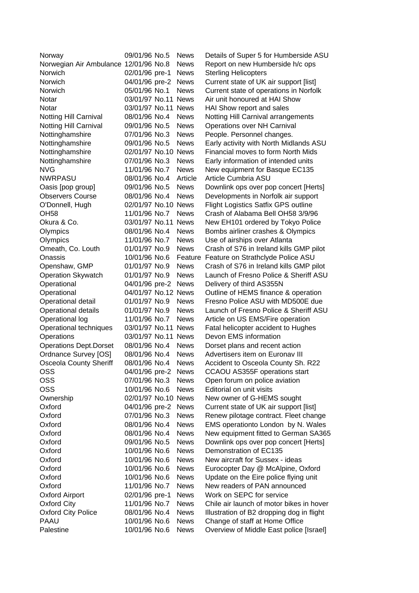| Norway                                | 09/01/96 No.5       | <b>News</b> | Details of Super 5 for Humberside ASU      |
|---------------------------------------|---------------------|-------------|--------------------------------------------|
| Norwegian Air Ambulance 12/01/96 No.8 |                     | <b>News</b> | Report on new Humberside h/c ops           |
| Norwich                               | 02/01/96 pre-1      | <b>News</b> | <b>Sterling Helicopters</b>                |
| Norwich                               | 04/01/96 pre-2      | <b>News</b> | Current state of UK air support [list]     |
| Norwich                               | 05/01/96 No.1       | <b>News</b> | Current state of operations in Norfolk     |
| Notar                                 | 03/01/97 No.11 News |             | Air unit honoured at HAI Show              |
| Notar                                 | 03/01/97 No.11 News |             | HAI Show report and sales                  |
| Notting Hill Carnival                 | 08/01/96 No.4       | <b>News</b> | Notting Hill Carnival arrangements         |
| Notting Hill Carnival                 | 09/01/96 No.5       | <b>News</b> | Operations over NH Carnival                |
| Nottinghamshire                       | 07/01/96 No.3       | <b>News</b> | People. Personnel changes.                 |
| Nottinghamshire                       | 09/01/96 No.5       | <b>News</b> | Early activity with North Midlands ASU     |
| Nottinghamshire                       | 02/01/97 No.10 News |             | Financial moves to form North Mids         |
| Nottinghamshire                       | 07/01/96 No.3       | <b>News</b> | Early information of intended units        |
| <b>NVG</b>                            | 11/01/96 No.7       | <b>News</b> | New equipment for Basque EC135             |
| <b>NWRPASU</b>                        | 08/01/96 No.4       | Article     | Article Cumbria ASU                        |
| Oasis [pop group]                     | 09/01/96 No.5       | <b>News</b> | Downlink ops over pop concert [Herts]      |
| <b>Observers Course</b>               | 08/01/96 No.4       | <b>News</b> | Developments in Norfolk air support        |
| O'Donnell, Hugh                       | 02/01/97 No.10 News |             | <b>Flight Logistics Satfix GPS outline</b> |
| <b>OH58</b>                           | 11/01/96 No.7       | <b>News</b> | Crash of Alabama Bell OH58 3/9/96          |
| Okura & Co.                           | 03/01/97 No.11 News |             | New EH101 ordered by Tokyo Police          |
| Olympics                              | 08/01/96 No.4       | <b>News</b> | Bombs airliner crashes & Olympics          |
| Olympics                              | 11/01/96 No.7       | <b>News</b> | Use of airships over Atlanta               |
| Omeath, Co. Louth                     | 01/01/97 No.9       | <b>News</b> | Crash of S76 in Ireland kills GMP pilot    |
| Onassis                               | 10/01/96 No.6       | Feature     | Feature on Strathclyde Police ASU          |
| Openshaw, GMP                         | 01/01/97 No.9       | <b>News</b> | Crash of S76 in Ireland kills GMP pilot    |
| <b>Operation Skywatch</b>             | 01/01/97 No.9       | <b>News</b> | Launch of Fresno Police & Sheriff ASU      |
| Operational                           | 04/01/96 pre-2      | <b>News</b> | Delivery of third AS355N                   |
| Operational                           | 04/01/97 No.12 News |             | Outline of HEMS finance & operation        |
| Operational detail                    | 01/01/97 No.9       | <b>News</b> | Fresno Police ASU with MD500E due          |
| <b>Operational details</b>            | 01/01/97 No.9       | <b>News</b> | Launch of Fresno Police & Sheriff ASU      |
| Operational log                       | 11/01/96 No.7       | <b>News</b> | Article on US EMS/Fire operation           |
| Operational techniques                | 03/01/97 No.11      | <b>News</b> | Fatal helicopter accident to Hughes        |
| Operations                            | 03/01/97 No.11 News |             | Devon EMS information                      |
| <b>Operations Dept.Dorset</b>         | 08/01/96 No.4       | <b>News</b> | Dorset plans and recent action             |
| Ordnance Survey [OS]                  | 08/01/96 No.4       | <b>News</b> | Advertisers item on Euronav III            |
| <b>Osceola County Sheriff</b>         | 08/01/96 No.4       | <b>News</b> | Accident to Osceola County Sh. R22         |
| <b>OSS</b>                            | 04/01/96 pre-2      | <b>News</b> | CCAOU AS355F operations start              |
| <b>OSS</b>                            | 07/01/96 No.3       | <b>News</b> | Open forum on police aviation              |
| <b>OSS</b>                            | 10/01/96 No.6       | <b>News</b> | Editorial on unit visits                   |
| Ownership                             | 02/01/97 No.10 News |             | New owner of G-HEMS sought                 |
| Oxford                                | 04/01/96 pre-2      | <b>News</b> | Current state of UK air support [list]     |
| Oxford                                | 07/01/96 No.3       | <b>News</b> | Renew pilotage contract. Fleet change      |
| Oxford                                | 08/01/96 No.4       | <b>News</b> | EMS operationto London by N. Wales         |
| Oxford                                | 08/01/96 No.4       | <b>News</b> | New equipment fitted to German SA365       |
| Oxford                                | 09/01/96 No.5       | <b>News</b> | Downlink ops over pop concert [Herts]      |
| Oxford                                | 10/01/96 No.6       | <b>News</b> | Demonstration of EC135                     |
| Oxford                                | 10/01/96 No.6       | <b>News</b> | New aircraft for Sussex - ideas            |
| Oxford                                | 10/01/96 No.6       | <b>News</b> | Eurocopter Day @ McAlpine, Oxford          |
| Oxford                                | 10/01/96 No.6       | <b>News</b> | Update on the Eire police flying unit      |
| Oxford                                | 11/01/96 No.7       | <b>News</b> | New readers of PAN announced               |
| <b>Oxford Airport</b>                 | 02/01/96 pre-1      | <b>News</b> | Work on SEPC for service                   |
| <b>Oxford City</b>                    | 11/01/96 No.7       | <b>News</b> | Chile air launch of motor bikes in hover   |
| <b>Oxford City Police</b>             | 08/01/96 No.4       | <b>News</b> | Illustration of B2 dropping dog in flight  |
| <b>PAAU</b>                           | 10/01/96 No.6       | <b>News</b> | Change of staff at Home Office             |
| Palestine                             | 10/01/96 No.6       | <b>News</b> | Overview of Middle East police [Israel]    |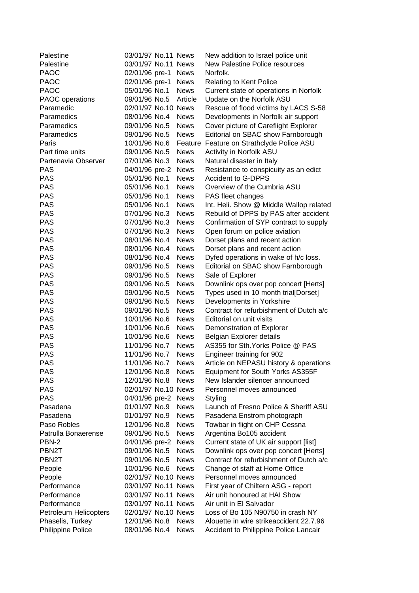| Palestine             | 03/01/97 No.11 News            |             | New addition to Israel police unit        |
|-----------------------|--------------------------------|-------------|-------------------------------------------|
| Palestine             | 03/01/97 No.11 News            |             | <b>New Palestine Police resources</b>     |
| <b>PAOC</b>           | 02/01/96 pre-1                 | <b>News</b> | Norfolk.                                  |
| <b>PAOC</b>           | 02/01/96 pre-1                 | <b>News</b> | <b>Relating to Kent Police</b>            |
| <b>PAOC</b>           | 05/01/96 No.1                  | <b>News</b> | Current state of operations in Norfolk    |
| PAOC operations       | 09/01/96 No.5                  | Article     | Update on the Norfolk ASU                 |
| Paramedic             | 02/01/97 No.10 News            |             | Rescue of flood victims by LACS S-58      |
| Paramedics            | 08/01/96 No.4                  | <b>News</b> | Developments in Norfolk air support       |
| Paramedics            | 09/01/96 No.5                  | <b>News</b> | Cover picture of Careflight Explorer      |
| Paramedics            | 09/01/96 No.5                  | <b>News</b> | Editorial on SBAC show Farnborough        |
| Paris                 | 10/01/96 No.6                  |             | Feature Feature on Strathclyde Police ASU |
| Part time units       | 09/01/96 No.5                  | <b>News</b> | Activity in Norfolk ASU                   |
| Partenavia Observer   | 07/01/96 No.3                  | <b>News</b> | Natural disaster in Italy                 |
| <b>PAS</b>            | 04/01/96 pre-2                 | <b>News</b> | Resistance to conspicuity as an edict     |
| <b>PAS</b>            | 05/01/96 No.1                  | <b>News</b> | <b>Accident to G-DPPS</b>                 |
| <b>PAS</b>            | 05/01/96 No.1                  | <b>News</b> | Overview of the Cumbria ASU               |
| <b>PAS</b>            | 05/01/96 No.1                  | <b>News</b> | PAS fleet changes                         |
| <b>PAS</b>            | 05/01/96 No.1                  | <b>News</b> | Int. Heli. Show @ Middle Wallop related   |
| <b>PAS</b>            | 07/01/96 No.3                  | <b>News</b> | Rebuild of DPPS by PAS after accident     |
| <b>PAS</b>            | 07/01/96 No.3                  | <b>News</b> | Confirmation of SYP contract to supply    |
| <b>PAS</b>            | 07/01/96 No.3                  | <b>News</b> | Open forum on police aviation             |
| <b>PAS</b>            | 08/01/96 No.4                  | <b>News</b> | Dorset plans and recent action            |
| <b>PAS</b>            | 08/01/96 No.4                  | <b>News</b> | Dorset plans and recent action            |
| <b>PAS</b>            | 08/01/96 No.4                  | <b>News</b> | Dyfed operations in wake of h/c loss.     |
| <b>PAS</b>            | 09/01/96 No.5                  | <b>News</b> | Editorial on SBAC show Farnborough        |
| <b>PAS</b>            | 09/01/96 No.5                  | <b>News</b> | Sale of Explorer                          |
| <b>PAS</b>            | 09/01/96 No.5                  | <b>News</b> |                                           |
| <b>PAS</b>            | 09/01/96 No.5                  | <b>News</b> | Downlink ops over pop concert [Herts]     |
| <b>PAS</b>            | 09/01/96 No.5                  | <b>News</b> | Types used in 10 month trial[Dorset]      |
| <b>PAS</b>            |                                |             | Developments in Yorkshire                 |
|                       | 09/01/96 No.5                  | <b>News</b> | Contract for refurbishment of Dutch a/c   |
| <b>PAS</b>            | 10/01/96 No.6<br>10/01/96 No.6 | <b>News</b> | Editorial on unit visits                  |
| <b>PAS</b>            |                                | <b>News</b> | Demonstration of Explorer                 |
| <b>PAS</b>            | 10/01/96 No.6                  | <b>News</b> | Belgian Explorer details                  |
| <b>PAS</b>            | 11/01/96 No.7                  | <b>News</b> | AS355 for Sth. Yorks Police @ PAS         |
| <b>PAS</b>            | 11/01/96 No.7                  | <b>News</b> | Engineer training for 902                 |
| <b>PAS</b>            | 11/01/96 No.7                  | <b>News</b> | Article on NEPASU history & operations    |
| <b>PAS</b>            | 12/01/96 No.8                  | <b>News</b> | Equipment for South Yorks AS355F          |
| <b>PAS</b>            | 12/01/96 No.8                  | <b>News</b> | New Islander silencer announced           |
| <b>PAS</b>            | 02/01/97 No.10 News            |             | Personnel moves announced                 |
| <b>PAS</b>            | 04/01/96 pre-2 News            |             | Styling                                   |
| Pasadena              | 01/01/97 No.9                  | <b>News</b> | Launch of Fresno Police & Sheriff ASU     |
| Pasadena              | 01/01/97 No.9                  | <b>News</b> | Pasadena Enstrom photograph               |
| Paso Robles           | 12/01/96 No.8                  | <b>News</b> | Towbar in flight on CHP Cessna            |
| Patrulla Bonaerense   | 09/01/96 No.5                  | <b>News</b> | Argentina Bo105 accident                  |
| PBN-2                 | 04/01/96 pre-2 News            |             | Current state of UK air support [list]    |
| PBN <sub>2</sub> T    | 09/01/96 No.5                  | <b>News</b> | Downlink ops over pop concert [Herts]     |
| PBN <sub>2</sub> T    | 09/01/96 No.5                  | <b>News</b> | Contract for refurbishment of Dutch a/c   |
| People                | 10/01/96 No.6                  | <b>News</b> | Change of staff at Home Office            |
| People                | 02/01/97 No.10 News            |             | Personnel moves announced                 |
| Performance           | 03/01/97 No.11 News            |             | First year of Chiltern ASG - report       |
| Performance           | 03/01/97 No.11 News            |             | Air unit honoured at HAI Show             |
| Performance           | 03/01/97 No.11 News            |             | Air unit in El Salvador                   |
| Petroleum Helicopters | 02/01/97 No.10 News            |             | Loss of Bo 105 N90750 in crash NY         |
| Phaselis, Turkey      | 12/01/96 No.8                  | <b>News</b> | Alouette in wire strikeaccident 22.7.96   |
| Philippine Police     | 08/01/96 No.4                  | <b>News</b> | Accident to Philippine Police Lancair     |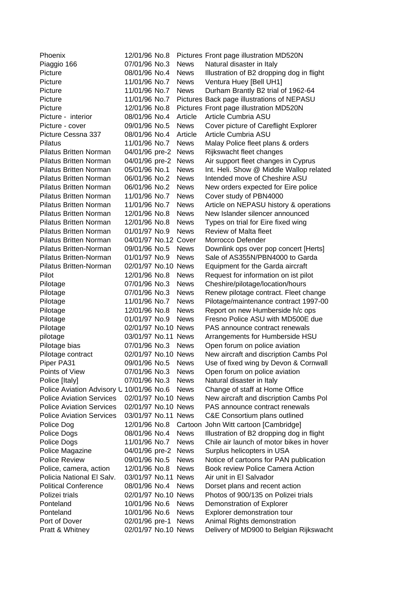| Phoenix                                  | 12/01/96 No.8        |             | Pictures Front page illustration MD520N    |
|------------------------------------------|----------------------|-------------|--------------------------------------------|
| Piaggio 166                              | 07/01/96 No.3        | <b>News</b> | Natural disaster in Italy                  |
| Picture                                  | 08/01/96 No.4        | <b>News</b> | Illustration of B2 dropping dog in flight  |
| Picture                                  | 11/01/96 No.7        | <b>News</b> | Ventura Huey [Bell UH1]                    |
| Picture                                  | 11/01/96 No.7        | <b>News</b> | Durham Brantly B2 trial of 1962-64         |
| Picture                                  | 11/01/96 No.7        |             | Pictures Back page illustrations of NEPASU |
| Picture                                  | 12/01/96 No.8        |             | Pictures Front page illustration MD520N    |
| Picture - interior                       | 08/01/96 No.4        | Article     | Article Cumbria ASU                        |
| Picture - cover                          | 09/01/96 No.5        | <b>News</b> | Cover picture of Careflight Explorer       |
| Picture Cessna 337                       | 08/01/96 No.4        | Article     | Article Cumbria ASU                        |
| Pilatus                                  | 11/01/96 No.7        | <b>News</b> | Malay Police fleet plans & orders          |
| <b>Pilatus Britten Norman</b>            | 04/01/96 pre-2       | <b>News</b> | Rijkswacht fleet changes                   |
| <b>Pilatus Britten Norman</b>            | 04/01/96 pre-2       | <b>News</b> | Air support fleet changes in Cyprus        |
| <b>Pilatus Britten Norman</b>            | 05/01/96 No.1        | <b>News</b> | Int. Heli. Show @ Middle Wallop related    |
| <b>Pilatus Britten Norman</b>            | 06/01/96 No.2        | <b>News</b> | Intended move of Cheshire ASU              |
| <b>Pilatus Britten Norman</b>            | 06/01/96 No.2        | <b>News</b> | New orders expected for Eire police        |
| <b>Pilatus Britten Norman</b>            | 11/01/96 No.7        | <b>News</b> | Cover study of PBN4000                     |
| <b>Pilatus Britten Norman</b>            | 11/01/96 No.7        | <b>News</b> | Article on NEPASU history & operations     |
| <b>Pilatus Britten Norman</b>            | 12/01/96 No.8        | <b>News</b> | New Islander silencer announced            |
| <b>Pilatus Britten Norman</b>            | 12/01/96 No.8        | <b>News</b> | Types on trial for Eire fixed wing         |
| <b>Pilatus Britten Norman</b>            | 01/01/97 No.9        | <b>News</b> | Review of Malta fleet                      |
| <b>Pilatus Britten Norman</b>            | 04/01/97 No.12 Cover |             | Morrocco Defender                          |
| Pilatus Britten-Norman                   | 09/01/96 No.5        | <b>News</b> | Downlink ops over pop concert [Herts]      |
| Pilatus Britten-Norman                   | 01/01/97 No.9        | <b>News</b> | Sale of AS355N/PBN4000 to Garda            |
| Pilatus Britten-Norman                   | 02/01/97 No.10 News  |             | Equipment for the Garda aircraft           |
| Pilot                                    | 12/01/96 No.8        | <b>News</b> | Request for information on ist pilot       |
| Pilotage                                 | 07/01/96 No.3        | <b>News</b> | Cheshire/pilotage/location/hours           |
| Pilotage                                 | 07/01/96 No.3        | <b>News</b> | Renew pilotage contract. Fleet change      |
| Pilotage                                 | 11/01/96 No.7        | <b>News</b> | Pilotage/maintenance contract 1997-00      |
| Pilotage                                 | 12/01/96 No.8        | <b>News</b> | Report on new Humberside h/c ops           |
| Pilotage                                 | 01/01/97 No.9        | <b>News</b> | Fresno Police ASU with MD500E due          |
| Pilotage                                 | 02/01/97 No.10 News  |             | PAS announce contract renewals             |
| pilotage                                 | 03/01/97 No.11 News  |             | Arrangements for Humberside HSU            |
| Pilotage bias                            | 07/01/96 No.3        | <b>News</b> | Open forum on police aviation              |
| Pilotage contract                        | 02/01/97 No.10 News  |             | New aircraft and discription Cambs Pol     |
| Piper PA31                               | 09/01/96 No.5        | <b>News</b> | Use of fixed wing by Devon & Cornwall      |
| Points of View                           | 07/01/96 No.3        | <b>News</b> | Open forum on police aviation              |
| Police [Italy]                           | 07/01/96 No.3        | <b>News</b> | Natural disaster in Italy                  |
| Police Aviation Advisory L 10/01/96 No.6 |                      | <b>News</b> | Change of staff at Home Office             |
| <b>Police Aviation Services</b>          | 02/01/97 No.10 News  |             | New aircraft and discription Cambs Pol     |
| <b>Police Aviation Services</b>          | 02/01/97 No.10 News  |             | PAS announce contract renewals             |
| <b>Police Aviation Services</b>          | 03/01/97 No.11 News  |             | C&E Consortium plans outlined              |
| Police Dog                               | 12/01/96 No.8        |             | Cartoon John Witt cartoon [Cambridge]      |
| Police Dogs                              | 08/01/96 No.4        | <b>News</b> | Illustration of B2 dropping dog in flight  |
| Police Dogs                              | 11/01/96 No.7        | <b>News</b> | Chile air launch of motor bikes in hover   |
| Police Magazine                          | 04/01/96 pre-2       | <b>News</b> | Surplus helicopters in USA                 |
| <b>Police Review</b>                     | 09/01/96 No.5        | <b>News</b> | Notice of cartoons for PAN publication     |
| Police, camera, action                   | 12/01/96 No.8        | <b>News</b> | Book review Police Camera Action           |
| Policia National El Salv.                | 03/01/97 No.11 News  |             | Air unit in El Salvador                    |
| <b>Political Conference</b>              | 08/01/96 No.4        | <b>News</b> | Dorset plans and recent action             |
| Polizei trials                           | 02/01/97 No.10 News  |             | Photos of 900/135 on Polizei trials        |
| Ponteland                                | 10/01/96 No.6        | <b>News</b> | Demonstration of Explorer                  |
| Ponteland                                | 10/01/96 No.6        | <b>News</b> | Explorer demonstration tour                |
| Port of Dover                            | 02/01/96 pre-1       | <b>News</b> | Animal Rights demonstration                |
| Pratt & Whitney                          | 02/01/97 No.10 News  |             | Delivery of MD900 to Belgian Rijkswacht    |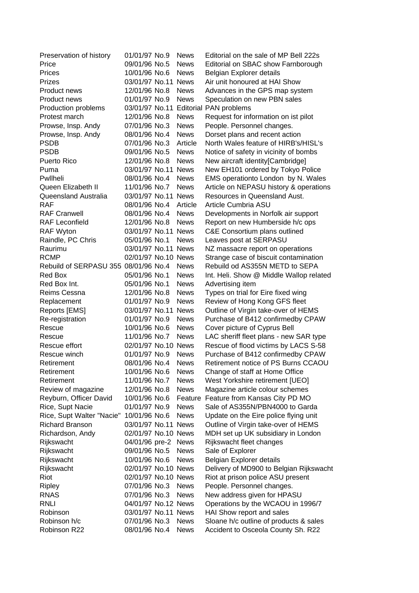| Preservation of history              | 01/01/97 No.9       | <b>News</b> | Editorial on the sale of MP Bell 222s   |
|--------------------------------------|---------------------|-------------|-----------------------------------------|
| Price                                | 09/01/96 No.5       | <b>News</b> | Editorial on SBAC show Farnborough      |
| Prices                               | 10/01/96 No.6       | <b>News</b> | Belgian Explorer details                |
| <b>Prizes</b>                        | 03/01/97 No.11 News |             | Air unit honoured at HAI Show           |
| Product news                         | 12/01/96 No.8       | <b>News</b> | Advances in the GPS map system          |
| Product news                         | 01/01/97 No.9       | <b>News</b> | Speculation on new PBN sales            |
| Production problems                  | 03/01/97 No.11      |             | <b>Editorial PAN problems</b>           |
| Protest march                        | 12/01/96 No.8       | <b>News</b> | Request for information on ist pilot    |
| Prowse, Insp. Andy                   | 07/01/96 No.3       | <b>News</b> | People. Personnel changes.              |
| Prowse, Insp. Andy                   | 08/01/96 No.4       | <b>News</b> | Dorset plans and recent action          |
| <b>PSDB</b>                          | 07/01/96 No.3       | Article     | North Wales feature of HIRB's/HISL's    |
| <b>PSDB</b>                          | 09/01/96 No.5       | <b>News</b> | Notice of safety in vicinity of bombs   |
| <b>Puerto Rico</b>                   | 12/01/96 No.8       | <b>News</b> | New aircraft identity[Cambridge]        |
| Puma                                 | 03/01/97 No.11 News |             | New EH101 ordered by Tokyo Police       |
| Pwllheli                             | 08/01/96 No.4       | <b>News</b> | EMS operationto London by N. Wales      |
| Queen Elizabeth II                   | 11/01/96 No.7       | <b>News</b> | Article on NEPASU history & operations  |
| Queensland Australia                 | 03/01/97 No.11 News |             | Resources in Queensland Aust.           |
| <b>RAF</b>                           | 08/01/96 No.4       | Article     | Article Cumbria ASU                     |
| <b>RAF Cranwell</b>                  | 08/01/96 No.4       | <b>News</b> | Developments in Norfolk air support     |
| <b>RAF Leconfield</b>                | 12/01/96 No.8       | <b>News</b> | Report on new Humberside h/c ops        |
| <b>RAF Wyton</b>                     | 03/01/97 No.11 News |             | C&E Consortium plans outlined           |
| Raindle, PC Chris                    | 05/01/96 No.1       | <b>News</b> | Leaves post at SERPASU                  |
| Raurimu                              | 03/01/97 No.11 News |             | NZ massacre report on operations        |
| <b>RCMP</b>                          | 02/01/97 No.10 News |             | Strange case of biscuit contamination   |
| Rebuild of SERPASU 355 08/01/96 No.4 |                     | <b>News</b> | Rebuild od AS355N METD to SEPA          |
| Red Box                              | 05/01/96 No.1       | <b>News</b> | Int. Heli. Show @ Middle Wallop related |
| Red Box Int.                         | 05/01/96 No.1       | <b>News</b> | Advertising item                        |
| Reims Cessna                         | 12/01/96 No.8       | <b>News</b> | Types on trial for Eire fixed wing      |
| Replacement                          | 01/01/97 No.9       | <b>News</b> | Review of Hong Kong GFS fleet           |
| Reports [EMS]                        | 03/01/97 No.11 News |             | Outline of Virgin take-over of HEMS     |
| Re-registration                      | 01/01/97 No.9       | <b>News</b> | Purchase of B412 confirmedby CPAW       |
| Rescue                               | 10/01/96 No.6       | <b>News</b> | Cover picture of Cyprus Bell            |
| Rescue                               | 11/01/96 No.7       | <b>News</b> | LAC sheriff fleet plans - new SAR type  |
| Rescue effort                        | 02/01/97 No.10 News |             | Rescue of flood victims by LACS S-58    |
| Rescue winch                         | 01/01/97 No.9       | <b>News</b> | Purchase of B412 confirmedby CPAW       |
| Retirement                           | 08/01/96 No.4       | <b>News</b> | Retirement notice of PS Burns CCAOU     |
| Retirement                           | 10/01/96 No.6       | <b>News</b> | Change of staff at Home Office          |
| Retirement                           | 11/01/96 No.7       | <b>News</b> | West Yorkshire retirement [UEO]         |
| Review of magazine                   | 12/01/96 No.8       | <b>News</b> | Magazine article colour schemes         |
| Reyburn, Officer David               | 10/01/96 No.6       | Feature     | Feature from Kansas City PD MO          |
| Rice, Supt Nacie                     | 01/01/97 No.9       | <b>News</b> | Sale of AS355N/PBN4000 to Garda         |
| Rice, Supt Walter "Nacie"            | 10/01/96 No.6       | <b>News</b> | Update on the Eire police flying unit   |
| Richard Branson                      | 03/01/97 No.11 News |             | Outline of Virgin take-over of HEMS     |
| Richardson, Andy                     | 02/01/97 No.10 News |             | MDH set up UK subsidiary in London      |
| Rijkswacht                           | 04/01/96 pre-2      | <b>News</b> | Rijkswacht fleet changes                |
| Rijkswacht                           | 09/01/96 No.5       | <b>News</b> | Sale of Explorer                        |
| Rijkswacht                           | 10/01/96 No.6       | <b>News</b> | Belgian Explorer details                |
| Rijkswacht                           | 02/01/97 No.10 News |             | Delivery of MD900 to Belgian Rijkswacht |
| Riot                                 | 02/01/97 No.10 News |             | Riot at prison police ASU present       |
| Ripley                               | 07/01/96 No.3       | <b>News</b> | People. Personnel changes.              |
| <b>RNAS</b>                          | 07/01/96 No.3       | <b>News</b> | New address given for HPASU             |
| <b>RNLI</b>                          | 04/01/97 No.12 News |             | Operations by the WCAOU in 1996/7       |
| Robinson                             | 03/01/97 No.11 News |             | HAI Show report and sales               |
| Robinson h/c                         | 07/01/96 No.3       | <b>News</b> | Sloane h/c outline of products & sales  |
| Robinson R22                         | 08/01/96 No.4       | <b>News</b> | Accident to Osceola County Sh. R22      |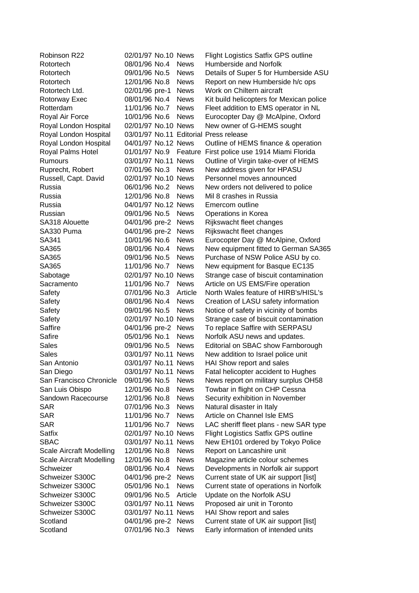| Robinson R22             | 02/01/97 No.10 News |                            | <b>Flight Logistics Satfix GPS outline</b>                          |
|--------------------------|---------------------|----------------------------|---------------------------------------------------------------------|
| Rotortech                | 08/01/96 No.4       | <b>News</b>                | Humberside and Norfolk                                              |
| Rotortech                | 09/01/96 No.5       | <b>News</b>                | Details of Super 5 for Humberside ASU                               |
| Rotortech                | 12/01/96 No.8       | <b>News</b>                | Report on new Humberside h/c ops                                    |
| Rotortech Ltd.           | 02/01/96 pre-1      | <b>News</b>                | Work on Chiltern aircraft                                           |
| Rotorway Exec            | 08/01/96 No.4       | <b>News</b>                | Kit build helicopters for Mexican police                            |
| Rotterdam                | 11/01/96 No.7       | <b>News</b>                | Fleet addition to EMS operator in NL                                |
| Royal Air Force          | 10/01/96 No.6       | <b>News</b>                | Eurocopter Day @ McAlpine, Oxford                                   |
| Royal London Hospital    | 02/01/97 No.10 News |                            | New owner of G-HEMS sought                                          |
| Royal London Hospital    |                     |                            | 03/01/97 No.11 Editorial Press release                              |
| Royal London Hospital    | 04/01/97 No.12 News |                            | Outline of HEMS finance & operation                                 |
| Royal Palms Hotel        | 01/01/97 No.9       | Feature                    | First police use 1914 Miami Florida                                 |
| <b>Rumours</b>           | 03/01/97 No.11 News |                            | Outline of Virgin take-over of HEMS                                 |
| Ruprecht, Robert         | 07/01/96 No.3       | <b>News</b>                | New address given for HPASU                                         |
| Russell, Capt. David     | 02/01/97 No.10 News |                            | Personnel moves announced                                           |
| Russia                   | 06/01/96 No.2       | <b>News</b>                | New orders not delivered to police                                  |
| Russia                   | 12/01/96 No.8       | <b>News</b>                | Mil 8 crashes in Russia                                             |
| Russia                   | 04/01/97 No.12 News |                            | Emercom outline                                                     |
| Russian                  | 09/01/96 No.5       | <b>News</b>                | Operations in Korea                                                 |
| SA318 Alouette           | 04/01/96 pre-2      | <b>News</b>                | Rijkswacht fleet changes                                            |
| SA330 Puma               | 04/01/96 pre-2      | <b>News</b>                | Rijkswacht fleet changes                                            |
| SA341                    | 10/01/96 No.6       | <b>News</b>                | Eurocopter Day @ McAlpine, Oxford                                   |
| SA365                    | 08/01/96 No.4       | <b>News</b>                | New equipment fitted to German SA365                                |
| SA365                    | 09/01/96 No.5       | <b>News</b>                | Purchase of NSW Police ASU by co.                                   |
| SA365                    | 11/01/96 No.7       | <b>News</b>                | New equipment for Basque EC135                                      |
| Sabotage                 | 02/01/97 No.10 News |                            | Strange case of biscuit contamination                               |
| Sacramento               | 11/01/96 No.7       | <b>News</b>                | Article on US EMS/Fire operation                                    |
| Safety                   | 07/01/96 No.3       | Article                    | North Wales feature of HIRB's/HISL's                                |
| Safety                   | 08/01/96 No.4       | <b>News</b>                | Creation of LASU safety information                                 |
| Safety                   | 09/01/96 No.5       | <b>News</b>                | Notice of safety in vicinity of bombs                               |
| Safety                   | 02/01/97 No.10 News |                            | Strange case of biscuit contamination                               |
| Saffire                  | 04/01/96 pre-2      | <b>News</b>                | To replace Saffire with SERPASU                                     |
| Safire                   | 05/01/96 No.1       | <b>News</b>                | Norfolk ASU news and updates.                                       |
| <b>Sales</b>             | 09/01/96 No.5       | <b>News</b>                | Editorial on SBAC show Farnborough                                  |
| <b>Sales</b>             | 03/01/97 No.11 News |                            | New addition to Israel police unit                                  |
| San Antonio              | 03/01/97 No.11 News |                            | HAI Show report and sales                                           |
| San Diego                | 03/01/97 No.11 News |                            | Fatal helicopter accident to Hughes                                 |
| San Francisco Chronicle  | 09/01/96 No.5       | <b>News</b>                | News report on military surplus OH58                                |
| San Luis Obispo          | 12/01/96 No.8       | <b>News</b>                | Towbar in flight on CHP Cessna                                      |
| Sandown Racecourse       | 12/01/96 No.8       | <b>News</b>                | Security exhibition in November                                     |
| <b>SAR</b>               | 07/01/96 No.3       | <b>News</b>                | Natural disaster in Italy                                           |
| <b>SAR</b>               | 11/01/96 No.7       | <b>News</b>                | Article on Channel Isle EMS                                         |
| <b>SAR</b>               | 11/01/96 No.7       | <b>News</b>                | LAC sheriff fleet plans - new SAR type                              |
| <b>Satfix</b>            | 02/01/97 No.10 News |                            | <b>Flight Logistics Satfix GPS outline</b>                          |
| <b>SBAC</b>              | 03/01/97 No.11 News |                            | New EH101 ordered by Tokyo Police                                   |
| Scale Aircraft Modelling | 12/01/96 No.8       | <b>News</b>                | Report on Lancashire unit                                           |
| Scale Aircraft Modelling | 12/01/96 No.8       | <b>News</b>                | Magazine article colour schemes                                     |
| Schweizer                | 08/01/96 No.4       | <b>News</b>                | Developments in Norfolk air support                                 |
| Schweizer S300C          | 04/01/96 pre-2      | <b>News</b>                | Current state of UK air support [list]                              |
| Schweizer S300C          | 05/01/96 No.1       | <b>News</b>                |                                                                     |
| Schweizer S300C          | 09/01/96 No.5       | Article                    | Current state of operations in Norfolk<br>Update on the Norfolk ASU |
| Schweizer S300C          | 03/01/97 No.11 News |                            | Proposed air unit in Toronto                                        |
| Schweizer S300C          | 03/01/97 No.11 News |                            |                                                                     |
| Scotland                 | 04/01/96 pre-2      |                            | HAI Show report and sales                                           |
| Scotland                 | 07/01/96 No.3       | <b>News</b><br><b>News</b> | Current state of UK air support [list]                              |
|                          |                     |                            | Early information of intended units                                 |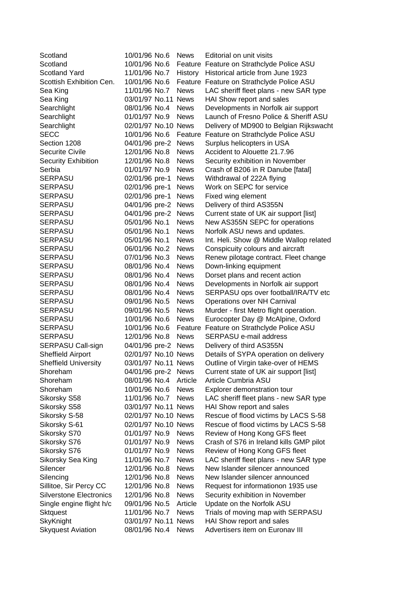| Scotland                       | 10/01/96 No.6       | <b>News</b> | Editorial on unit visits                  |
|--------------------------------|---------------------|-------------|-------------------------------------------|
| Scotland                       | 10/01/96 No.6       |             | Feature Feature on Strathclyde Police ASU |
| <b>Scotland Yard</b>           | 11/01/96 No.7       | History     | Historical article from June 1923         |
| Scottish Exhibition Cen.       | 10/01/96 No.6       |             | Feature Feature on Strathclyde Police ASU |
| Sea King                       | 11/01/96 No.7       | <b>News</b> | LAC sheriff fleet plans - new SAR type    |
| Sea King                       | 03/01/97 No.11      | <b>News</b> | HAI Show report and sales                 |
| Searchlight                    | 08/01/96 No.4       | <b>News</b> | Developments in Norfolk air support       |
| Searchlight                    | 01/01/97 No.9       | <b>News</b> | Launch of Fresno Police & Sheriff ASU     |
| Searchlight                    | 02/01/97 No.10 News |             | Delivery of MD900 to Belgian Rijkswacht   |
| <b>SECC</b>                    | 10/01/96 No.6       |             | Feature Feature on Strathclyde Police ASU |
| Section 1208                   | 04/01/96 pre-2      | <b>News</b> | Surplus helicopters in USA                |
| <b>Securite Civile</b>         | 12/01/96 No.8       | <b>News</b> | Accident to Alouette 21.7.96              |
| <b>Security Exhibition</b>     | 12/01/96 No.8       | <b>News</b> | Security exhibition in November           |
| Serbia                         | 01/01/97 No.9       | <b>News</b> | Crash of B206 in R Danube [fatal]         |
| <b>SERPASU</b>                 | 02/01/96 pre-1      | <b>News</b> | Withdrawal of 222A flying                 |
| SERPASU                        | 02/01/96 pre-1      | <b>News</b> | Work on SEPC for service                  |
| <b>SERPASU</b>                 | 02/01/96 pre-1      | <b>News</b> | Fixed wing element                        |
| <b>SERPASU</b>                 | 04/01/96 pre-2      | <b>News</b> | Delivery of third AS355N                  |
| <b>SERPASU</b>                 | 04/01/96 pre-2      | <b>News</b> | Current state of UK air support [list]    |
| <b>SERPASU</b>                 | 05/01/96 No.1       | <b>News</b> | New AS355N SEPC for operations            |
| <b>SERPASU</b>                 | 05/01/96 No.1       | <b>News</b> | Norfolk ASU news and updates.             |
| <b>SERPASU</b>                 | 05/01/96 No.1       | <b>News</b> | Int. Heli. Show @ Middle Wallop related   |
| <b>SERPASU</b>                 | 06/01/96 No.2       | <b>News</b> | Conspicuity colours and aircraft          |
| <b>SERPASU</b>                 | 07/01/96 No.3       | <b>News</b> | Renew pilotage contract. Fleet change     |
| <b>SERPASU</b>                 | 08/01/96 No.4       | <b>News</b> | Down-linking equipment                    |
| SERPASU                        | 08/01/96 No.4       | <b>News</b> | Dorset plans and recent action            |
| <b>SERPASU</b>                 | 08/01/96 No.4       | <b>News</b> | Developments in Norfolk air support       |
| SERPASU                        | 08/01/96 No.4       | <b>News</b> | SERPASU ops over football/IRA/TV etc      |
| SERPASU                        | 09/01/96 No.5       | <b>News</b> | Operations over NH Carnival               |
| <b>SERPASU</b>                 | 09/01/96 No.5       | <b>News</b> | Murder - first Metro flight operation.    |
| <b>SERPASU</b>                 | 10/01/96 No.6       | <b>News</b> | Eurocopter Day @ McAlpine, Oxford         |
| SERPASU                        | 10/01/96 No.6       | Feature     | Feature on Strathclyde Police ASU         |
| SERPASU                        | 12/01/96 No.8       | <b>News</b> | SERPASU e-mail address                    |
| SERPASU Call-sign              | 04/01/96 pre-2      | <b>News</b> | Delivery of third AS355N                  |
| Sheffield Airport              | 02/01/97 No.10 News |             | Details of SYPA operation on delivery     |
| <b>Sheffield University</b>    | 03/01/97 No.11 News |             | Outline of Virgin take-over of HEMS       |
| Shoreham                       | 04/01/96 pre-2      | <b>News</b> | Current state of UK air support [list]    |
| Shoreham                       | 08/01/96 No.4       | Article     | Article Cumbria ASU                       |
| Shoreham                       | 10/01/96 No.6       | <b>News</b> | Explorer demonstration tour               |
| Sikorsky S58                   | 11/01/96 No.7       | <b>News</b> | LAC sheriff fleet plans - new SAR type    |
| Sikorsky S58                   | 03/01/97 No.11 News |             | HAI Show report and sales                 |
| Sikorsky S-58                  | 02/01/97 No.10 News |             | Rescue of flood victims by LACS S-58      |
| Sikorsky S-61                  | 02/01/97 No.10 News |             | Rescue of flood victims by LACS S-58      |
| Sikorsky S70                   | 01/01/97 No.9       | <b>News</b> | Review of Hong Kong GFS fleet             |
| Sikorsky S76                   | 01/01/97 No.9       | <b>News</b> | Crash of S76 in Ireland kills GMP pilot   |
| Sikorsky S76                   | 01/01/97 No.9       | <b>News</b> | Review of Hong Kong GFS fleet             |
| Sikorsky Sea King              | 11/01/96 No.7       | <b>News</b> | LAC sheriff fleet plans - new SAR type    |
| Silencer                       | 12/01/96 No.8       | <b>News</b> | New Islander silencer announced           |
| Silencing                      | 12/01/96 No.8       | <b>News</b> | New Islander silencer announced           |
| Sillitoe, Sir Percy CC         | 12/01/96 No.8       | <b>News</b> | Request for informationon 1935 use        |
| <b>Silverstone Electronics</b> | 12/01/96 No.8       | <b>News</b> | Security exhibition in November           |
| Single engine flight h/c       | 09/01/96 No.5       | Article     | Update on the Norfolk ASU                 |
| <b>Sktquest</b>                | 11/01/96 No.7       | <b>News</b> | Trials of moving map with SERPASU         |
| SkyKnight                      | 03/01/97 No.11      | <b>News</b> | HAI Show report and sales                 |
| <b>Skyquest Aviation</b>       | 08/01/96 No.4       | <b>News</b> | Advertisers item on Euronav III           |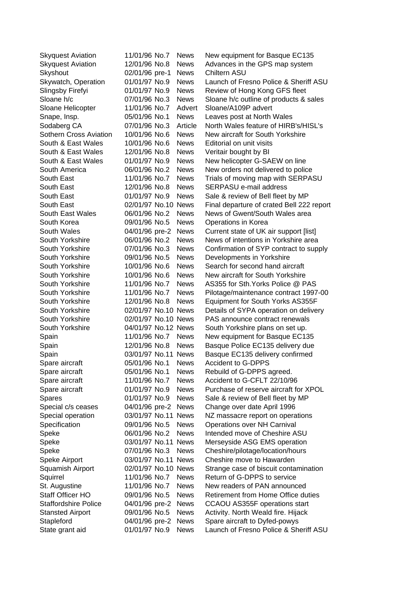| <b>Skyquest Aviation</b>      | 11/01/96 No.7       | <b>News</b> | New equipment for Basque EC135            |
|-------------------------------|---------------------|-------------|-------------------------------------------|
| <b>Skyquest Aviation</b>      | 12/01/96 No.8       | <b>News</b> | Advances in the GPS map system            |
| Skyshout                      | 02/01/96 pre-1      | <b>News</b> | Chiltern ASU                              |
| Skywatch, Operation           | 01/01/97 No.9       | <b>News</b> | Launch of Fresno Police & Sheriff ASU     |
| Slingsby Firefyi              | 01/01/97 No.9       | <b>News</b> | Review of Hong Kong GFS fleet             |
| Sloane h/c                    | 07/01/96 No.3       | <b>News</b> | Sloane h/c outline of products & sales    |
| Sloane Helicopter             | 11/01/96 No.7       | Advert      | Sloane/A109P advert                       |
| Snape, Insp.                  | 05/01/96 No.1       | <b>News</b> | Leaves post at North Wales                |
| Sodaberg CA                   | 07/01/96 No.3       | Article     | North Wales feature of HIRB's/HISL's      |
| <b>Sothern Cross Aviation</b> | 10/01/96 No.6       | <b>News</b> | New aircraft for South Yorkshire          |
| South & East Wales            | 10/01/96 No.6       | <b>News</b> | Editorial on unit visits                  |
| South & East Wales            | 12/01/96 No.8       | <b>News</b> | Veritair bought by BI                     |
| South & East Wales            | 01/01/97 No.9       | <b>News</b> | New helicopter G-SAEW on line             |
| South America                 | 06/01/96 No.2       | <b>News</b> | New orders not delivered to police        |
| South East                    | 11/01/96 No.7       | <b>News</b> | Trials of moving map with SERPASU         |
| South East                    | 12/01/96 No.8       | <b>News</b> | <b>SERPASU e-mail address</b>             |
| South East                    | 01/01/97 No.9       | <b>News</b> | Sale & review of Bell fleet by MP         |
| South East                    | 02/01/97 No.10 News |             | Final departure of crated Bell 222 report |
| South East Wales              | 06/01/96 No.2       | <b>News</b> | News of Gwent/South Wales area            |
| South Korea                   | 09/01/96 No.5       | <b>News</b> | Operations in Korea                       |
| South Wales                   | 04/01/96 pre-2      | <b>News</b> | Current state of UK air support [list]    |
| South Yorkshire               | 06/01/96 No.2       | <b>News</b> | News of intentions in Yorkshire area      |
| South Yorkshire               | 07/01/96 No.3       | <b>News</b> | Confirmation of SYP contract to supply    |
| South Yorkshire               | 09/01/96 No.5       | <b>News</b> | Developments in Yorkshire                 |
| South Yorkshire               | 10/01/96 No.6       | <b>News</b> | Search for second hand aircraft           |
| South Yorkshire               | 10/01/96 No.6       | <b>News</b> | New aircraft for South Yorkshire          |
| South Yorkshire               | 11/01/96 No.7       | <b>News</b> | AS355 for Sth. Yorks Police @ PAS         |
| South Yorkshire               | 11/01/96 No.7       | <b>News</b> | Pilotage/maintenance contract 1997-00     |
| South Yorkshire               | 12/01/96 No.8       | <b>News</b> | Equipment for South Yorks AS355F          |
| South Yorkshire               | 02/01/97 No.10 News |             | Details of SYPA operation on delivery     |
| South Yorkshire               | 02/01/97 No.10 News |             | PAS announce contract renewals            |
| South Yorkshire               | 04/01/97 No.12 News |             | South Yorkshire plans on set up.          |
| Spain                         | 11/01/96 No.7       | <b>News</b> | New equipment for Basque EC135            |
| Spain                         | 12/01/96 No.8       | <b>News</b> | Basque Police EC135 delivery due          |
| Spain                         | 03/01/97 No.11 News |             | Basque EC135 delivery confirmed           |
| Spare aircraft                | 05/01/96 No.1       | <b>News</b> | <b>Accident to G-DPPS</b>                 |
| Spare aircraft                | 05/01/96 No.1       | <b>News</b> | Rebuild of G-DPPS agreed.                 |
| Spare aircraft                | 11/01/96 No.7       | <b>News</b> | Accident to G-CFLT 22/10/96               |
| Spare aircraft                | 01/01/97 No.9       | <b>News</b> | Purchase of reserve aircraft for XPOL     |
| Spares                        | 01/01/97 No.9       | <b>News</b> | Sale & review of Bell fleet by MP         |
| Special c/s ceases            | 04/01/96 pre-2      | <b>News</b> | Change over date April 1996               |
| Special operation             | 03/01/97 No.11 News |             | NZ massacre report on operations          |
| Specification                 | 09/01/96 No.5       | <b>News</b> | Operations over NH Carnival               |
| Speke                         | 06/01/96 No.2       | <b>News</b> | Intended move of Cheshire ASU             |
| Speke                         | 03/01/97 No.11 News |             | Merseyside ASG EMS operation              |
| Speke                         | 07/01/96 No.3       | <b>News</b> | Cheshire/pilotage/location/hours          |
| Speke Airport                 | 03/01/97 No.11 News |             | Cheshire move to Hawarden                 |
| Squamish Airport              | 02/01/97 No.10 News |             | Strange case of biscuit contamination     |
| Squirrel                      | 11/01/96 No.7       | <b>News</b> | Return of G-DPPS to service               |
| St. Augustine                 | 11/01/96 No.7       | <b>News</b> | New readers of PAN announced              |
| Staff Officer HO              | 09/01/96 No.5       | <b>News</b> | <b>Retirement from Home Office duties</b> |
| <b>Staffordshire Police</b>   | 04/01/96 pre-2      | <b>News</b> | CCAOU AS355F operations start             |
| <b>Stansted Airport</b>       | 09/01/96 No.5       | <b>News</b> | Activity. North Weald fire. Hijack        |
| Stapleford                    | 04/01/96 pre-2      | <b>News</b> | Spare aircraft to Dyfed-powys             |
| State grant aid               | 01/01/97 No.9       | <b>News</b> | Launch of Fresno Police & Sheriff ASU     |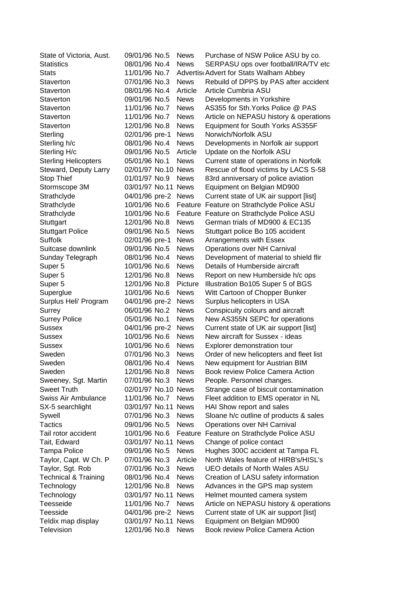| State of Victoria, Aust.        | 09/01/96 No.5       | <b>News</b> | Purchase of NSW Police ASU by co.       |
|---------------------------------|---------------------|-------------|-----------------------------------------|
| <b>Statistics</b>               | 08/01/96 No.4       | <b>News</b> | SERPASU ops over football/IRA/TV etc    |
| <b>Stats</b>                    | 11/01/96 No.7       |             | Advertis Advert for Stats Walham Abbey  |
| Staverton                       | 07/01/96 No.3       | <b>News</b> | Rebuild of DPPS by PAS after accident   |
| Staverton                       | 08/01/96 No.4       | Article     | Article Cumbria ASU                     |
| Staverton                       | 09/01/96 No.5       | <b>News</b> | Developments in Yorkshire               |
| Staverton                       | 11/01/96 No.7       | <b>News</b> | AS355 for Sth. Yorks Police @ PAS       |
| Staverton                       | 11/01/96 No.7       | <b>News</b> | Article on NEPASU history & operations  |
| Staverton                       | 12/01/96 No.8       | <b>News</b> | Equipment for South Yorks AS355F        |
| Sterling                        | 02/01/96 pre-1      | <b>News</b> | Norwich/Norfolk ASU                     |
| Sterling h/c                    | 08/01/96 No.4       | <b>News</b> | Developments in Norfolk air support     |
| Sterling H/c                    | 09/01/96 No.5       | Article     | Update on the Norfolk ASU               |
| <b>Sterling Helicopters</b>     | 05/01/96 No.1       | <b>News</b> | Current state of operations in Norfolk  |
| Steward, Deputy Larry           | 02/01/97 No.10 News |             | Rescue of flood victims by LACS S-58    |
| Stop Thief                      | 01/01/97 No.9       | <b>News</b> | 83rd anniversary of police aviation     |
| Stormscope 3M                   | 03/01/97 No.11      | <b>News</b> | Equipment on Belgian MD900              |
| Strathclyde                     | 04/01/96 pre-2      | <b>News</b> | Current state of UK air support [list]  |
| Strathclyde                     | 10/01/96 No.6       | Feature     | Feature on Strathclyde Police ASU       |
| Strathclyde                     | 10/01/96 No.6       | Feature     | Feature on Strathclyde Police ASU       |
| Stuttgart                       | 12/01/96 No.8       | <b>News</b> | German trials of MD900 & EC135          |
| <b>Stuttgart Police</b>         | 09/01/96 No.5       | <b>News</b> | Stuttgart police Bo 105 accident        |
| Suffolk                         | 02/01/96 pre-1      | <b>News</b> | Arrangements with Essex                 |
| Suitcase downlink               | 09/01/96 No.5       | <b>News</b> | Operations over NH Carnival             |
| Sunday Telegraph                | 08/01/96 No.4       | <b>News</b> | Development of material to shield flir  |
| Super <sub>5</sub>              | 10/01/96 No.6       | <b>News</b> | Details of Humberside aircraft          |
| Super <sub>5</sub>              | 12/01/96 No.8       | <b>News</b> | Report on new Humberside h/c ops        |
| Super <sub>5</sub>              | 12/01/96 No.8       | Picture     | Illustration Bo105 Super 5 of BGS       |
| Superglue                       | 10/01/96 No.6       | <b>News</b> | Witt Cartoon of Chopper Bunker          |
| Surplus Heli' Program           | 04/01/96 pre-2      | <b>News</b> | Surplus helicopters in USA              |
| Surrey                          | 06/01/96 No.2       | <b>News</b> | Conspicuity colours and aircraft        |
| <b>Surrey Police</b>            | 05/01/96 No.1       | <b>News</b> | New AS355N SEPC for operations          |
| <b>Sussex</b>                   | 04/01/96 pre-2      | <b>News</b> | Current state of UK air support [list]  |
| <b>Sussex</b>                   | 10/01/96 No.6       | <b>News</b> | New aircraft for Sussex - ideas         |
| <b>Sussex</b>                   | 10/01/96 No.6       | <b>News</b> | Explorer demonstration tour             |
| Sweden                          | 07/01/96 No.3       | <b>News</b> | Order of new helicopters and fleet list |
| Sweden                          | 08/01/96 No.4       | <b>News</b> | New equipment for Austrian BIM          |
| Sweden                          | 12/01/96 No.8       | <b>News</b> | Book review Police Camera Action        |
| Sweeney, Sgt. Martin            | 07/01/96 No.3       | <b>News</b> | People. Personnel changes.              |
| <b>Sweet Truth</b>              | 02/01/97 No.10 News |             | Strange case of biscuit contamination   |
| Swiss Air Ambulance             | 11/01/96 No.7       | <b>News</b> | Fleet addition to EMS operator in NL    |
| SX-5 searchlight                | 03/01/97 No.11 News |             | HAI Show report and sales               |
| Sywell                          | 07/01/96 No.3       | <b>News</b> | Sloane h/c outline of products & sales  |
| <b>Tactics</b>                  | 09/01/96 No.5       | <b>News</b> | Operations over NH Carnival             |
| Tail rotor accident             | 10/01/96 No.6       | Feature     | Feature on Strathclyde Police ASU       |
| Tait, Edward                    | 03/01/97 No.11 News |             | Change of police contact                |
| <b>Tampa Police</b>             | 09/01/96 No.5       | <b>News</b> | Hughes 300C accident at Tampa FL        |
| Taylor, Capt. W Ch. P           | 07/01/96 No.3       | Article     | North Wales feature of HIRB's/HISL's    |
| Taylor, Sgt. Rob                | 07/01/96 No.3       | <b>News</b> | <b>UEO details of North Wales ASU</b>   |
| <b>Technical &amp; Training</b> | 08/01/96 No.4       | <b>News</b> | Creation of LASU safety information     |
|                                 |                     |             |                                         |
| Technology                      | 12/01/96 No.8       | <b>News</b> | Advances in the GPS map system          |
| Technology                      | 03/01/97 No.11 News |             | Helmet mounted camera system            |
| Teesseide                       | 11/01/96 No.7       | <b>News</b> | Article on NEPASU history & operations  |
| Teesside                        | 04/01/96 pre-2      | <b>News</b> | Current state of UK air support [list]  |
| Teldix map display              | 03/01/97 No.11 News |             | Equipment on Belgian MD900              |
| Television                      | 12/01/96 No.8       | <b>News</b> | Book review Police Camera Action        |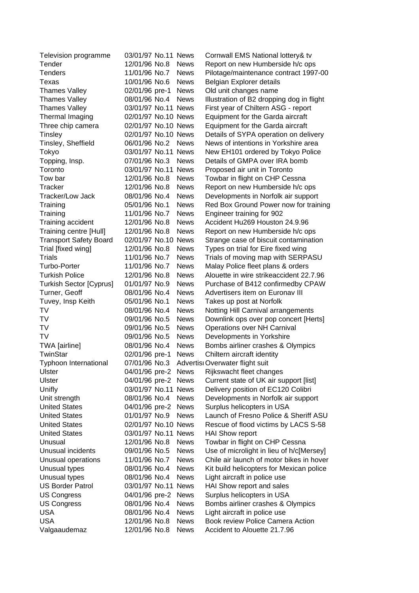| Television programme           | 03/01/97 No.11 News |             | Cornwall EMS National lottery& tv         |
|--------------------------------|---------------------|-------------|-------------------------------------------|
| Tender                         | 12/01/96 No.8       | <b>News</b> | Report on new Humberside h/c ops          |
| <b>Tenders</b>                 | 11/01/96 No.7       | <b>News</b> | Pilotage/maintenance contract 1997-00     |
| Texas                          | 10/01/96 No.6       | <b>News</b> | Belgian Explorer details                  |
| <b>Thames Valley</b>           | 02/01/96 pre-1      | <b>News</b> | Old unit changes name                     |
| <b>Thames Valley</b>           | 08/01/96 No.4       | <b>News</b> | Illustration of B2 dropping dog in flight |
| <b>Thames Valley</b>           | 03/01/97 No.11 News |             | First year of Chiltern ASG - report       |
| Thermal Imaging                | 02/01/97 No.10 News |             | Equipment for the Garda aircraft          |
| Three chip camera              | 02/01/97 No.10 News |             | Equipment for the Garda aircraft          |
| Tinsley                        | 02/01/97 No.10 News |             | Details of SYPA operation on delivery     |
| Tinsley, Sheffield             | 06/01/96 No.2       | <b>News</b> | News of intentions in Yorkshire area      |
| Tokyo                          | 03/01/97 No.11 News |             | New EH101 ordered by Tokyo Police         |
| Topping, Insp.                 | 07/01/96 No.3       | <b>News</b> | Details of GMPA over IRA bomb             |
| Toronto                        | 03/01/97 No.11 News |             | Proposed air unit in Toronto              |
| Tow bar                        | 12/01/96 No.8       | <b>News</b> | Towbar in flight on CHP Cessna            |
| Tracker                        | 12/01/96 No.8       | <b>News</b> | Report on new Humberside h/c ops          |
| Tracker/Low Jack               | 08/01/96 No.4       | <b>News</b> | Developments in Norfolk air support       |
| Training                       | 05/01/96 No.1       | <b>News</b> | Red Box Ground Power now for training     |
| Training                       | 11/01/96 No.7       | <b>News</b> | Engineer training for 902                 |
| Training accident              | 12/01/96 No.8       | <b>News</b> | Accident Hu269 Houston 24.9.96            |
| Training centre [Hull]         | 12/01/96 No.8       | <b>News</b> | Report on new Humberside h/c ops          |
| <b>Transport Safety Board</b>  | 02/01/97 No.10 News |             | Strange case of biscuit contamination     |
| Trial [fixed wing]             | 12/01/96 No.8       | <b>News</b> | Types on trial for Eire fixed wing        |
| Trials                         | 11/01/96 No.7       | <b>News</b> | Trials of moving map with SERPASU         |
| Turbo-Porter                   | 11/01/96 No.7       | <b>News</b> | Malay Police fleet plans & orders         |
| <b>Turkish Police</b>          | 12/01/96 No.8       | <b>News</b> | Alouette in wire strikeaccident 22.7.96   |
| <b>Turkish Sector [Cyprus]</b> | 01/01/97 No.9       | <b>News</b> | Purchase of B412 confirmedby CPAW         |
| Turner, Geoff                  | 08/01/96 No.4       | <b>News</b> | Advertisers item on Euronav III           |
| Tuvey, Insp Keith              | 05/01/96 No.1       | <b>News</b> | Takes up post at Norfolk                  |
| TV                             | 08/01/96 No.4       | <b>News</b> | Notting Hill Carnival arrangements        |
| TV                             | 09/01/96 No.5       | <b>News</b> | Downlink ops over pop concert [Herts]     |
| TV                             | 09/01/96 No.5       | <b>News</b> | Operations over NH Carnival               |
| <b>TV</b>                      | 09/01/96 No.5       | <b>News</b> | Developments in Yorkshire                 |
| TWA [airline]                  | 08/01/96 No.4       | <b>News</b> | Bombs airliner crashes & Olympics         |
| TwinStar                       | 02/01/96 pre-1      | <b>News</b> | Chiltern aircraft identity                |
| <b>Typhoon International</b>   | 07/01/96 No.3       |             | Advertisi Overwater flight suit           |
| Ulster                         | 04/01/96 pre-2      | News        | Rijkswacht fleet changes                  |
| Ulster                         | 04/01/96 pre-2      | <b>News</b> | Current state of UK air support [list]    |
| Unifly                         | 03/01/97 No.11 News |             | Delivery position of EC120 Colibri        |
| Unit strength                  | 08/01/96 No.4       | <b>News</b> | Developments in Norfolk air support       |
| <b>United States</b>           | 04/01/96 pre-2      | <b>News</b> | Surplus helicopters in USA                |
| <b>United States</b>           | 01/01/97 No.9       | <b>News</b> | Launch of Fresno Police & Sheriff ASU     |
| <b>United States</b>           | 02/01/97 No.10 News |             | Rescue of flood victims by LACS S-58      |
| <b>United States</b>           | 03/01/97 No.11 News |             | <b>HAI Show report</b>                    |
| Unusual                        | 12/01/96 No.8       | <b>News</b> | Towbar in flight on CHP Cessna            |
| Unusual incidents              | 09/01/96 No.5       | <b>News</b> | Use of microlight in lieu of h/c[Mersey]  |
| Unusual operations             | 11/01/96 No.7       | <b>News</b> | Chile air launch of motor bikes in hover  |
| Unusual types                  | 08/01/96 No.4       | <b>News</b> | Kit build helicopters for Mexican police  |
| Unusual types                  | 08/01/96 No.4       | <b>News</b> | Light aircraft in police use              |
| <b>US Border Patrol</b>        | 03/01/97 No.11 News |             | HAI Show report and sales                 |
| <b>US Congress</b>             | 04/01/96 pre-2      | <b>News</b> | Surplus helicopters in USA                |
| <b>US Congress</b>             | 08/01/96 No.4       | <b>News</b> | Bombs airliner crashes & Olympics         |
| <b>USA</b>                     | 08/01/96 No.4       | <b>News</b> | Light aircraft in police use              |
| <b>USA</b>                     | 12/01/96 No.8       | <b>News</b> | <b>Book review Police Camera Action</b>   |
| Valgaaudemaz                   | 12/01/96 No.8       | <b>News</b> | Accident to Alouette 21.7.96              |
|                                |                     |             |                                           |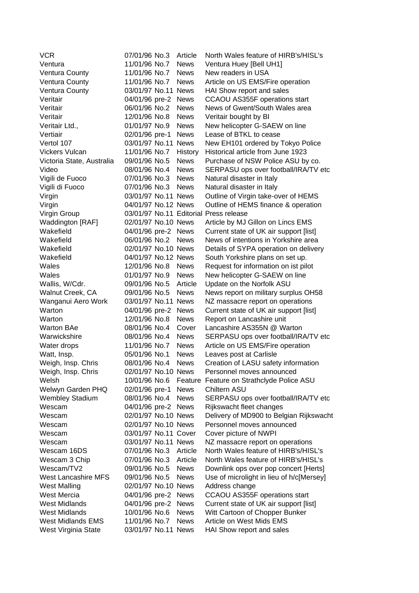| <b>VCR</b>                 | 07/01/96 No.3        | Article     | North Wales feature of HIRB's/HISL's     |
|----------------------------|----------------------|-------------|------------------------------------------|
| Ventura                    | 11/01/96 No.7        | <b>News</b> | Ventura Huey [Bell UH1]                  |
| <b>Ventura County</b>      | 11/01/96 No.7        | <b>News</b> | New readers in USA                       |
| <b>Ventura County</b>      | 11/01/96 No.7        | <b>News</b> | Article on US EMS/Fire operation         |
| <b>Ventura County</b>      | 03/01/97 No.11 News  |             | HAI Show report and sales                |
| Veritair                   | 04/01/96 pre-2       | <b>News</b> | CCAOU AS355F operations start            |
| Veritair                   | 06/01/96 No.2        | <b>News</b> | News of Gwent/South Wales area           |
| Veritair                   | 12/01/96 No.8        | <b>News</b> | Veritair bought by BI                    |
| Veritair Ltd.,             | 01/01/97 No.9        | <b>News</b> | New helicopter G-SAEW on line            |
| Vertiair                   | 02/01/96 pre-1       | <b>News</b> | Lease of BTKL to cease                   |
| Vertol 107                 | 03/01/97 No.11 News  |             | New EH101 ordered by Tokyo Police        |
| <b>Vickers Vulcan</b>      | 11/01/96 No.7        | History     | Historical article from June 1923        |
| Victoria State, Australia  | 09/01/96 No.5        | <b>News</b> | Purchase of NSW Police ASU by co.        |
| Video                      | 08/01/96 No.4        | <b>News</b> | SERPASU ops over football/IRA/TV etc     |
| Vigili de Fuoco            | 07/01/96 No.3        | <b>News</b> | Natural disaster in Italy                |
| Vigili di Fuoco            | 07/01/96 No.3        | <b>News</b> | Natural disaster in Italy                |
| Virgin                     | 03/01/97 No.11 News  |             | Outline of Virgin take-over of HEMS      |
| Virgin                     | 04/01/97 No.12 News  |             | Outline of HEMS finance & operation      |
| Virgin Group               |                      |             | 03/01/97 No.11 Editorial Press release   |
| Waddington [RAF]           | 02/01/97 No.10 News  |             | Article by MJ Gillon on Lincs EMS        |
| Wakefield                  | 04/01/96 pre-2 News  |             | Current state of UK air support [list]   |
| Wakefield                  | 06/01/96 No.2        | <b>News</b> | News of intentions in Yorkshire area     |
| Wakefield                  | 02/01/97 No.10 News  |             | Details of SYPA operation on delivery    |
| Wakefield                  | 04/01/97 No.12 News  |             | South Yorkshire plans on set up.         |
| Wales                      | 12/01/96 No.8        | <b>News</b> | Request for information on ist pilot     |
| Wales                      | 01/01/97 No.9        | <b>News</b> | New helicopter G-SAEW on line            |
| Wallis, W/Cdr.             | 09/01/96 No.5        | Article     | Update on the Norfolk ASU                |
| Walnut Creek, CA           | 09/01/96 No.5        | <b>News</b> | News report on military surplus OH58     |
| Wanganui Aero Work         | 03/01/97 No.11 News  |             | NZ massacre report on operations         |
| Warton                     | 04/01/96 pre-2       | <b>News</b> | Current state of UK air support [list]   |
| Warton                     | 12/01/96 No.8        | <b>News</b> | Report on Lancashire unit                |
| <b>Warton BAe</b>          | 08/01/96 No.4        | Cover       | Lancashire AS355N @ Warton               |
| Warwickshire               | 08/01/96 No.4        | <b>News</b> | SERPASU ops over football/IRA/TV etc     |
| Water drops                | 11/01/96 No.7        | <b>News</b> | Article on US EMS/Fire operation         |
| Watt, Insp.                | 05/01/96 No.1        | <b>News</b> | Leaves post at Carlisle                  |
| Weigh, Insp. Chris         | 08/01/96 No.4        | <b>News</b> | Creation of LASU safety information      |
| Weigh, Insp. Chris         | 02/01/97 No.10 News  |             | Personnel moves announced                |
| Welsh                      | 10/01/96 No.6        | Feature     | Feature on Strathclyde Police ASU        |
| Welwyn Garden PHQ          | 02/01/96 pre-1       | <b>News</b> | Chiltern ASU                             |
| <b>Wembley Stadium</b>     | 08/01/96 No.4        | <b>News</b> | SERPASU ops over football/IRA/TV etc     |
| Wescam                     | 04/01/96 pre-2 News  |             | Rijkswacht fleet changes                 |
| Wescam                     | 02/01/97 No.10 News  |             | Delivery of MD900 to Belgian Rijkswacht  |
| Wescam                     | 02/01/97 No.10 News  |             | Personnel moves announced                |
| Wescam                     | 03/01/97 No.11 Cover |             | Cover picture of NWPI                    |
| Wescam                     | 03/01/97 No.11 News  |             | NZ massacre report on operations         |
| Wescam 16DS                | 07/01/96 No.3        | Article     | North Wales feature of HIRB's/HISL's     |
| Wescam 3 Chip              | 07/01/96 No.3        | Article     | North Wales feature of HIRB's/HISL's     |
| Wescam/TV2                 | 09/01/96 No.5        | <b>News</b> | Downlink ops over pop concert [Herts]    |
| <b>West Lancashire MFS</b> | 09/01/96 No.5        | <b>News</b> | Use of microlight in lieu of h/c[Mersey] |
| <b>West Malling</b>        | 02/01/97 No.10 News  |             | Address change                           |
| <b>West Mercia</b>         | 04/01/96 pre-2       | <b>News</b> | CCAOU AS355F operations start            |
| <b>West Midlands</b>       | 04/01/96 pre-2       | <b>News</b> | Current state of UK air support [list]   |
| <b>West Midlands</b>       | 10/01/96 No.6        | <b>News</b> | Witt Cartoon of Chopper Bunker           |
| West Midlands EMS          | 11/01/96 No.7        | <b>News</b> | Article on West Mids EMS                 |
| West Virginia State        | 03/01/97 No.11 News  |             | HAI Show report and sales                |
|                            |                      |             |                                          |